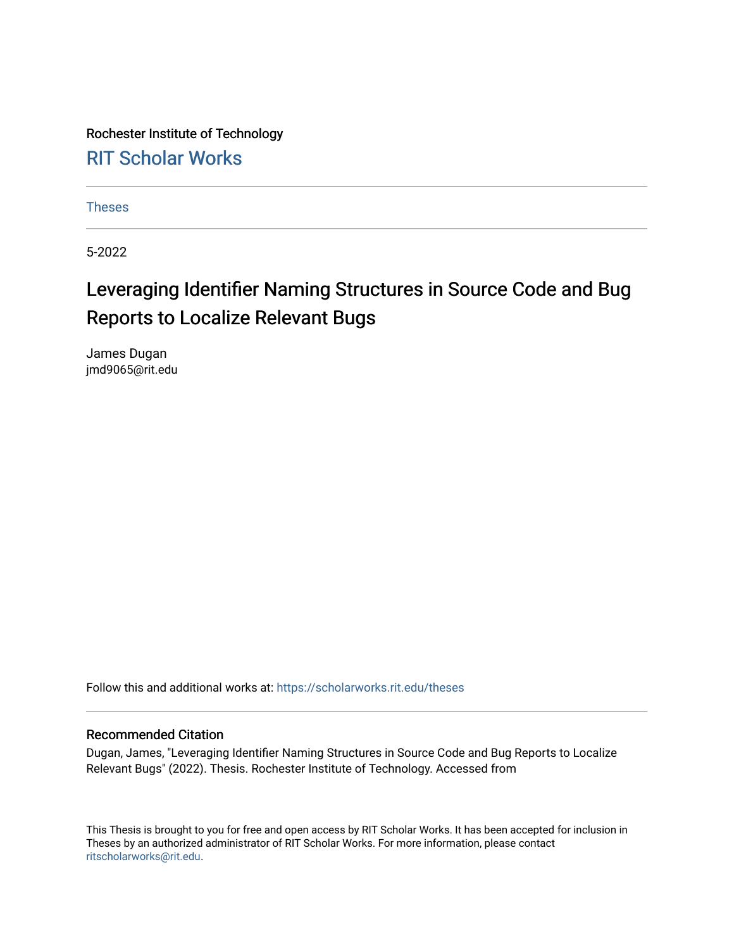Rochester Institute of Technology [RIT Scholar Works](https://scholarworks.rit.edu/)

[Theses](https://scholarworks.rit.edu/theses) 

5-2022

### Leveraging Identifier Naming Structures in Source Code and Bug Reports to Localize Relevant Bugs

James Dugan jmd9065@rit.edu

Follow this and additional works at: [https://scholarworks.rit.edu/theses](https://scholarworks.rit.edu/theses?utm_source=scholarworks.rit.edu%2Ftheses%2F11099&utm_medium=PDF&utm_campaign=PDFCoverPages) 

#### Recommended Citation

Dugan, James, "Leveraging Identifier Naming Structures in Source Code and Bug Reports to Localize Relevant Bugs" (2022). Thesis. Rochester Institute of Technology. Accessed from

This Thesis is brought to you for free and open access by RIT Scholar Works. It has been accepted for inclusion in Theses by an authorized administrator of RIT Scholar Works. For more information, please contact [ritscholarworks@rit.edu](mailto:ritscholarworks@rit.edu).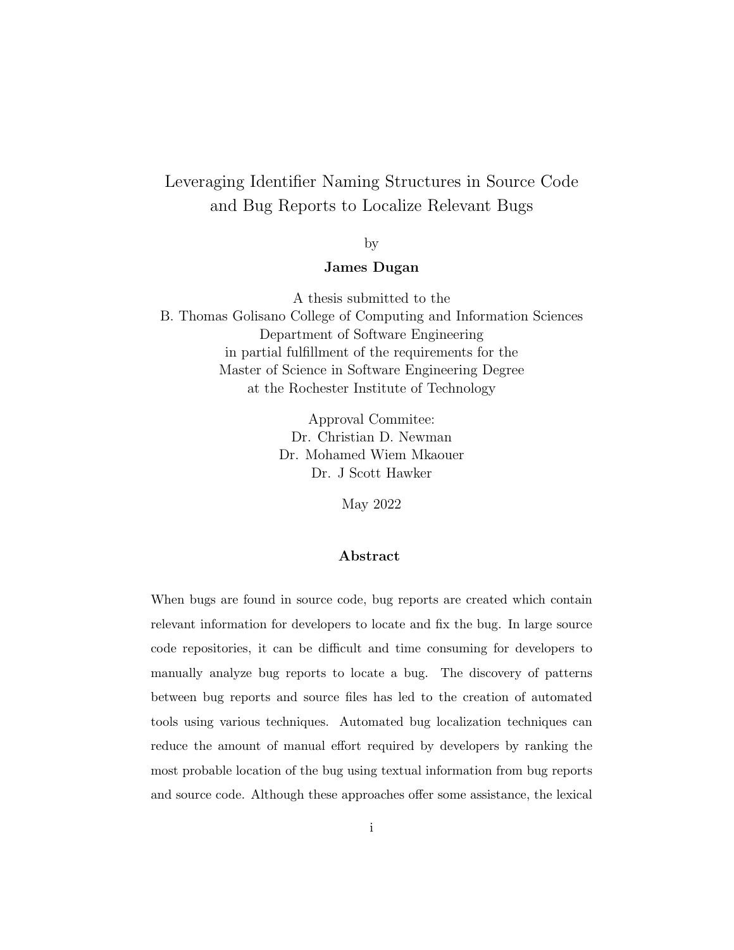### Leveraging Identifier Naming Structures in Source Code and Bug Reports to Localize Relevant Bugs

by

#### James Dugan

A thesis submitted to the B. Thomas Golisano College of Computing and Information Sciences Department of Software Engineering in partial fulfillment of the requirements for the Master of Science in Software Engineering Degree at the Rochester Institute of Technology

> Approval Commitee: Dr. Christian D. Newman Dr. Mohamed Wiem Mkaouer Dr. J Scott Hawker

> > May 2022

#### Abstract

When bugs are found in source code, bug reports are created which contain relevant information for developers to locate and fix the bug. In large source code repositories, it can be difficult and time consuming for developers to manually analyze bug reports to locate a bug. The discovery of patterns between bug reports and source files has led to the creation of automated tools using various techniques. Automated bug localization techniques can reduce the amount of manual effort required by developers by ranking the most probable location of the bug using textual information from bug reports and source code. Although these approaches offer some assistance, the lexical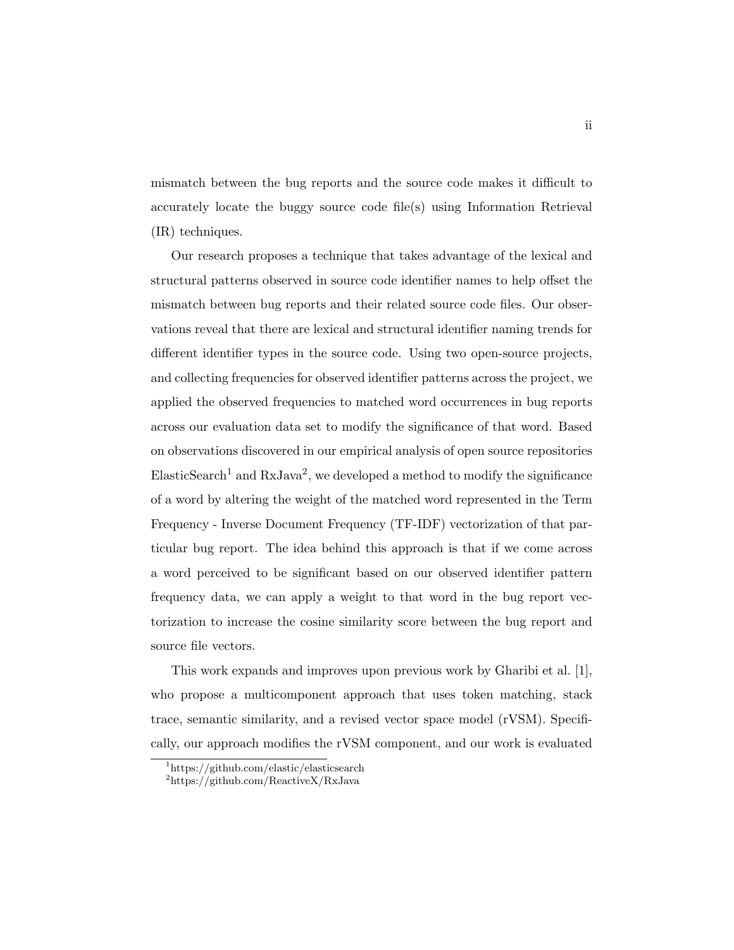mismatch between the bug reports and the source code makes it difficult to accurately locate the buggy source code file(s) using Information Retrieval (IR) techniques.

Our research proposes a technique that takes advantage of the lexical and structural patterns observed in source code identifier names to help offset the mismatch between bug reports and their related source code files. Our observations reveal that there are lexical and structural identifier naming trends for different identifier types in the source code. Using two open-source projects, and collecting frequencies for observed identifier patterns across the project, we applied the observed frequencies to matched word occurrences in bug reports across our evaluation data set to modify the significance of that word. Based on observations discovered in our empirical analysis of open source repositories  $E$ lasticSearch<sup>1</sup> and RxJava<sup>2</sup>, we developed a method to modify the significance of a word by altering the weight of the matched word represented in the Term Frequency - Inverse Document Frequency (TF-IDF) vectorization of that particular bug report. The idea behind this approach is that if we come across a word perceived to be significant based on our observed identifier pattern frequency data, we can apply a weight to that word in the bug report vectorization to increase the cosine similarity score between the bug report and source file vectors.

This work expands and improves upon previous work by Gharibi et al. [1], who propose a multicomponent approach that uses token matching, stack trace, semantic similarity, and a revised vector space model (rVSM). Specifically, our approach modifies the rVSM component, and our work is evaluated

<sup>1</sup>https://github.com/elastic/elasticsearch

<sup>2</sup>https://github.com/ReactiveX/RxJava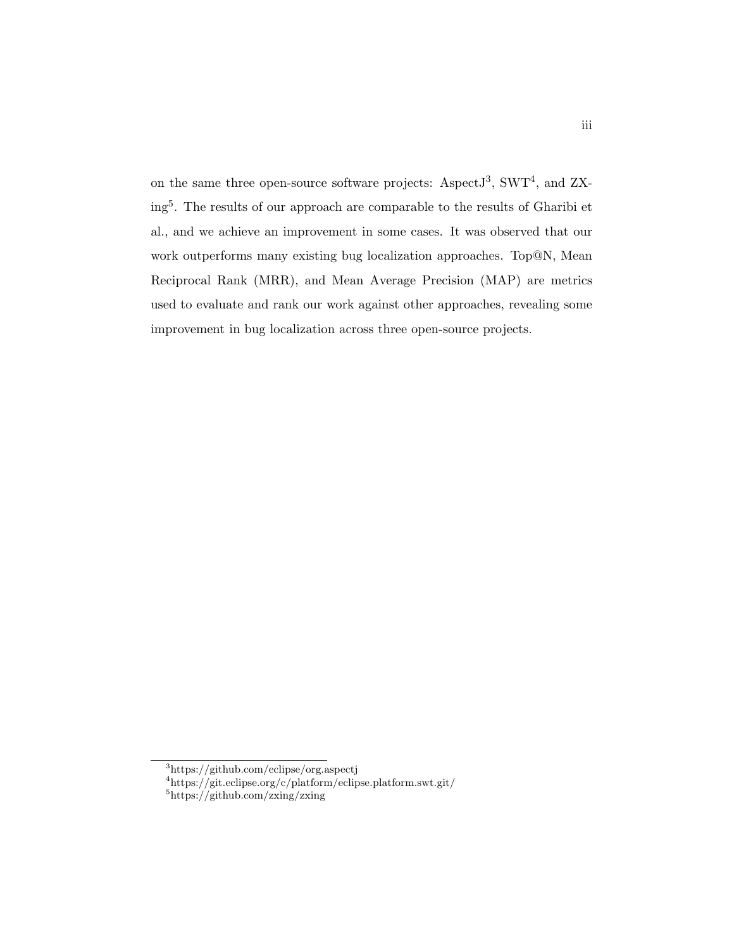on the same three open-source software projects: Aspect  $J^3$ , SWT<sup>4</sup>, and ZXing<sup>5</sup> . The results of our approach are comparable to the results of Gharibi et al., and we achieve an improvement in some cases. It was observed that our work outperforms many existing bug localization approaches. Top@N, Mean Reciprocal Rank (MRR), and Mean Average Precision (MAP) are metrics used to evaluate and rank our work against other approaches, revealing some improvement in bug localization across three open-source projects.

<sup>3</sup>https://github.com/eclipse/org.aspectj

<sup>4</sup>https://git.eclipse.org/c/platform/eclipse.platform.swt.git/

<sup>5</sup>https://github.com/zxing/zxing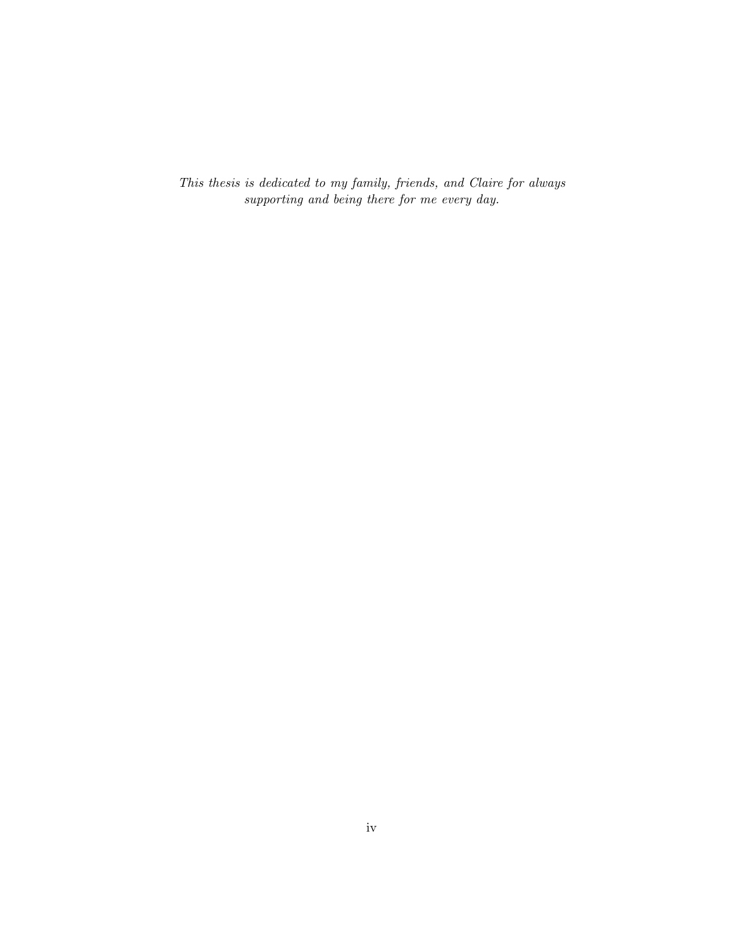This thesis is dedicated to my family, friends, and Claire for always supporting and being there for me every day.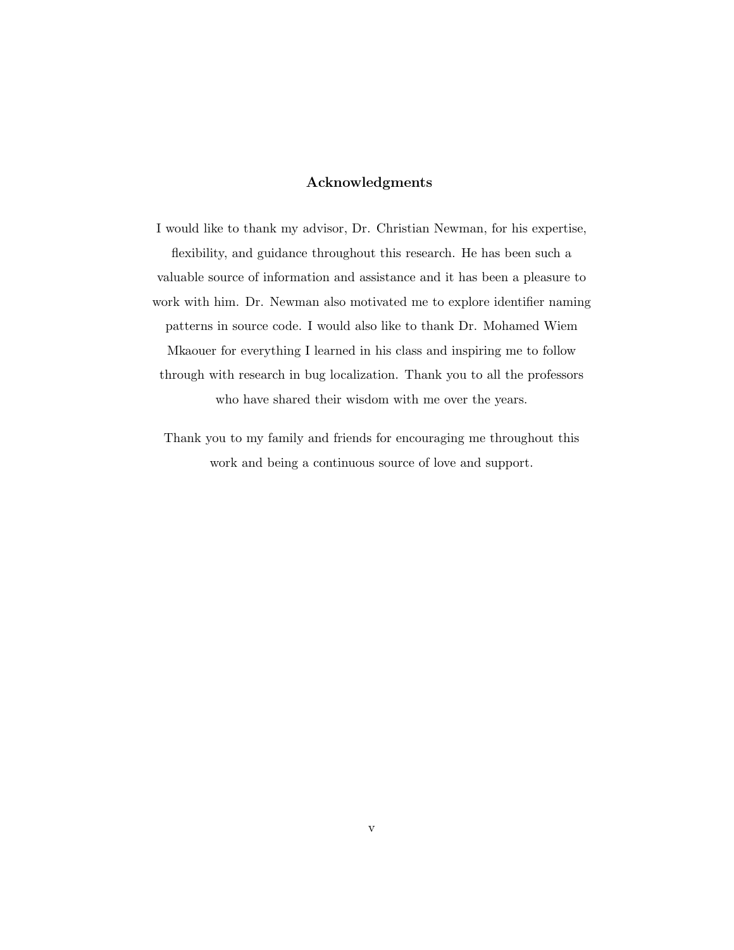#### Acknowledgments

I would like to thank my advisor, Dr. Christian Newman, for his expertise, flexibility, and guidance throughout this research. He has been such a valuable source of information and assistance and it has been a pleasure to work with him. Dr. Newman also motivated me to explore identifier naming patterns in source code. I would also like to thank Dr. Mohamed Wiem Mkaouer for everything I learned in his class and inspiring me to follow through with research in bug localization. Thank you to all the professors who have shared their wisdom with me over the years.

Thank you to my family and friends for encouraging me throughout this work and being a continuous source of love and support.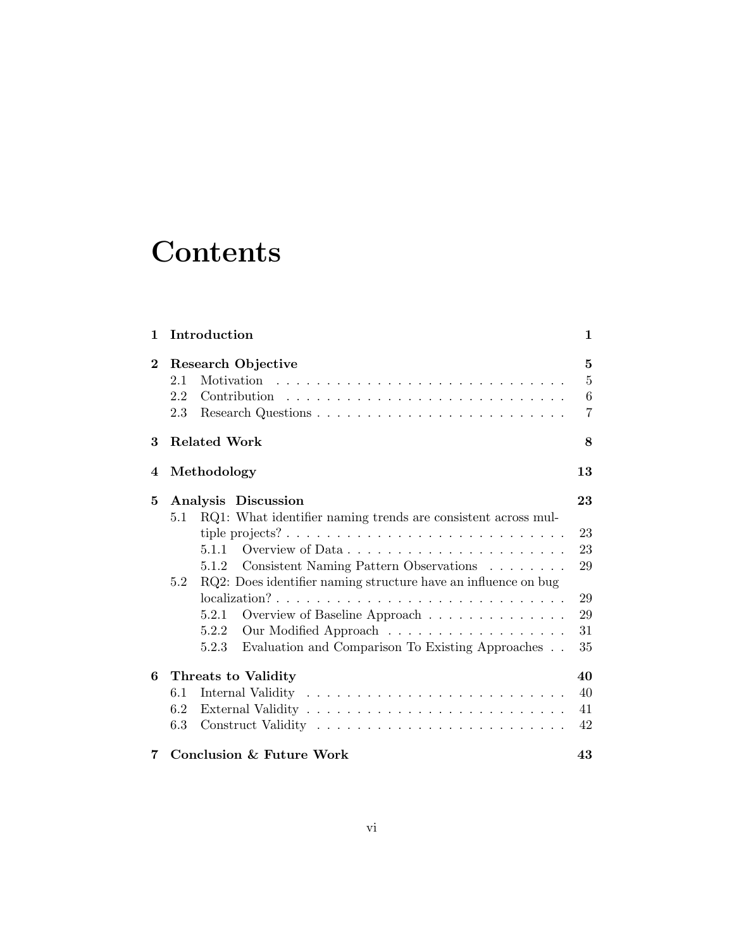## **Contents**

| $\mathbf{1}$ |                   | Introduction                                                                                                                                                                                                                                                                                                | 1                                          |
|--------------|-------------------|-------------------------------------------------------------------------------------------------------------------------------------------------------------------------------------------------------------------------------------------------------------------------------------------------------------|--------------------------------------------|
| $\bf{2}$     | 2.1<br>2.2<br>2.3 | Research Objective                                                                                                                                                                                                                                                                                          | 5<br>$\overline{5}$<br>6<br>$\overline{7}$ |
| 3            |                   | <b>Related Work</b>                                                                                                                                                                                                                                                                                         | 8                                          |
| 4            |                   | Methodology                                                                                                                                                                                                                                                                                                 | 13                                         |
| 5            | 5.1<br>5.2        | Analysis Discussion<br>RQ1: What identifier naming trends are consistent across mul-<br>5.1.1<br>Consistent Naming Pattern Observations<br>5.1.2<br>RQ2: Does identifier naming structure have an influence on bug<br>$localization? \ldots \ldots \ldots \ldots \ldots \ldots \ldots \ldots \ldots \ldots$ | 23<br>23<br>23<br>29<br>29                 |
|              |                   | Overview of Baseline Approach<br>5.2.1<br>Our Modified Approach<br>5.2.2<br>Evaluation and Comparison To Existing Approaches<br>5.2.3                                                                                                                                                                       | 29<br>31<br>35                             |
| 6            |                   | Threats to Validity                                                                                                                                                                                                                                                                                         | 40                                         |
|              | 6.1               |                                                                                                                                                                                                                                                                                                             | 40                                         |
|              | 6.2               |                                                                                                                                                                                                                                                                                                             | 41                                         |
|              | 6.3               |                                                                                                                                                                                                                                                                                                             | 42                                         |
| 7            |                   | <b>Conclusion &amp; Future Work</b>                                                                                                                                                                                                                                                                         | 43                                         |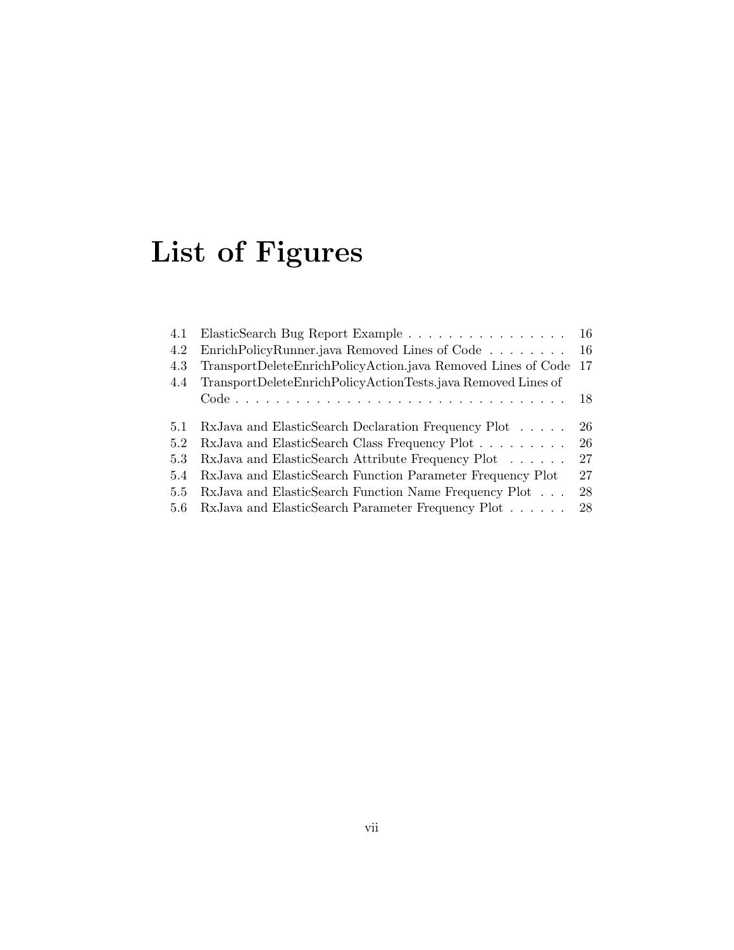# List of Figures

| ElasticSearch Bug Report Example 16                          |                                                                                                                     |
|--------------------------------------------------------------|---------------------------------------------------------------------------------------------------------------------|
|                                                              |                                                                                                                     |
|                                                              |                                                                                                                     |
| TransportDeleteEnrichPolicyActionTests.java Removed Lines of |                                                                                                                     |
|                                                              |                                                                                                                     |
|                                                              |                                                                                                                     |
| RxJava and ElasticSearch Declaration Frequency Plot          | -26                                                                                                                 |
| RxJava and ElasticSearch Class Frequency Plot                | 26                                                                                                                  |
| RxJava and ElasticSearch Attribute Frequency Plot            | 27                                                                                                                  |
| RxJava and ElasticSearch Function Parameter Frequency Plot   | 27                                                                                                                  |
| RxJava and ElasticSearch Function Name Frequency Plot        | 28                                                                                                                  |
| 5.6 RxJava and ElasticSearch Parameter Frequency Plot        | 28                                                                                                                  |
|                                                              | EnrichPolicyRunner.java Removed Lines of Code 16<br>TransportDeleteEnrichPolicyAction.java Removed Lines of Code 17 |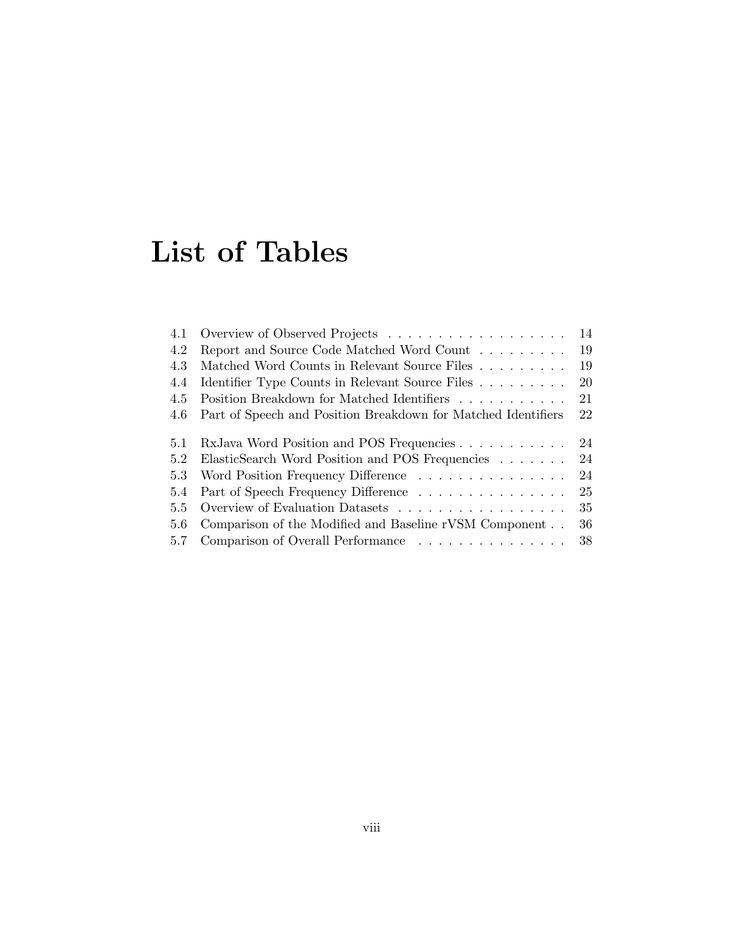## List of Tables

| 4.1 |                                                               | 14 |
|-----|---------------------------------------------------------------|----|
| 4.2 | Report and Source Code Matched Word Count                     | 19 |
| 4.3 | Matched Word Counts in Relevant Source Files                  | 19 |
| 4.4 | Identifier Type Counts in Relevant Source Files               | 20 |
| 4.5 | Position Breakdown for Matched Identifiers                    | 21 |
| 4.6 | Part of Speech and Position Breakdown for Matched Identifiers | 22 |
|     |                                                               |    |
| 5.1 | RxJava Word Position and POS Frequencies                      | 24 |
| 5.2 | ElasticSearch Word Position and POS Frequencies               | 24 |
| 5.3 | Word Position Frequency Difference                            | 24 |
| 5.4 | Part of Speech Frequency Difference                           | 25 |
| 5.5 |                                                               | 35 |
| 5.6 | Comparison of the Modified and Baseline rVSM Component        | 36 |
| 5.7 | Comparison of Overall Performance                             | 38 |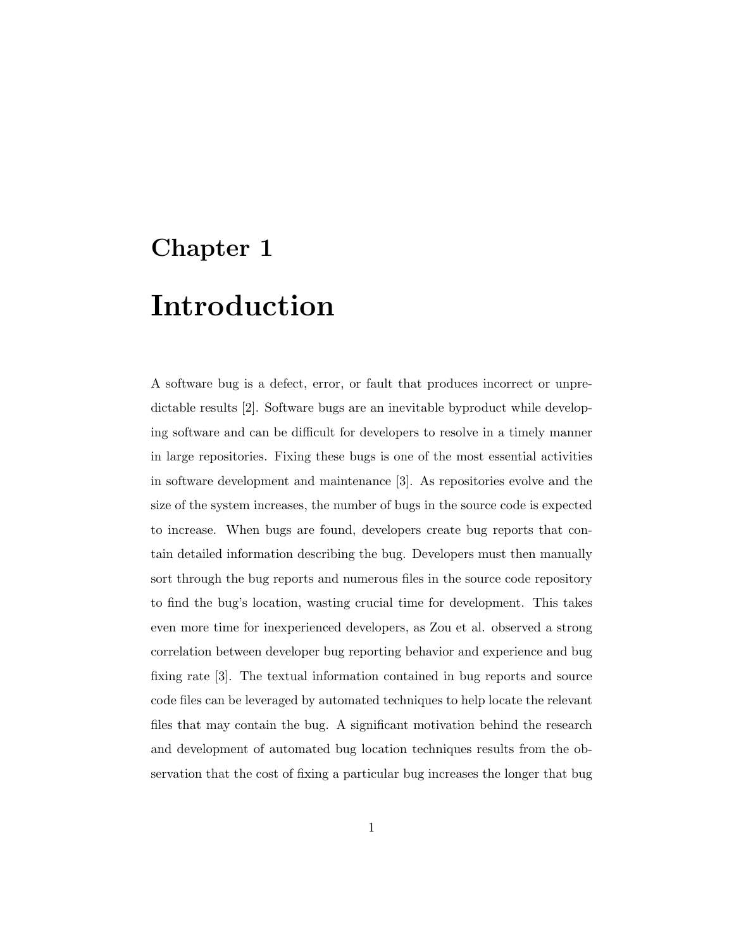# Chapter 1 Introduction

A software bug is a defect, error, or fault that produces incorrect or unpredictable results [2]. Software bugs are an inevitable byproduct while developing software and can be difficult for developers to resolve in a timely manner in large repositories. Fixing these bugs is one of the most essential activities in software development and maintenance [3]. As repositories evolve and the size of the system increases, the number of bugs in the source code is expected to increase. When bugs are found, developers create bug reports that contain detailed information describing the bug. Developers must then manually sort through the bug reports and numerous files in the source code repository to find the bug's location, wasting crucial time for development. This takes even more time for inexperienced developers, as Zou et al. observed a strong correlation between developer bug reporting behavior and experience and bug fixing rate [3]. The textual information contained in bug reports and source code files can be leveraged by automated techniques to help locate the relevant files that may contain the bug. A significant motivation behind the research and development of automated bug location techniques results from the observation that the cost of fixing a particular bug increases the longer that bug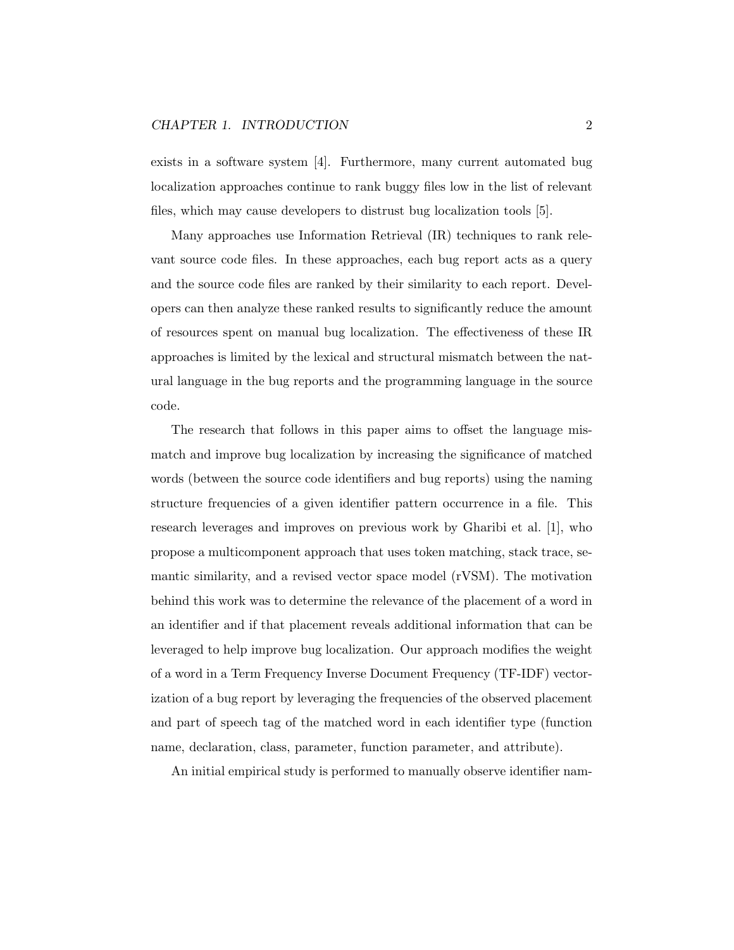#### CHAPTER 1. INTRODUCTION 2

exists in a software system [4]. Furthermore, many current automated bug localization approaches continue to rank buggy files low in the list of relevant files, which may cause developers to distrust bug localization tools [5].

Many approaches use Information Retrieval (IR) techniques to rank relevant source code files. In these approaches, each bug report acts as a query and the source code files are ranked by their similarity to each report. Developers can then analyze these ranked results to significantly reduce the amount of resources spent on manual bug localization. The effectiveness of these IR approaches is limited by the lexical and structural mismatch between the natural language in the bug reports and the programming language in the source code.

The research that follows in this paper aims to offset the language mismatch and improve bug localization by increasing the significance of matched words (between the source code identifiers and bug reports) using the naming structure frequencies of a given identifier pattern occurrence in a file. This research leverages and improves on previous work by Gharibi et al. [1], who propose a multicomponent approach that uses token matching, stack trace, semantic similarity, and a revised vector space model (rVSM). The motivation behind this work was to determine the relevance of the placement of a word in an identifier and if that placement reveals additional information that can be leveraged to help improve bug localization. Our approach modifies the weight of a word in a Term Frequency Inverse Document Frequency (TF-IDF) vectorization of a bug report by leveraging the frequencies of the observed placement and part of speech tag of the matched word in each identifier type (function name, declaration, class, parameter, function parameter, and attribute).

An initial empirical study is performed to manually observe identifier nam-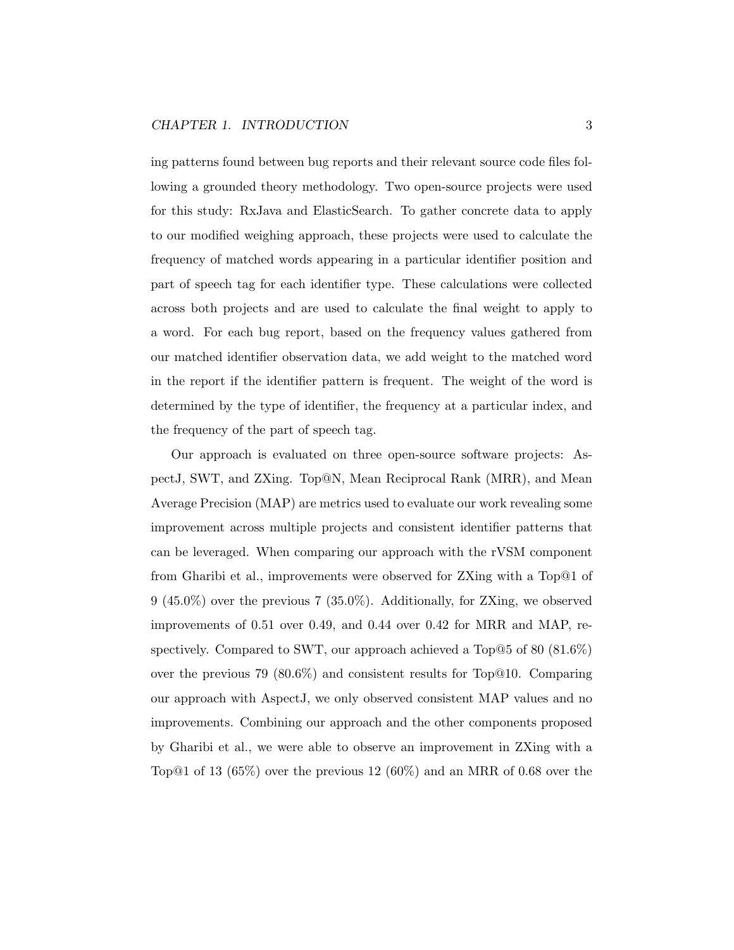ing patterns found between bug reports and their relevant source code files following a grounded theory methodology. Two open-source projects were used for this study: RxJava and ElasticSearch. To gather concrete data to apply to our modified weighing approach, these projects were used to calculate the frequency of matched words appearing in a particular identifier position and part of speech tag for each identifier type. These calculations were collected across both projects and are used to calculate the final weight to apply to a word. For each bug report, based on the frequency values gathered from our matched identifier observation data, we add weight to the matched word in the report if the identifier pattern is frequent. The weight of the word is determined by the type of identifier, the frequency at a particular index, and the frequency of the part of speech tag.

Our approach is evaluated on three open-source software projects: AspectJ, SWT, and ZXing. Top@N, Mean Reciprocal Rank (MRR), and Mean Average Precision (MAP) are metrics used to evaluate our work revealing some improvement across multiple projects and consistent identifier patterns that can be leveraged. When comparing our approach with the rVSM component from Gharibi et al., improvements were observed for ZXing with a Top@1 of 9 (45.0%) over the previous 7 (35.0%). Additionally, for ZXing, we observed improvements of 0.51 over 0.49, and 0.44 over 0.42 for MRR and MAP, respectively. Compared to SWT, our approach achieved a Top@5 of 80 (81.6%) over the previous 79 (80.6%) and consistent results for Top@10. Comparing our approach with AspectJ, we only observed consistent MAP values and no improvements. Combining our approach and the other components proposed by Gharibi et al., we were able to observe an improvement in ZXing with a Top@1 of 13  $(65\%)$  over the previous 12  $(60\%)$  and an MRR of 0.68 over the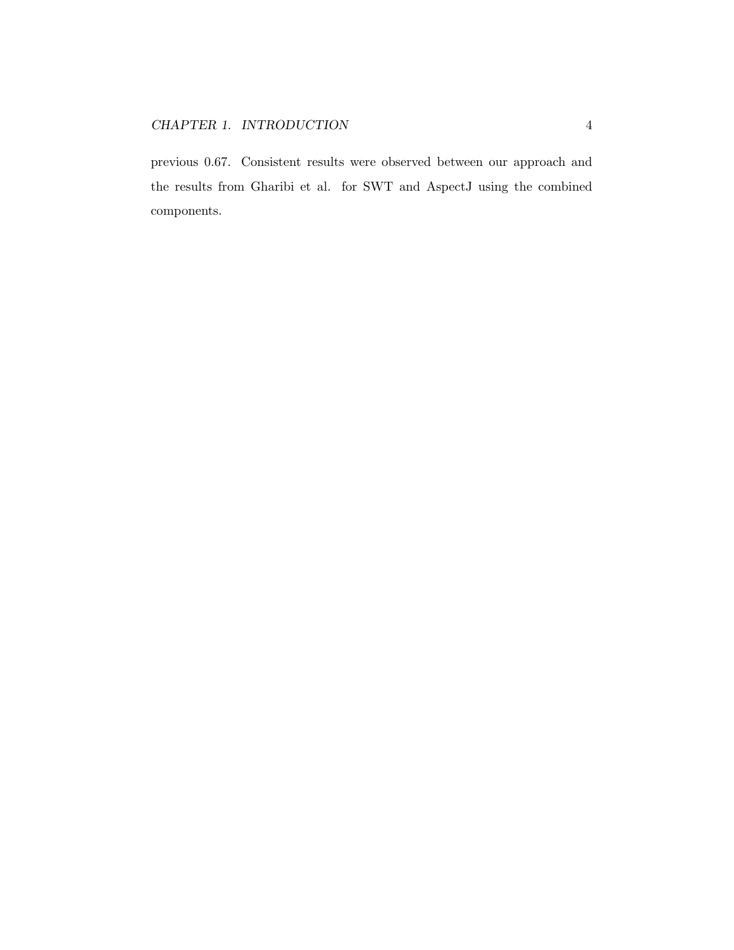previous 0.67. Consistent results were observed between our approach and the results from Gharibi et al. for SWT and AspectJ using the combined components.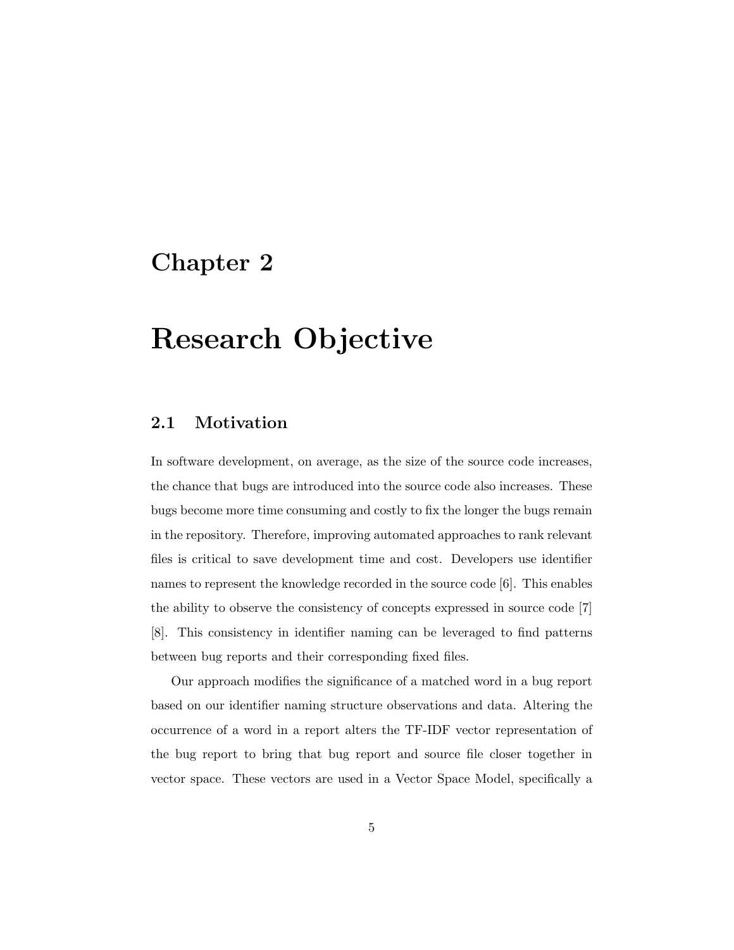### Chapter 2

## Research Objective

#### 2.1 Motivation

In software development, on average, as the size of the source code increases, the chance that bugs are introduced into the source code also increases. These bugs become more time consuming and costly to fix the longer the bugs remain in the repository. Therefore, improving automated approaches to rank relevant files is critical to save development time and cost. Developers use identifier names to represent the knowledge recorded in the source code [6]. This enables the ability to observe the consistency of concepts expressed in source code [7] [8]. This consistency in identifier naming can be leveraged to find patterns between bug reports and their corresponding fixed files.

Our approach modifies the significance of a matched word in a bug report based on our identifier naming structure observations and data. Altering the occurrence of a word in a report alters the TF-IDF vector representation of the bug report to bring that bug report and source file closer together in vector space. These vectors are used in a Vector Space Model, specifically a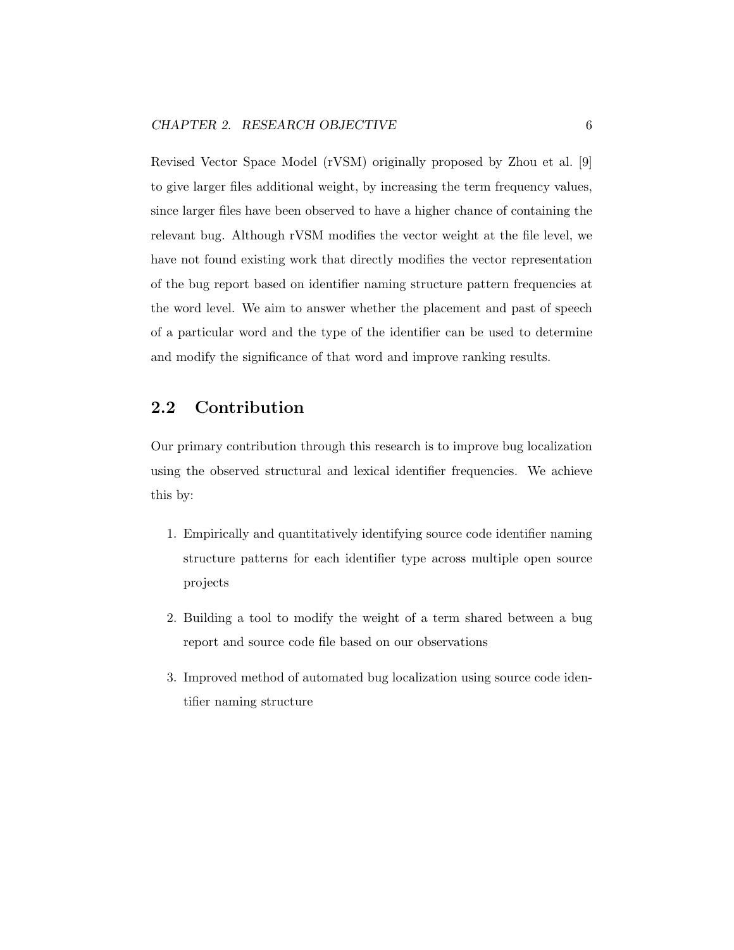Revised Vector Space Model (rVSM) originally proposed by Zhou et al. [9] to give larger files additional weight, by increasing the term frequency values, since larger files have been observed to have a higher chance of containing the relevant bug. Although rVSM modifies the vector weight at the file level, we have not found existing work that directly modifies the vector representation of the bug report based on identifier naming structure pattern frequencies at the word level. We aim to answer whether the placement and past of speech of a particular word and the type of the identifier can be used to determine and modify the significance of that word and improve ranking results.

#### 2.2 Contribution

Our primary contribution through this research is to improve bug localization using the observed structural and lexical identifier frequencies. We achieve this by:

- 1. Empirically and quantitatively identifying source code identifier naming structure patterns for each identifier type across multiple open source projects
- 2. Building a tool to modify the weight of a term shared between a bug report and source code file based on our observations
- 3. Improved method of automated bug localization using source code identifier naming structure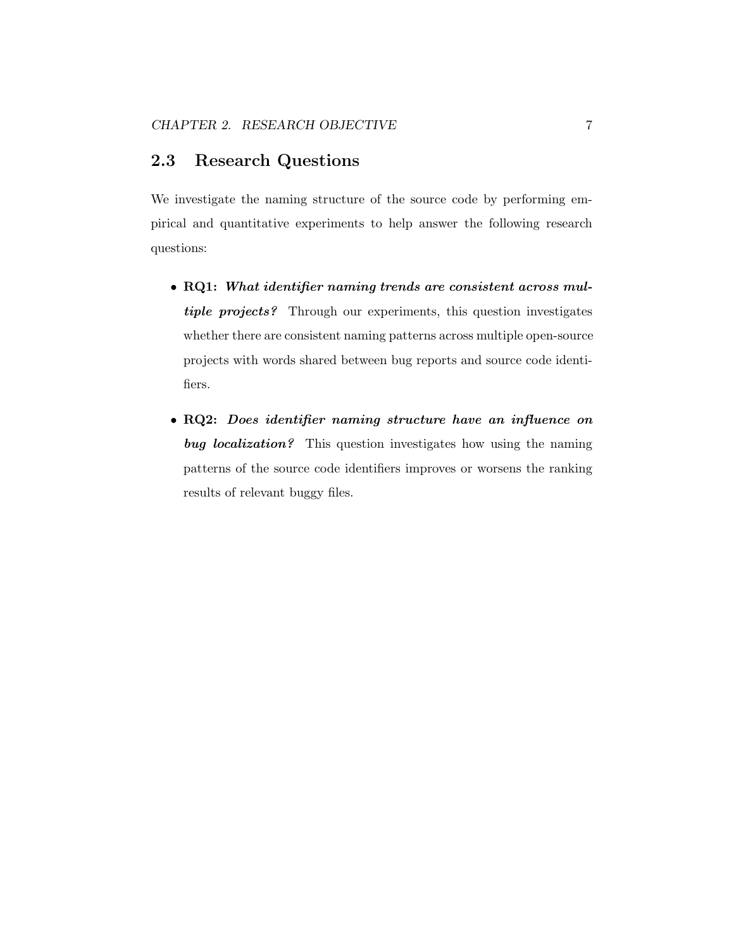#### 2.3 Research Questions

We investigate the naming structure of the source code by performing empirical and quantitative experiments to help answer the following research questions:

- RQ1: What identifier naming trends are consistent across multiple projects? Through our experiments, this question investigates whether there are consistent naming patterns across multiple open-source projects with words shared between bug reports and source code identifiers.
- RQ2: Does identifier naming structure have an influence on bug localization? This question investigates how using the naming patterns of the source code identifiers improves or worsens the ranking results of relevant buggy files.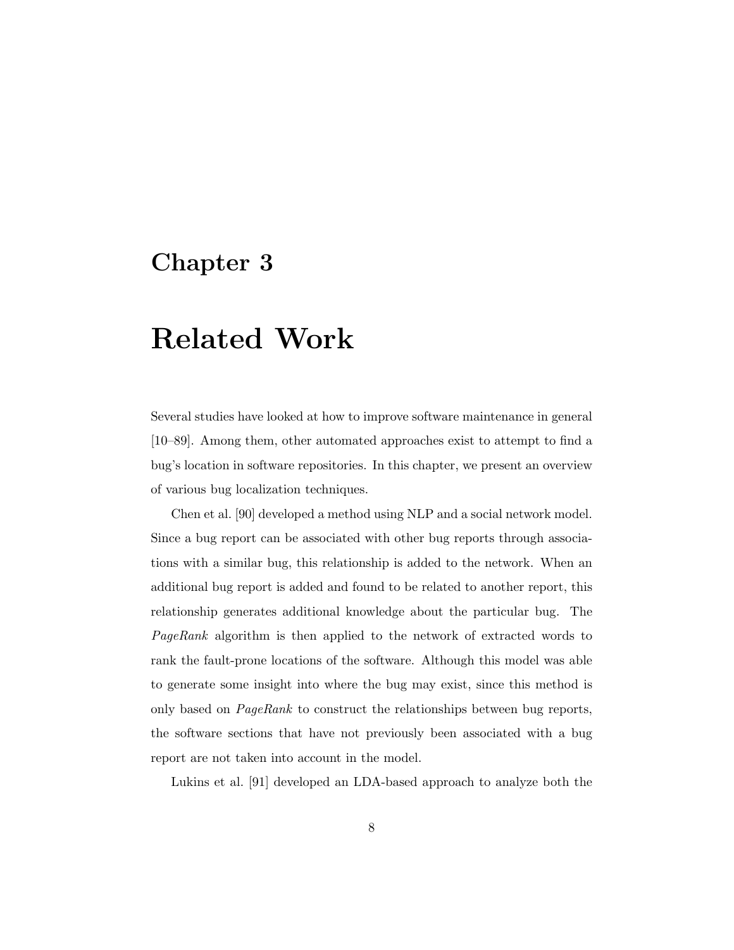### Chapter 3

## Related Work

Several studies have looked at how to improve software maintenance in general [10–89]. Among them, other automated approaches exist to attempt to find a bug's location in software repositories. In this chapter, we present an overview of various bug localization techniques.

Chen et al. [90] developed a method using NLP and a social network model. Since a bug report can be associated with other bug reports through associations with a similar bug, this relationship is added to the network. When an additional bug report is added and found to be related to another report, this relationship generates additional knowledge about the particular bug. The PageRank algorithm is then applied to the network of extracted words to rank the fault-prone locations of the software. Although this model was able to generate some insight into where the bug may exist, since this method is only based on PageRank to construct the relationships between bug reports, the software sections that have not previously been associated with a bug report are not taken into account in the model.

Lukins et al. [91] developed an LDA-based approach to analyze both the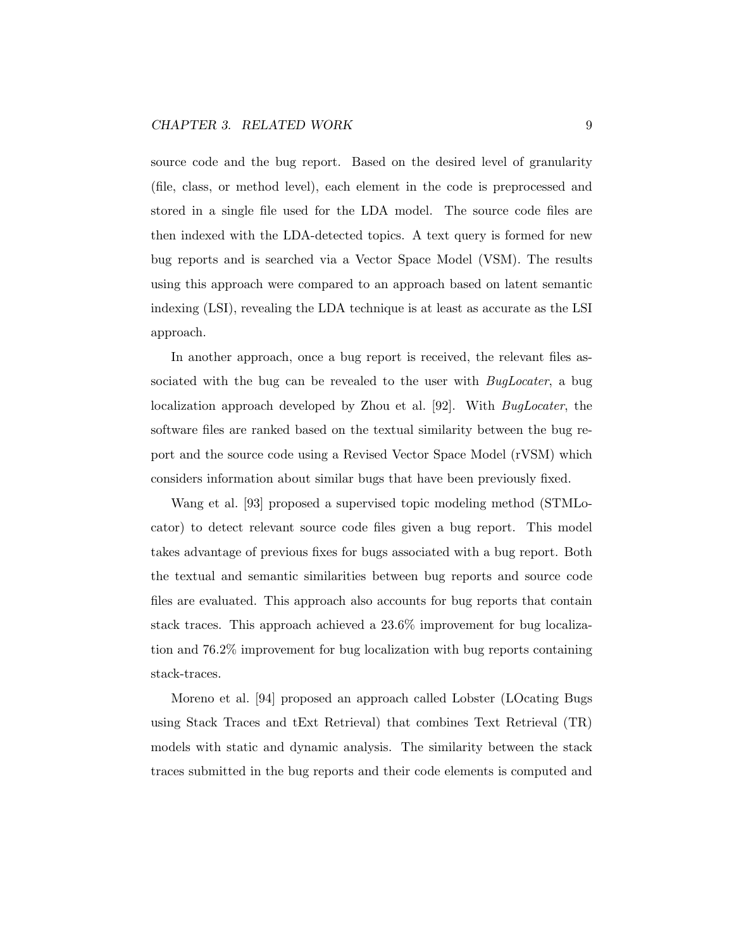source code and the bug report. Based on the desired level of granularity (file, class, or method level), each element in the code is preprocessed and stored in a single file used for the LDA model. The source code files are then indexed with the LDA-detected topics. A text query is formed for new bug reports and is searched via a Vector Space Model (VSM). The results using this approach were compared to an approach based on latent semantic indexing (LSI), revealing the LDA technique is at least as accurate as the LSI approach.

In another approach, once a bug report is received, the relevant files associated with the bug can be revealed to the user with *BugLocater*, a bug localization approach developed by Zhou et al. [92]. With BugLocater, the software files are ranked based on the textual similarity between the bug report and the source code using a Revised Vector Space Model (rVSM) which considers information about similar bugs that have been previously fixed.

Wang et al. [93] proposed a supervised topic modeling method (STMLocator) to detect relevant source code files given a bug report. This model takes advantage of previous fixes for bugs associated with a bug report. Both the textual and semantic similarities between bug reports and source code files are evaluated. This approach also accounts for bug reports that contain stack traces. This approach achieved a 23.6% improvement for bug localization and 76.2% improvement for bug localization with bug reports containing stack-traces.

Moreno et al. [94] proposed an approach called Lobster (LOcating Bugs using Stack Traces and tExt Retrieval) that combines Text Retrieval (TR) models with static and dynamic analysis. The similarity between the stack traces submitted in the bug reports and their code elements is computed and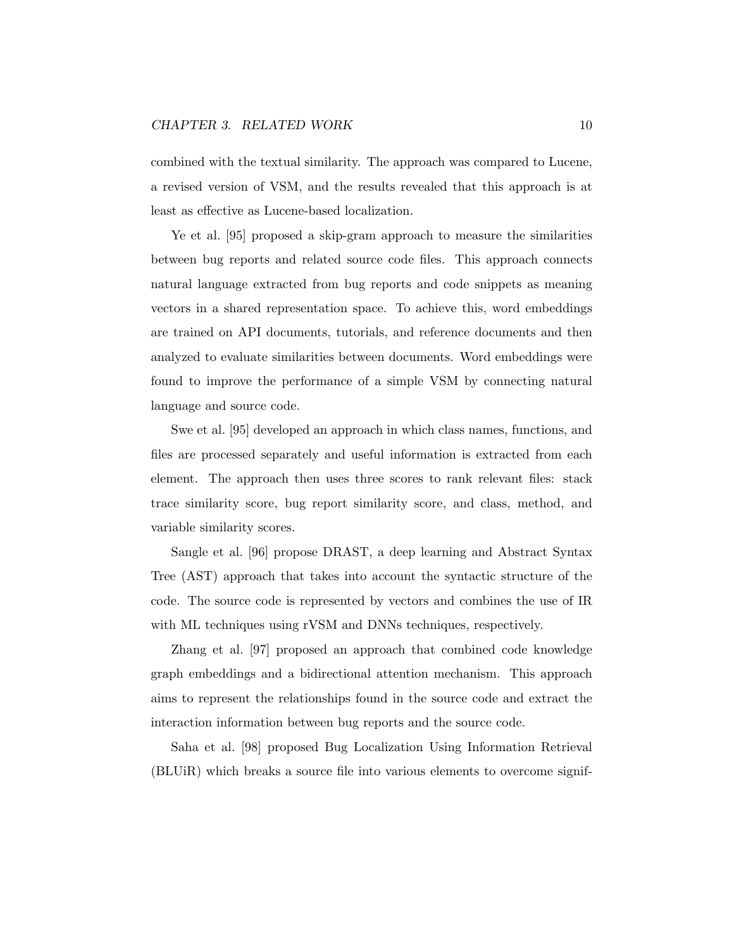combined with the textual similarity. The approach was compared to Lucene, a revised version of VSM, and the results revealed that this approach is at least as effective as Lucene-based localization.

Ye et al. [95] proposed a skip-gram approach to measure the similarities between bug reports and related source code files. This approach connects natural language extracted from bug reports and code snippets as meaning vectors in a shared representation space. To achieve this, word embeddings are trained on API documents, tutorials, and reference documents and then analyzed to evaluate similarities between documents. Word embeddings were found to improve the performance of a simple VSM by connecting natural language and source code.

Swe et al. [95] developed an approach in which class names, functions, and files are processed separately and useful information is extracted from each element. The approach then uses three scores to rank relevant files: stack trace similarity score, bug report similarity score, and class, method, and variable similarity scores.

Sangle et al. [96] propose DRAST, a deep learning and Abstract Syntax Tree (AST) approach that takes into account the syntactic structure of the code. The source code is represented by vectors and combines the use of IR with ML techniques using rVSM and DNNs techniques, respectively.

Zhang et al. [97] proposed an approach that combined code knowledge graph embeddings and a bidirectional attention mechanism. This approach aims to represent the relationships found in the source code and extract the interaction information between bug reports and the source code.

Saha et al. [98] proposed Bug Localization Using Information Retrieval (BLUiR) which breaks a source file into various elements to overcome signif-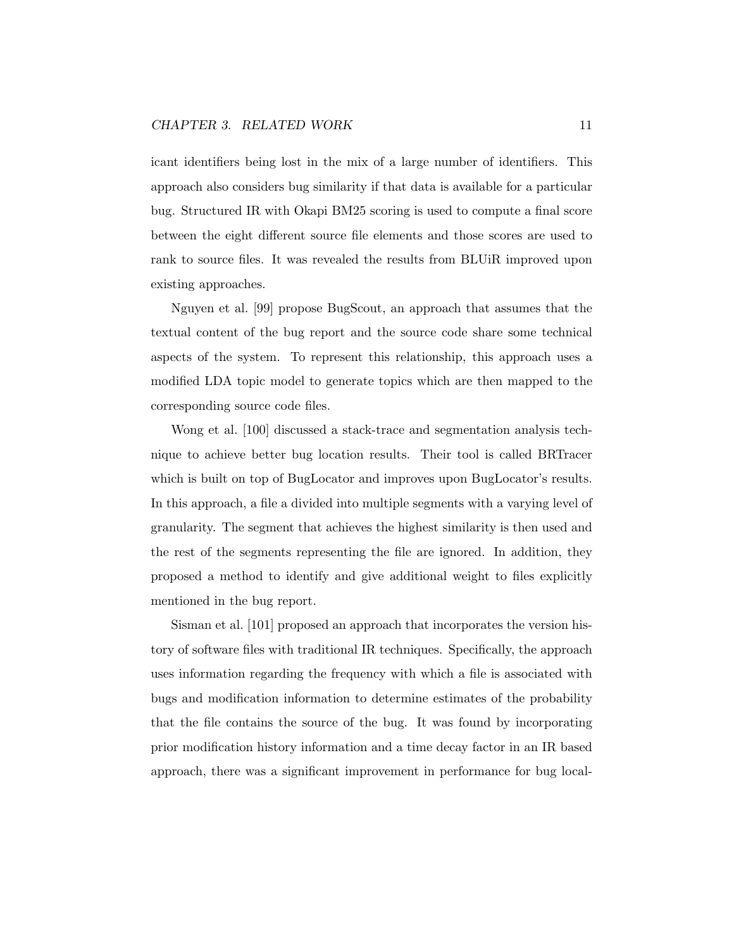icant identifiers being lost in the mix of a large number of identifiers. This approach also considers bug similarity if that data is available for a particular bug. Structured IR with Okapi BM25 scoring is used to compute a final score between the eight different source file elements and those scores are used to rank to source files. It was revealed the results from BLUiR improved upon existing approaches.

Nguyen et al. [99] propose BugScout, an approach that assumes that the textual content of the bug report and the source code share some technical aspects of the system. To represent this relationship, this approach uses a modified LDA topic model to generate topics which are then mapped to the corresponding source code files.

Wong et al. [100] discussed a stack-trace and segmentation analysis technique to achieve better bug location results. Their tool is called BRTracer which is built on top of BugLocator and improves upon BugLocator's results. In this approach, a file a divided into multiple segments with a varying level of granularity. The segment that achieves the highest similarity is then used and the rest of the segments representing the file are ignored. In addition, they proposed a method to identify and give additional weight to files explicitly mentioned in the bug report.

Sisman et al. [101] proposed an approach that incorporates the version history of software files with traditional IR techniques. Specifically, the approach uses information regarding the frequency with which a file is associated with bugs and modification information to determine estimates of the probability that the file contains the source of the bug. It was found by incorporating prior modification history information and a time decay factor in an IR based approach, there was a significant improvement in performance for bug local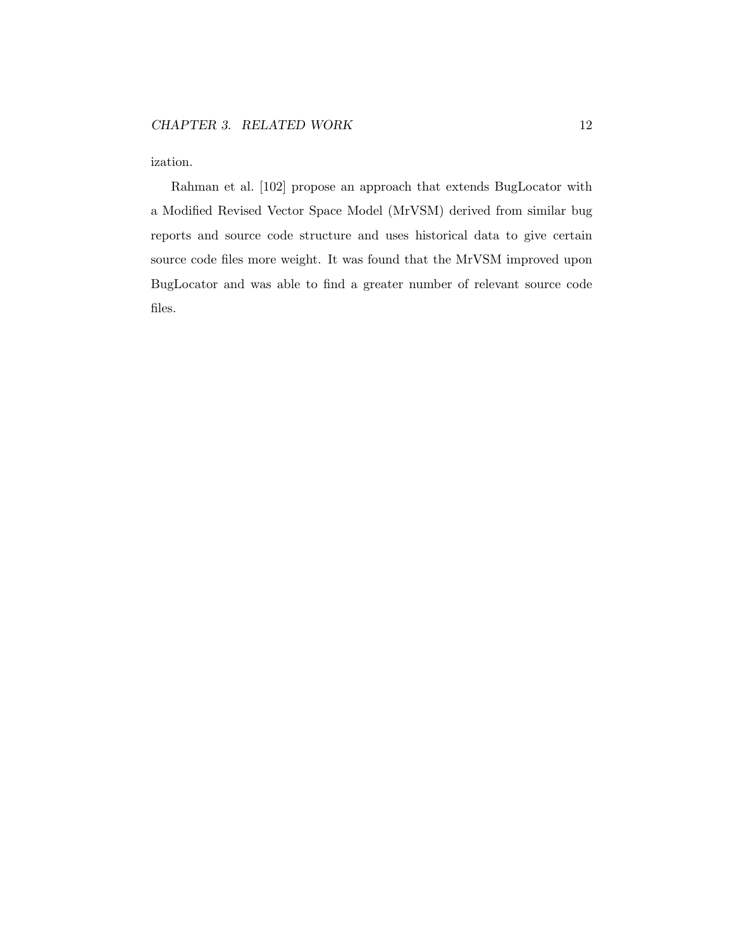ization.

Rahman et al. [102] propose an approach that extends BugLocator with a Modified Revised Vector Space Model (MrVSM) derived from similar bug reports and source code structure and uses historical data to give certain source code files more weight. It was found that the MrVSM improved upon BugLocator and was able to find a greater number of relevant source code files.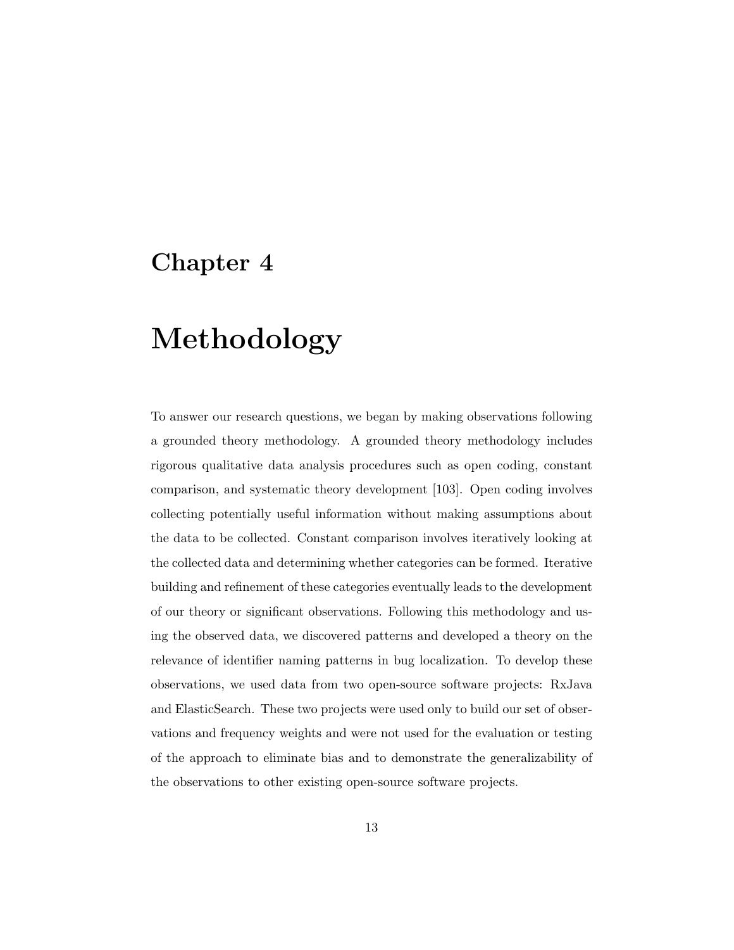### Chapter 4

## Methodology

To answer our research questions, we began by making observations following a grounded theory methodology. A grounded theory methodology includes rigorous qualitative data analysis procedures such as open coding, constant comparison, and systematic theory development [103]. Open coding involves collecting potentially useful information without making assumptions about the data to be collected. Constant comparison involves iteratively looking at the collected data and determining whether categories can be formed. Iterative building and refinement of these categories eventually leads to the development of our theory or significant observations. Following this methodology and using the observed data, we discovered patterns and developed a theory on the relevance of identifier naming patterns in bug localization. To develop these observations, we used data from two open-source software projects: RxJava and ElasticSearch. These two projects were used only to build our set of observations and frequency weights and were not used for the evaluation or testing of the approach to eliminate bias and to demonstrate the generalizability of the observations to other existing open-source software projects.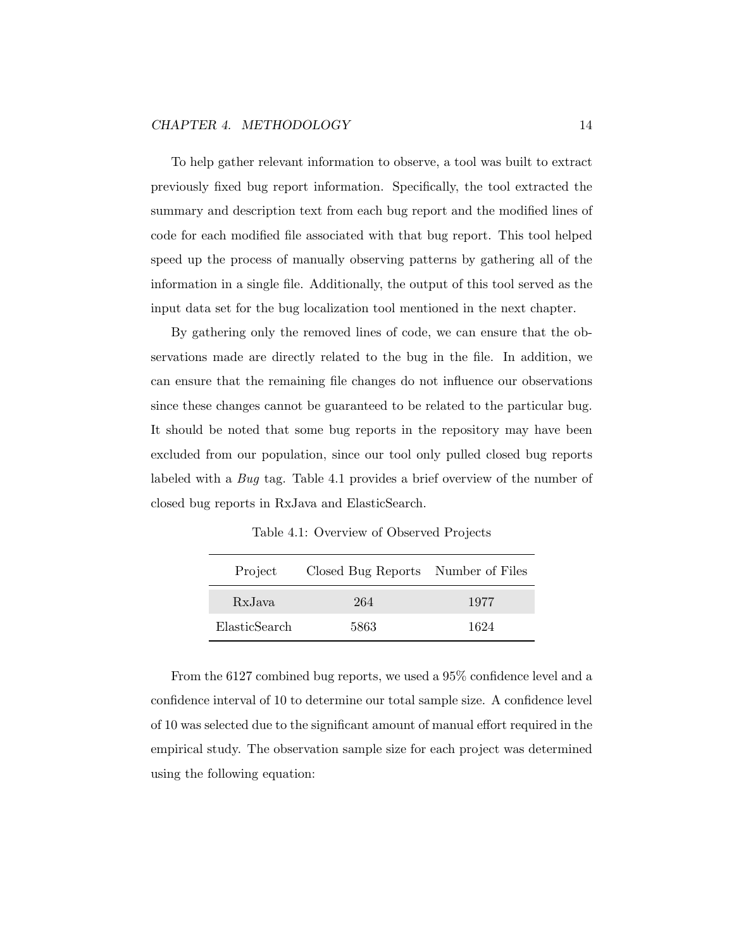To help gather relevant information to observe, a tool was built to extract previously fixed bug report information. Specifically, the tool extracted the summary and description text from each bug report and the modified lines of code for each modified file associated with that bug report. This tool helped speed up the process of manually observing patterns by gathering all of the information in a single file. Additionally, the output of this tool served as the input data set for the bug localization tool mentioned in the next chapter.

By gathering only the removed lines of code, we can ensure that the observations made are directly related to the bug in the file. In addition, we can ensure that the remaining file changes do not influence our observations since these changes cannot be guaranteed to be related to the particular bug. It should be noted that some bug reports in the repository may have been excluded from our population, since our tool only pulled closed bug reports labeled with a Bug tag. Table 4.1 provides a brief overview of the number of closed bug reports in RxJava and ElasticSearch.

Table 4.1: Overview of Observed Projects

| Project       | Closed Bug Reports Number of Files |      |  |
|---------------|------------------------------------|------|--|
| RxJava        | 264                                | 1977 |  |
| ElasticSearch | 5863                               | 1624 |  |

From the 6127 combined bug reports, we used a 95% confidence level and a confidence interval of 10 to determine our total sample size. A confidence level of 10 was selected due to the significant amount of manual effort required in the empirical study. The observation sample size for each project was determined using the following equation: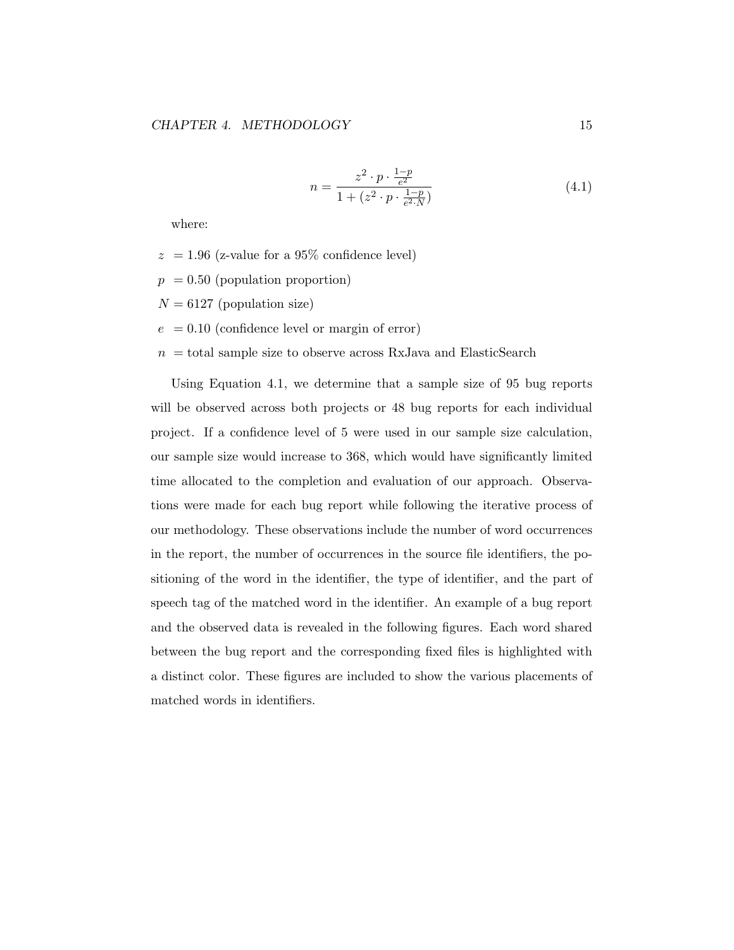$$
n = \frac{z^2 \cdot p \cdot \frac{1-p}{e^2}}{1 + (z^2 \cdot p \cdot \frac{1-p}{e^2 \cdot N})}
$$
(4.1)

where:

- $z = 1.96$  (z-value for a 95% confidence level)
- $p = 0.50$  (population proportion)
- $N = 6127$  (population size)
- $e = 0.10$  (confidence level or margin of error)
- $n =$  total sample size to observe across RxJava and ElasticSearch

Using Equation 4.1, we determine that a sample size of 95 bug reports will be observed across both projects or 48 bug reports for each individual project. If a confidence level of 5 were used in our sample size calculation, our sample size would increase to 368, which would have significantly limited time allocated to the completion and evaluation of our approach. Observations were made for each bug report while following the iterative process of our methodology. These observations include the number of word occurrences in the report, the number of occurrences in the source file identifiers, the positioning of the word in the identifier, the type of identifier, and the part of speech tag of the matched word in the identifier. An example of a bug report and the observed data is revealed in the following figures. Each word shared between the bug report and the corresponding fixed files is highlighted with a distinct color. These figures are included to show the various placements of matched words in identifiers.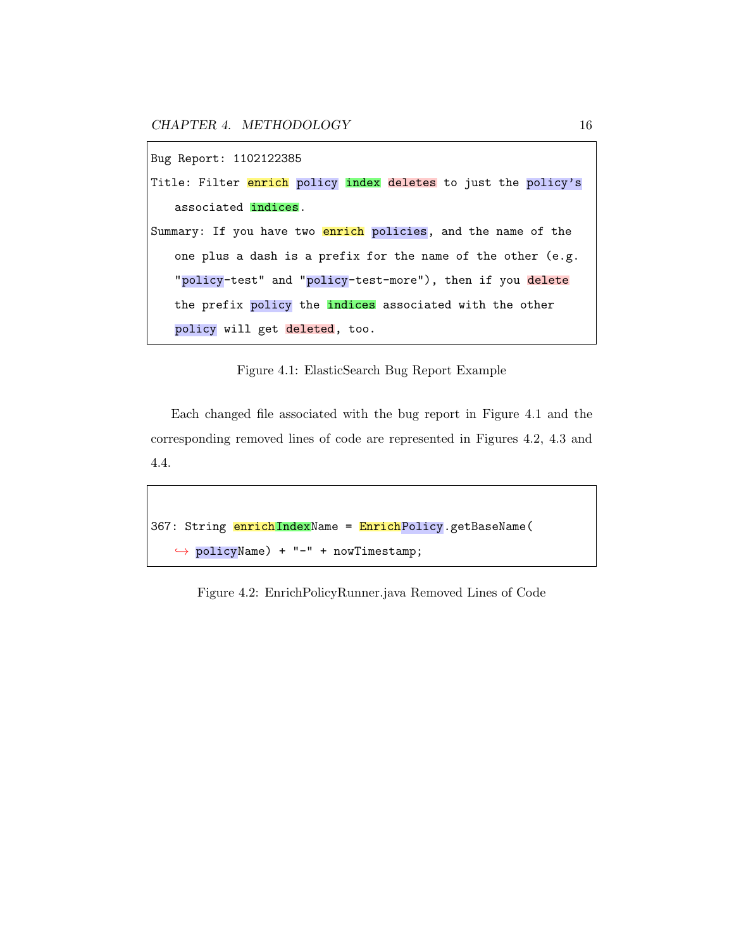CHAPTER 4. METHODOLOGY 16

```
Bug Report: 1102122385
Title: Filter enrich policy index deletes to just the policy's
   associated indices.
Summary: If you have two enrich policies, and the name of the
   one plus a dash is a prefix for the name of the other (e.g.
   "policy-test" and "policy-test-more"), then if you delete
   the prefix policy the indices associated with the other
   policy will get deleted, too.
```
Figure 4.1: ElasticSearch Bug Report Example

Each changed file associated with the bug report in Figure 4.1 and the corresponding removed lines of code are represented in Figures 4.2, 4.3 and 4.4.

```
367: String enrichIndexName = EnrichPolicy.getBaseName(
   ,→ policyName) + "-" + nowTimestamp;
```
Figure 4.2: EnrichPolicyRunner.java Removed Lines of Code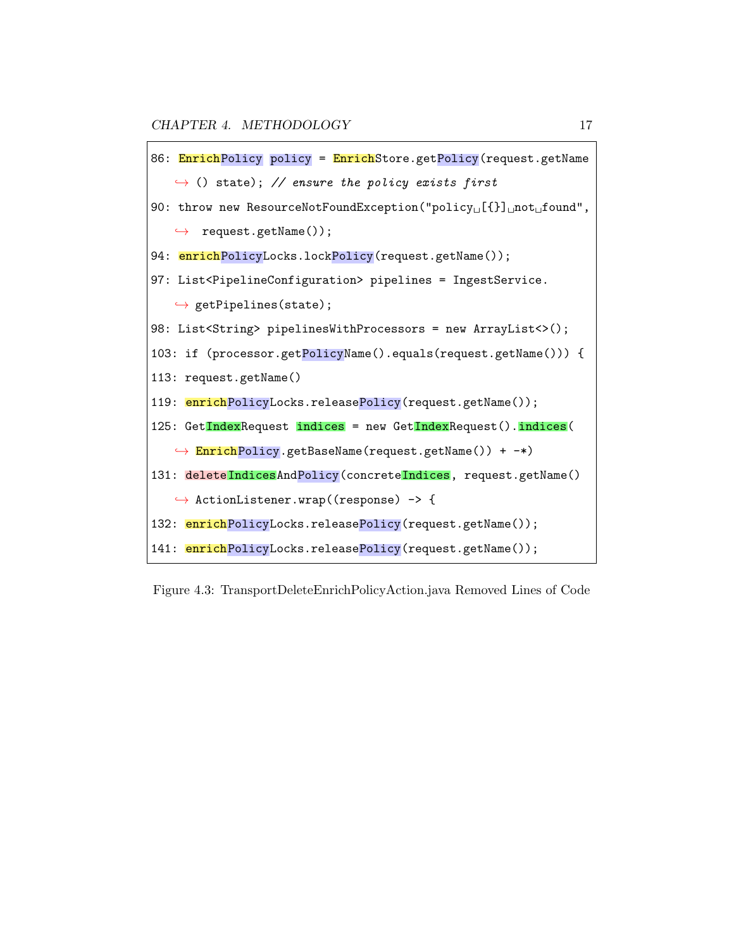```
86: EnrichPolicy policy = EnrichStore.getPolicy(request.getName
   \rightarrow () state); // ensure the policy exists first
90: throw new ResourceNotFoundException("policy␣[{}]␣not␣found",
   \leftrightarrow request.getName());
94: enrichPolicyLocks.lockPolicy(request.getName());
97: List<PipelineConfiguration> pipelines = IngestService.
   \leftrightarrow getPipelines(state);
98: List<String> pipelinesWithProcessors = new ArrayList<>();
103: if (processor.getPolicyName().equals(request.getName())) {
113: request.getName()
119: enrichPolicyLocks.releasePolicy(request.getName());
125: GetIndexRequest indices = new GetIndexRequest().indices(
   \leftrightarrow EnrichPolicy.getBaseName(request.getName()) + -*)
131: deleteIndicesAndPolicy(concreteIndices, request.getName()
   ,→ ActionListener.wrap((response) -> {
132: enrichPolicyLocks.releasePolicy(request.getName());
141: enrichPolicyLocks.releasePolicy(request.getName());
```
Figure 4.3: TransportDeleteEnrichPolicyAction.java Removed Lines of Code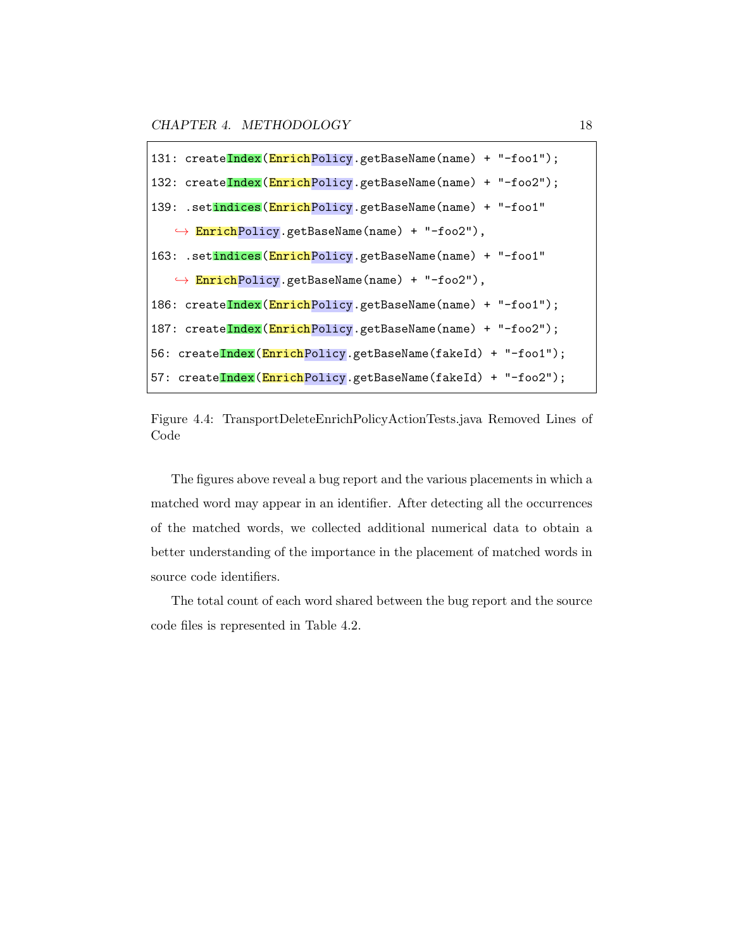CHAPTER 4. METHODOLOGY 18

131: createIndex(EnrichPolicy.getBaseName(name) + "-foo1"); 132: createIndex(EnrichPolicy.getBaseName(name) + "-foo2"); 139: .setindices(EnrichPolicy.getBaseName(name) + "-foo1" ,→ EnrichPolicy.getBaseName(name) + "-foo2"), 163: .setindices(EnrichPolicy.getBaseName(name) + "-foo1" ,→ EnrichPolicy.getBaseName(name) + "-foo2"), 186: createIndex(EnrichPolicy.getBaseName(name) + "-foo1"); 187: createIndex(EnrichPolicy.getBaseName(name) + "-foo2"); 56: createIndex(EnrichPolicy.getBaseName(fakeId) + "-foo1"); 57: createIndex(EnrichPolicy.getBaseName(fakeId) + "-foo2");

Figure 4.4: TransportDeleteEnrichPolicyActionTests.java Removed Lines of Code

The figures above reveal a bug report and the various placements in which a matched word may appear in an identifier. After detecting all the occurrences of the matched words, we collected additional numerical data to obtain a better understanding of the importance in the placement of matched words in source code identifiers.

The total count of each word shared between the bug report and the source code files is represented in Table 4.2.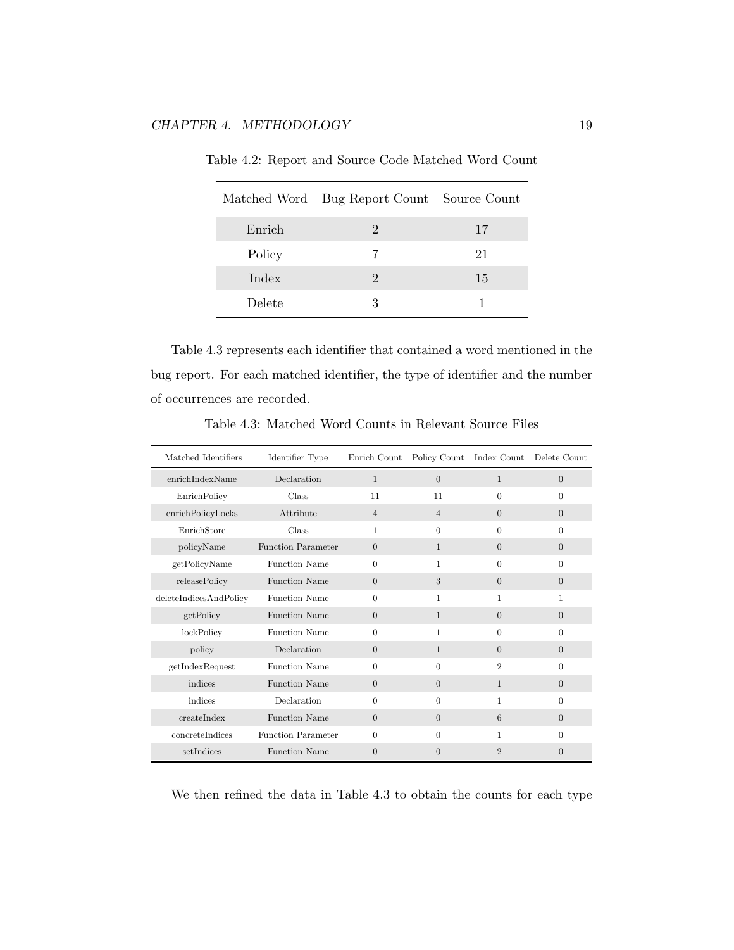|        | Matched Word Bug Report Count Source Count |    |
|--------|--------------------------------------------|----|
| Enrich | $\ddot{ }$                                 | 17 |
| Policy |                                            | 21 |
| Index  | $\cdot$                                    | 15 |
| Delete | З                                          |    |

Table 4.2: Report and Source Code Matched Word Count

Table 4.3 represents each identifier that contained a word mentioned in the bug report. For each matched identifier, the type of identifier and the number of occurrences are recorded.

| Matched Identifiers    | Identifier Type           | Enrich Count   |                | Policy Count Index Count | Delete Count   |
|------------------------|---------------------------|----------------|----------------|--------------------------|----------------|
| enrichIndexName        | Declaration               | $\mathbf{1}$   | $\overline{0}$ | $\mathbf{1}$             | $\theta$       |
| EnrichPolicy           | Class                     | 11             | 11             | $\Omega$                 | $\Omega$       |
| enrichPolicyLocks      | Attribute                 | $\overline{4}$ | $\overline{4}$ | $\theta$                 | $\theta$       |
| EnrichStore            | Class                     | 1              | $\theta$       | $\Omega$                 | $\Omega$       |
| policyName             | <b>Function Parameter</b> | $\theta$       | $\mathbf{1}$   | $\overline{0}$           | $\overline{0}$ |
| getPolicyName          | Function Name             | $\overline{0}$ | $\mathbf{1}$   | $\Omega$                 | $\Omega$       |
| releasePolicy          | <b>Function Name</b>      | $\theta$       | 3              | $\overline{0}$           | $\overline{0}$ |
| deleteIndicesAndPolicy | Function Name             | $\overline{0}$ | 1              | $\mathbf{1}$             | 1              |
| getPolicy              | Function Name             | $\theta$       | $\mathbf{1}$   | $\overline{0}$           | $\overline{0}$ |
| lockPolicy             | Function Name             | $\overline{0}$ | 1              | $\Omega$                 | $\Omega$       |
| policy                 | Declaration               | $\theta$       | $\mathbf{1}$   | $\Omega$                 | $\overline{0}$ |
| getIndexRequest        | Function Name             | $\Omega$       | $\Omega$       | $\overline{2}$           | $\Omega$       |
| indices                | <b>Function Name</b>      | $\overline{0}$ | $\overline{0}$ | $\mathbf{1}$             | $\overline{0}$ |
| indices                | Declaration               | $\overline{0}$ | $\Omega$       | 1                        | $\Omega$       |
| createIndex            | <b>Function Name</b>      | $\theta$       | $\Omega$       | 6                        | $\Omega$       |
| concreteIndices        | Function Parameter        | $\overline{0}$ | $\Omega$       | 1                        | $\Omega$       |
| setIndices             | <b>Function Name</b>      | $\theta$       | $\Omega$       | $\overline{2}$           | $\overline{0}$ |

Table 4.3: Matched Word Counts in Relevant Source Files

We then refined the data in Table 4.3 to obtain the counts for each type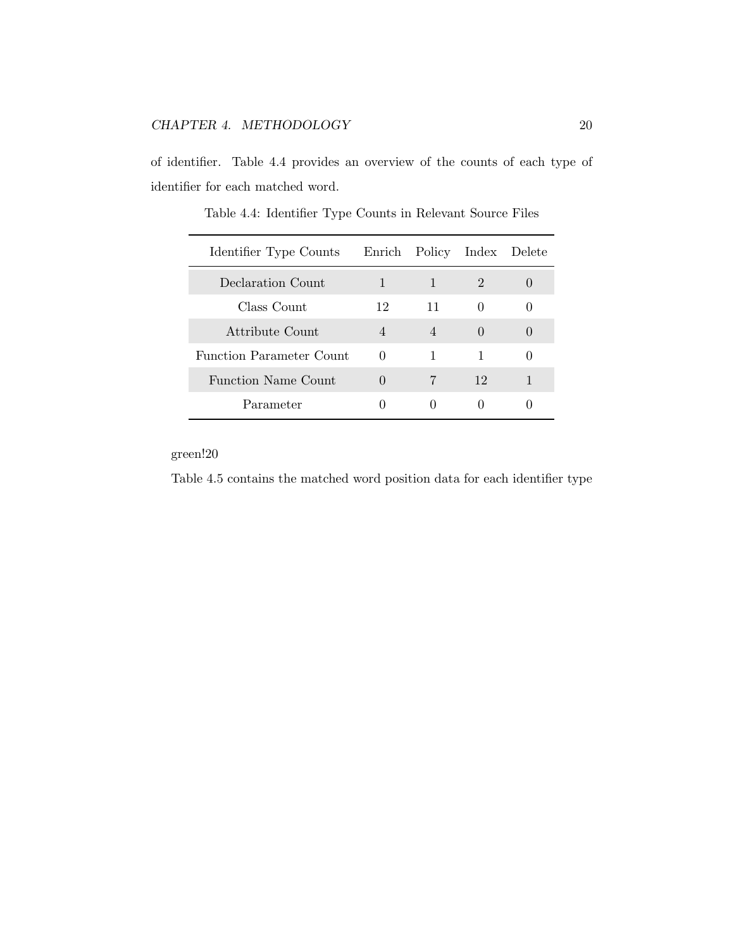of identifier. Table 4.4 provides an overview of the counts of each type of identifier for each matched word.

| Identifier Type Counts     |                  | Enrich Policy Index Delete |                  |  |
|----------------------------|------------------|----------------------------|------------------|--|
| Declaration Count.         | 1                | $\mathbf{1}$               | 2                |  |
| Class Count                | 12               | 11                         | $\left( \right)$ |  |
| Attribute Count            | 4                | $\overline{4}$             | $\left( \right)$ |  |
| Function Parameter Count   | $\theta$         | 1                          | 1                |  |
| <b>Function Name Count</b> | $\left( \right)$ | 7                          | 12               |  |
| Parameter                  |                  |                            |                  |  |

Table 4.4: Identifier Type Counts in Relevant Source Files

green!20

Table 4.5 contains the matched word position data for each identifier type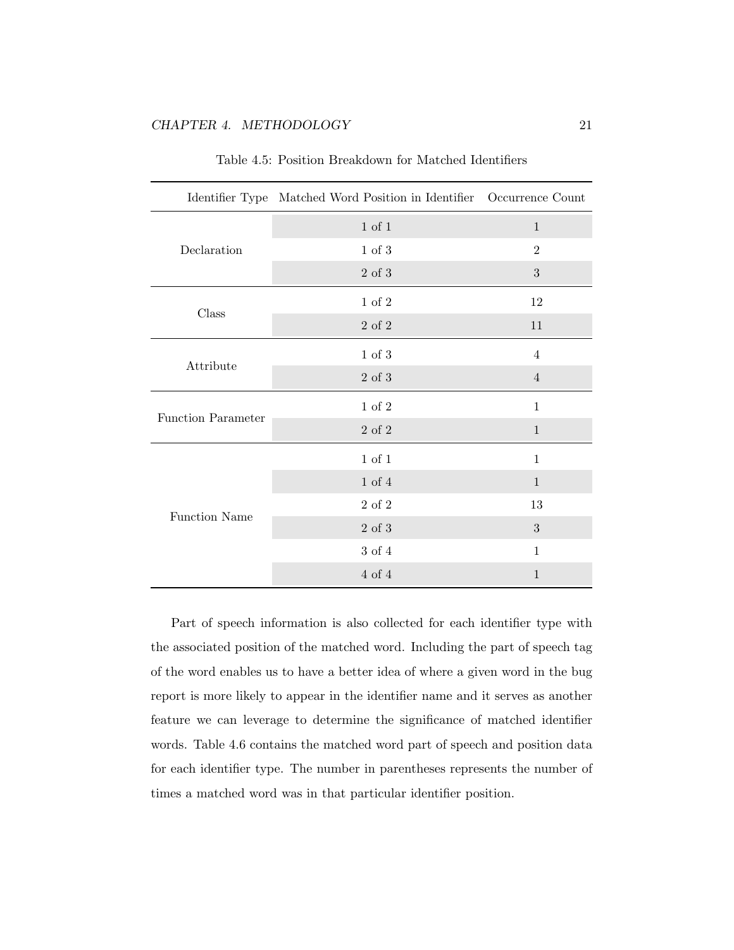|                           | Identifier Type Matched Word Position in Identifier Occurrence Count |                |
|---------------------------|----------------------------------------------------------------------|----------------|
|                           | 1 of 1                                                               | $\mathbf{1}$   |
| Declaration               | 1 of 3                                                               | 2              |
|                           | $2\,$ of $3\,$                                                       | 3              |
|                           | 1 of 2                                                               | 12             |
| Class                     | $2\,$ of $2\,$                                                       | 11             |
|                           | $1$ of $3$                                                           | $\overline{4}$ |
| Attribute                 | $2\,$ of $3\,$                                                       | $\overline{4}$ |
|                           | 1 of 2                                                               | 1              |
| <b>Function Parameter</b> | $2\,$ of $2\,$                                                       | $\mathbf{1}$   |
|                           | $1$ of $1$                                                           | $\mathbf{1}$   |
|                           | $1$ of $4$                                                           | $\mathbf{1}$   |
| <b>Function Name</b>      | $2\,$ of $2\,$                                                       | 13             |
|                           | $2$ of $3\,$                                                         | 3              |
|                           | 3 of 4                                                               | $\mathbf{1}$   |
|                           | 4 of 4                                                               | $\mathbf{1}$   |

Table 4.5: Position Breakdown for Matched Identifiers

Part of speech information is also collected for each identifier type with the associated position of the matched word. Including the part of speech tag of the word enables us to have a better idea of where a given word in the bug report is more likely to appear in the identifier name and it serves as another feature we can leverage to determine the significance of matched identifier words. Table 4.6 contains the matched word part of speech and position data for each identifier type. The number in parentheses represents the number of times a matched word was in that particular identifier position.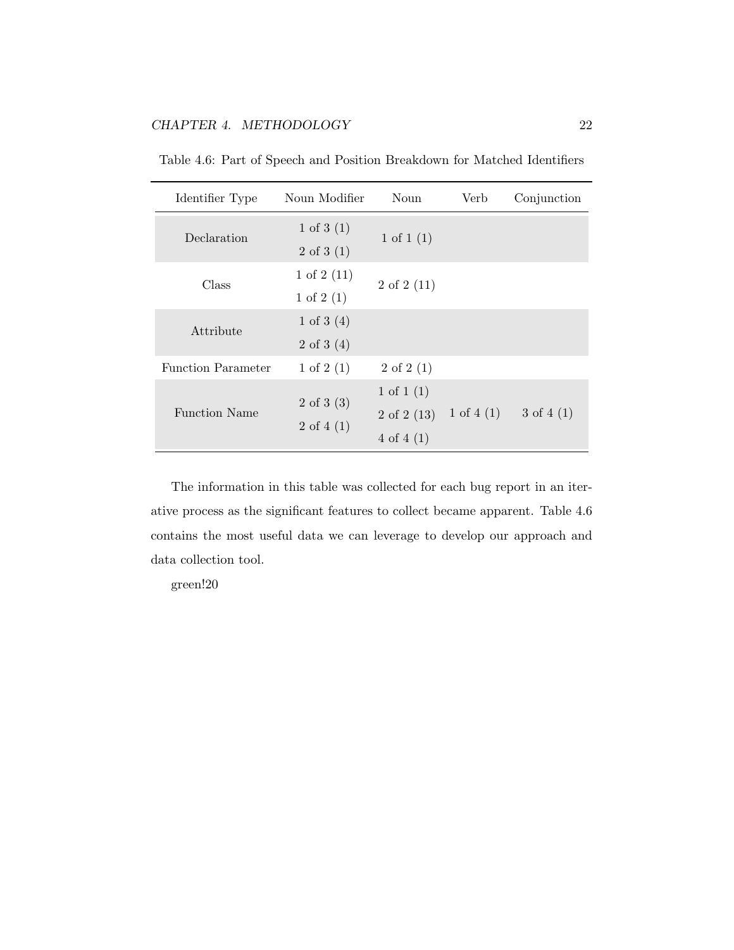| Identifier Type           | Noun Modifier                                         | Noun                                                          | Verb         | Conjunction  |
|---------------------------|-------------------------------------------------------|---------------------------------------------------------------|--------------|--------------|
| Declaration               | 1 of 3 $(1)$<br>$2 \text{ of } 3(1)$                  | 1 of 1 $(1)$                                                  |              |              |
| Class                     | 1 of $2(11)$<br>1 of $2(1)$                           | $2 \text{ of } 2(11)$                                         |              |              |
| Attribute                 | 1 of 3 $(4)$<br>$2 \text{ of } 3 \text{ (4)}$         |                                                               |              |              |
| <b>Function Parameter</b> | 1 of $2(1)$                                           | $2 \text{ of } 2(1)$                                          |              |              |
| <b>Function Name</b>      | $2 \text{ of } 3 \text{ (3)}$<br>$2 \text{ of } 4(1)$ | 1 of 1 $(1)$<br>$2 \text{ of } 2(13)$<br>$4 \text{ of } 4(1)$ | 1 of 4 $(1)$ | 3 of 4 $(1)$ |

Table 4.6: Part of Speech and Position Breakdown for Matched Identifiers

The information in this table was collected for each bug report in an iterative process as the significant features to collect became apparent. Table 4.6 contains the most useful data we can leverage to develop our approach and data collection tool.

green!20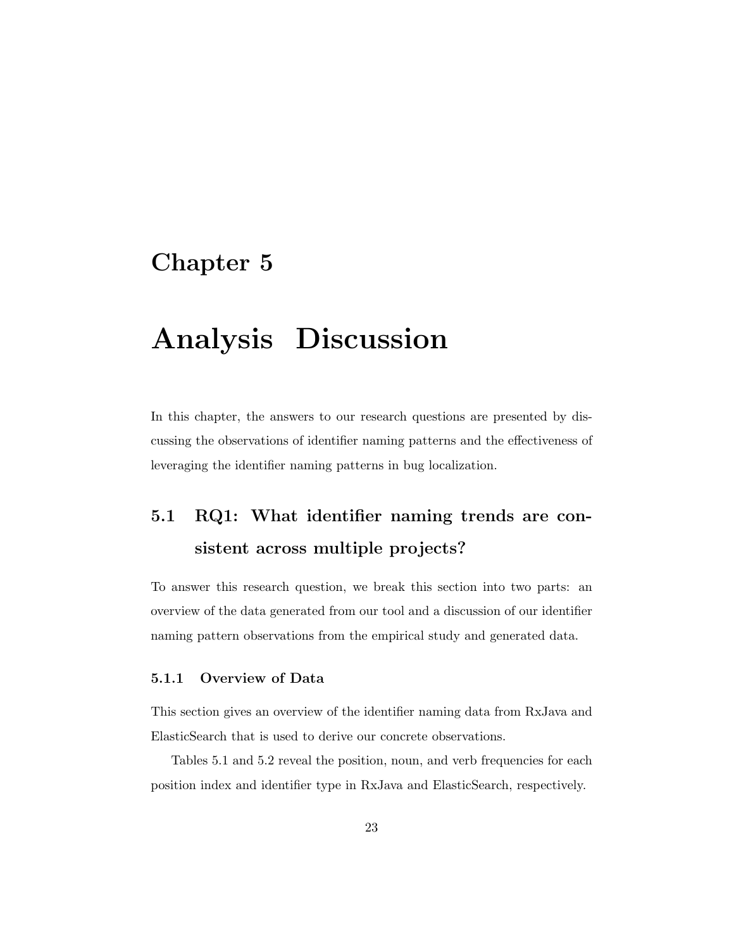### Chapter 5

## Analysis Discussion

In this chapter, the answers to our research questions are presented by discussing the observations of identifier naming patterns and the effectiveness of leveraging the identifier naming patterns in bug localization.

### 5.1 RQ1: What identifier naming trends are consistent across multiple projects?

To answer this research question, we break this section into two parts: an overview of the data generated from our tool and a discussion of our identifier naming pattern observations from the empirical study and generated data.

#### 5.1.1 Overview of Data

This section gives an overview of the identifier naming data from RxJava and ElasticSearch that is used to derive our concrete observations.

Tables 5.1 and 5.2 reveal the position, noun, and verb frequencies for each position index and identifier type in RxJava and ElasticSearch, respectively.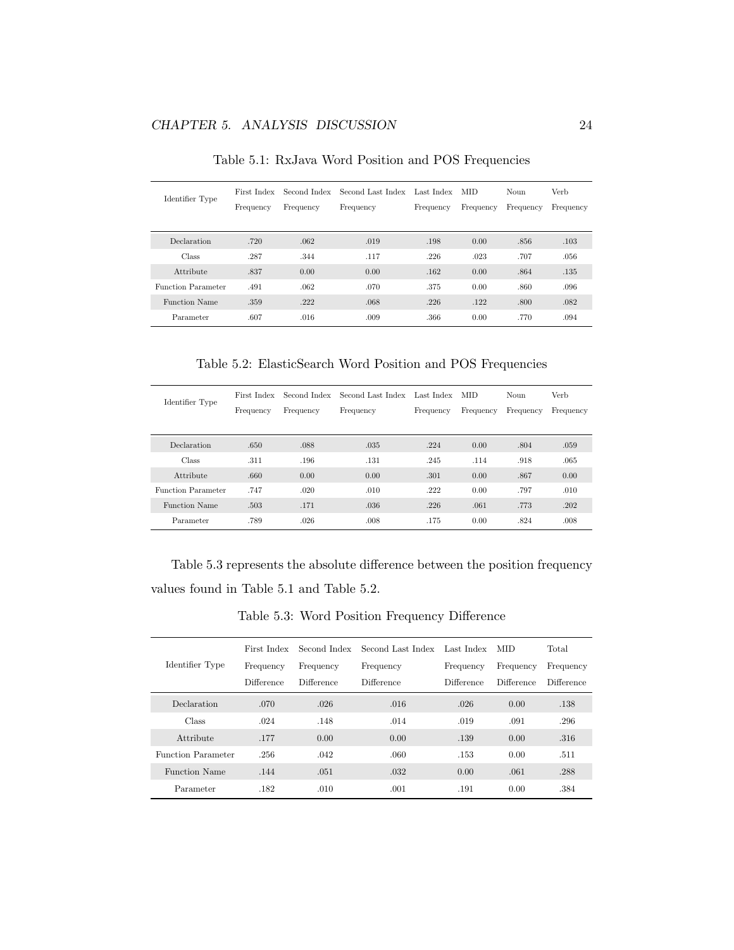| Identifier Type           | First Index<br>Frequency | Second Index<br>Frequency | Second Last Index<br>Frequency | Last Index<br>Frequency | <b>MID</b><br>Frequency | Noun<br>Frequency | Verb<br>Frequency |
|---------------------------|--------------------------|---------------------------|--------------------------------|-------------------------|-------------------------|-------------------|-------------------|
| Declaration               | .720                     | .062                      | .019                           | .198                    | 0.00                    | .856              | .103              |
| Class                     | .287                     | .344                      | .117                           | .226                    | .023                    | .707              | .056              |
| Attribute                 | .837                     | 0.00                      | 0.00                           | .162                    | 0.00                    | .864              | .135              |
| <b>Function Parameter</b> | .491                     | .062                      | .070                           | .375                    | 0.00                    | .860              | .096              |
| <b>Function Name</b>      | .359                     | .222                      | .068                           | .226                    | .122                    | .800              | .082              |
| Parameter                 | .607                     | .016                      | .009                           | .366                    | 0.00                    | .770              | .094              |

Table 5.1: RxJava Word Position and POS Frequencies

Table 5.2: ElasticSearch Word Position and POS Frequencies

| Identifier Type           | First Index<br>Frequency | Second Index<br>Frequency | Second Last Index<br>Frequency | Last Index<br>Frequency | <b>MID</b><br>Frequency | Noun<br>Frequency | Verb<br>Frequency |
|---------------------------|--------------------------|---------------------------|--------------------------------|-------------------------|-------------------------|-------------------|-------------------|
| Declaration               | .650                     | .088                      | .035                           | .224                    | 0.00                    | .804              | .059              |
| Class                     | .311                     | .196                      | .131                           | .245                    | .114                    | .918              | .065              |
| Attribute                 | .660                     | 0.00                      | 0.00                           | .301                    | 0.00                    | .867              | 0.00              |
| <b>Function Parameter</b> | .747                     | .020                      | .010                           | .222                    | 0.00                    | .797              | .010              |
| <b>Function Name</b>      | .503                     | .171                      | .036                           | .226                    | .061                    | .773              | .202              |
| Parameter                 | .789                     | .026                      | .008                           | .175                    | 0.00                    | .824              | .008              |

Table 5.3 represents the absolute difference between the position frequency values found in Table 5.1 and Table 5.2.

Table 5.3: Word Position Frequency Difference

|                      | First Index | Second Index | Second Last Index | Last Index | MID.       | Total      |
|----------------------|-------------|--------------|-------------------|------------|------------|------------|
| Identifier Type      | Frequency   | Frequency    | Frequency         | Frequency  | Frequency  | Frequency  |
|                      | Difference  | Difference   | Difference        | Difference | Difference | Difference |
| Declaration          | .070        | .026         | .016              | .026       | 0.00       | .138       |
| Class                | .024        | .148         | .014              | .019       | .091       | .296       |
| Attribute            | .177        | 0.00         | 0.00              | .139       | 0.00       | .316       |
| Function Parameter   | .256        | .042         | .060              | .153       | 0.00       | .511       |
| <b>Function Name</b> | .144        | .051         | .032              | 0.00       | .061       | .288       |
| Parameter            | .182        | .010         | .001              | .191       | 0.00       | .384       |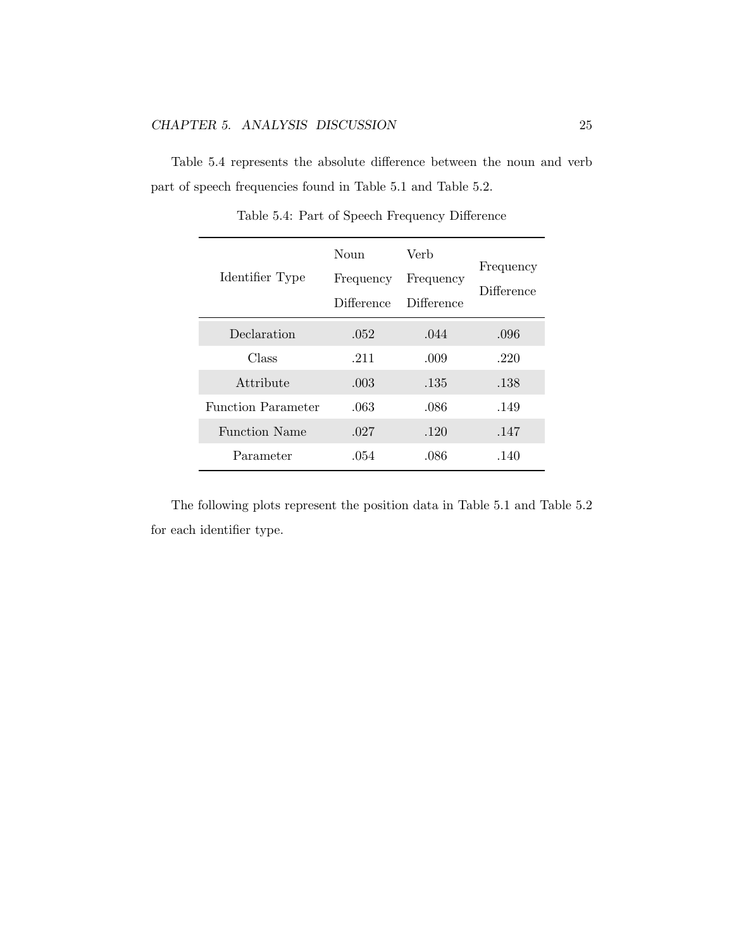Table 5.4 represents the absolute difference between the noun and verb part of speech frequencies found in Table 5.1 and Table 5.2.

| Identifier Type           | Noun<br>Frequency<br>Difference | Verb<br>Frequency<br>Difference | Frequency<br>Difference |
|---------------------------|---------------------------------|---------------------------------|-------------------------|
| Declaration               | .052                            | .044                            | .096                    |
| Class                     | .211                            | .009                            | .220                    |
| Attribute                 | .003                            | .135                            | .138                    |
| <b>Function Parameter</b> | .063                            | .086                            | .149                    |
| <b>Function Name</b>      | .027                            | .120                            | .147                    |
| Parameter                 | .054                            | .086                            | .140                    |

Table 5.4: Part of Speech Frequency Difference

The following plots represent the position data in Table  $5.1$  and Table  $5.2\,$ for each identifier type.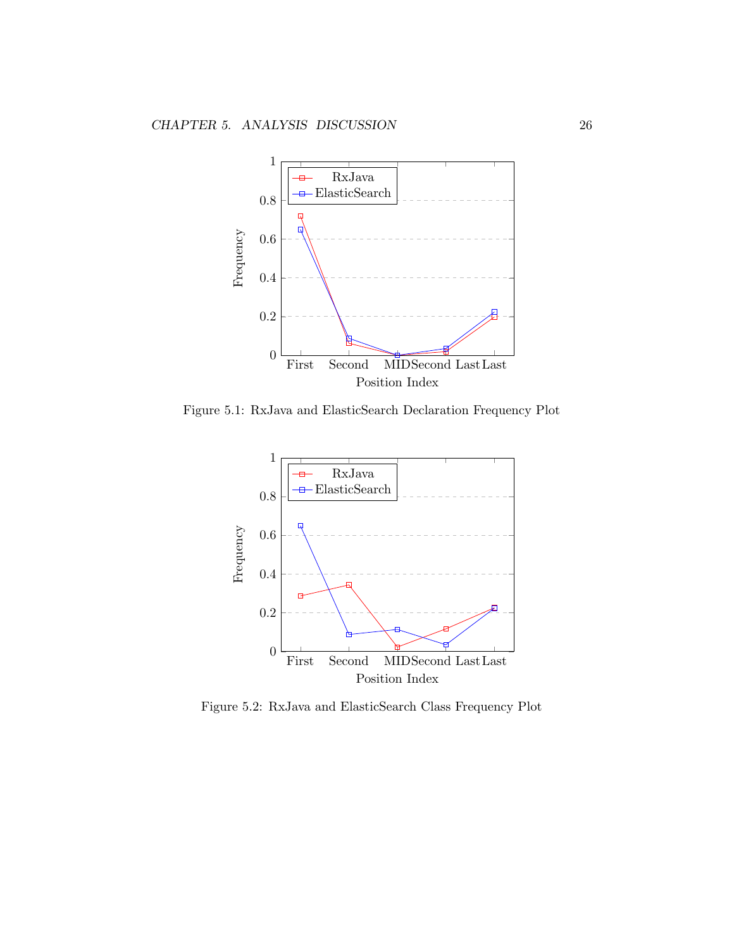

Figure 5.1: RxJava and ElasticSearch Declaration Frequency Plot



Figure 5.2: RxJava and ElasticSearch Class Frequency Plot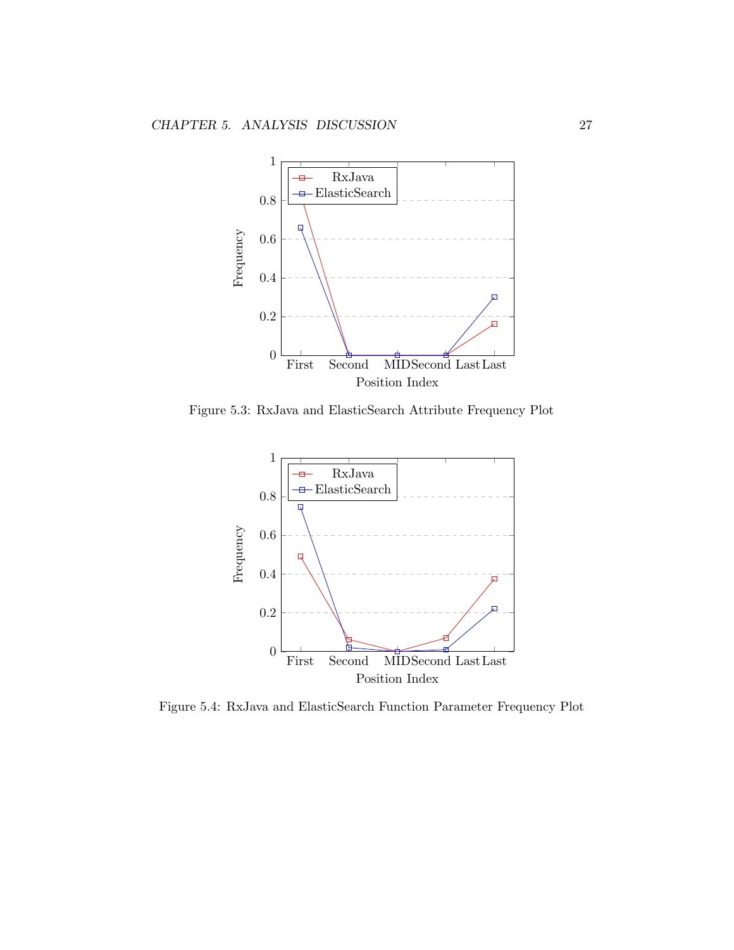

Figure 5.3: RxJava and ElasticSearch Attribute Frequency Plot



Figure 5.4: RxJava and ElasticSearch Function Parameter Frequency Plot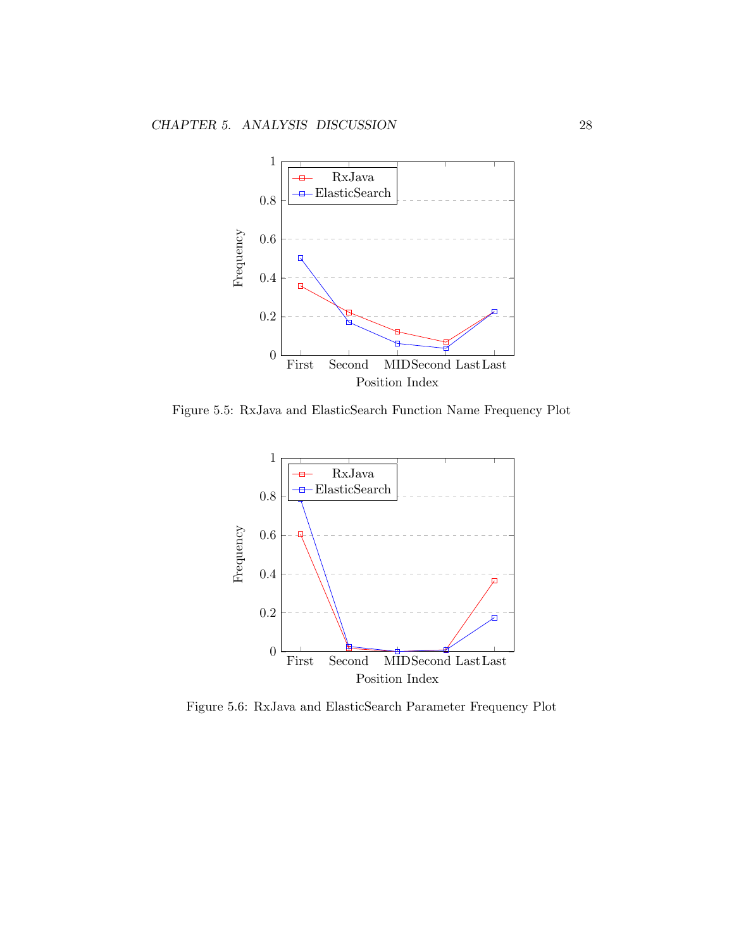

Figure 5.5: RxJava and ElasticSearch Function Name Frequency Plot



Figure 5.6: RxJava and ElasticSearch Parameter Frequency Plot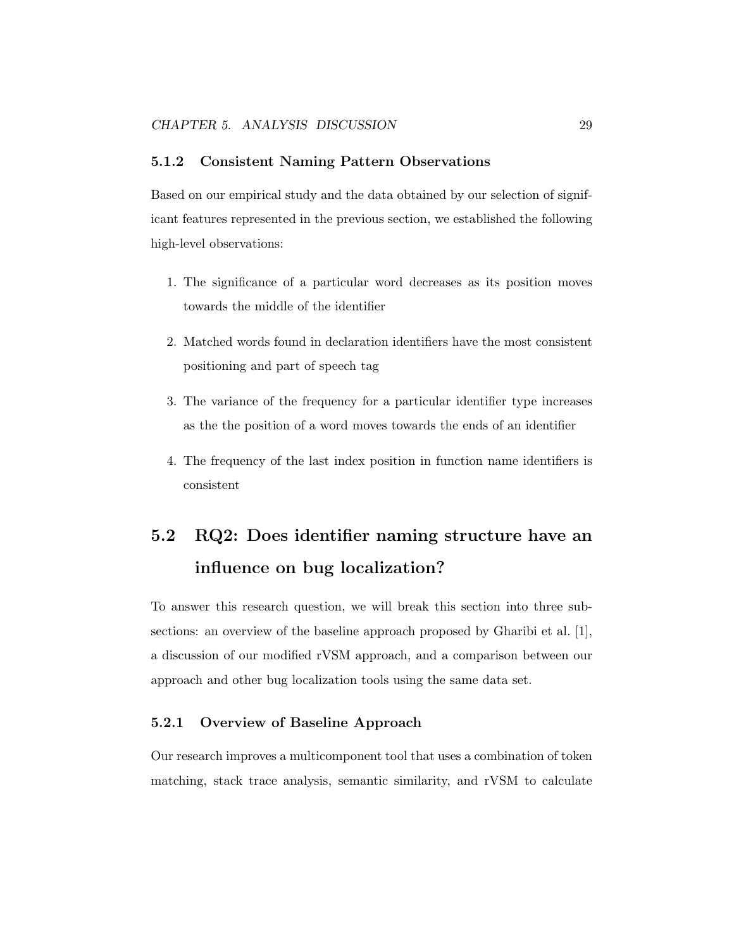#### 5.1.2 Consistent Naming Pattern Observations

Based on our empirical study and the data obtained by our selection of significant features represented in the previous section, we established the following high-level observations:

- 1. The significance of a particular word decreases as its position moves towards the middle of the identifier
- 2. Matched words found in declaration identifiers have the most consistent positioning and part of speech tag
- 3. The variance of the frequency for a particular identifier type increases as the the position of a word moves towards the ends of an identifier
- 4. The frequency of the last index position in function name identifiers is consistent

## 5.2 RQ2: Does identifier naming structure have an influence on bug localization?

To answer this research question, we will break this section into three subsections: an overview of the baseline approach proposed by Gharibi et al. [1], a discussion of our modified rVSM approach, and a comparison between our approach and other bug localization tools using the same data set.

#### 5.2.1 Overview of Baseline Approach

Our research improves a multicomponent tool that uses a combination of token matching, stack trace analysis, semantic similarity, and rVSM to calculate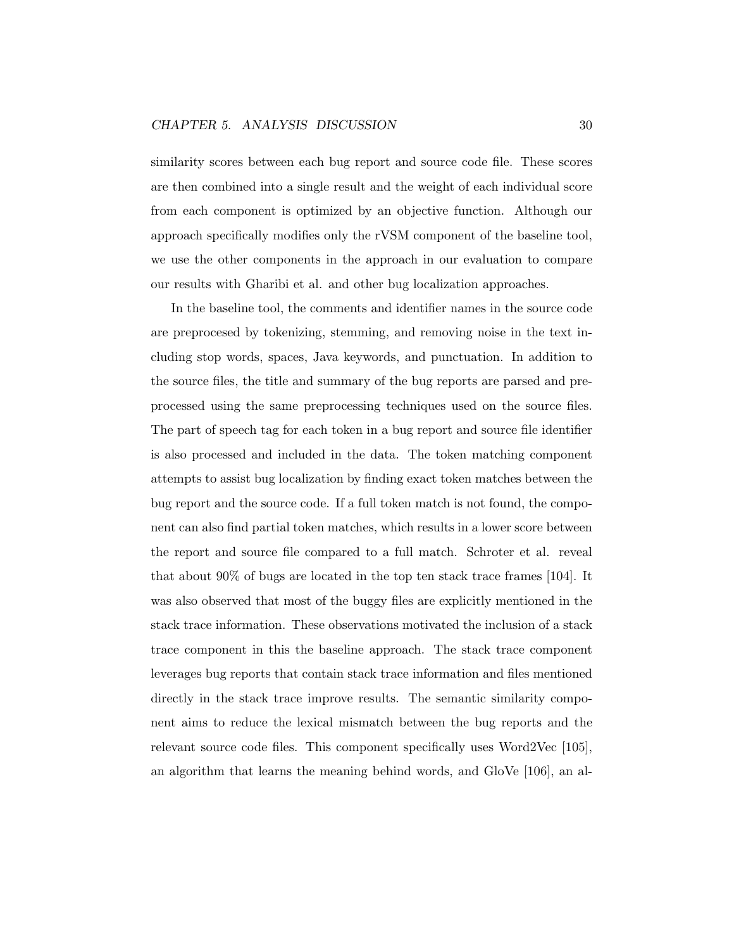#### CHAPTER 5. ANALYSIS DISCUSSION 30

similarity scores between each bug report and source code file. These scores are then combined into a single result and the weight of each individual score from each component is optimized by an objective function. Although our approach specifically modifies only the rVSM component of the baseline tool, we use the other components in the approach in our evaluation to compare our results with Gharibi et al. and other bug localization approaches.

In the baseline tool, the comments and identifier names in the source code are preprocesed by tokenizing, stemming, and removing noise in the text including stop words, spaces, Java keywords, and punctuation. In addition to the source files, the title and summary of the bug reports are parsed and preprocessed using the same preprocessing techniques used on the source files. The part of speech tag for each token in a bug report and source file identifier is also processed and included in the data. The token matching component attempts to assist bug localization by finding exact token matches between the bug report and the source code. If a full token match is not found, the component can also find partial token matches, which results in a lower score between the report and source file compared to a full match. Schroter et al. reveal that about 90% of bugs are located in the top ten stack trace frames [104]. It was also observed that most of the buggy files are explicitly mentioned in the stack trace information. These observations motivated the inclusion of a stack trace component in this the baseline approach. The stack trace component leverages bug reports that contain stack trace information and files mentioned directly in the stack trace improve results. The semantic similarity component aims to reduce the lexical mismatch between the bug reports and the relevant source code files. This component specifically uses Word2Vec [105], an algorithm that learns the meaning behind words, and GloVe [106], an al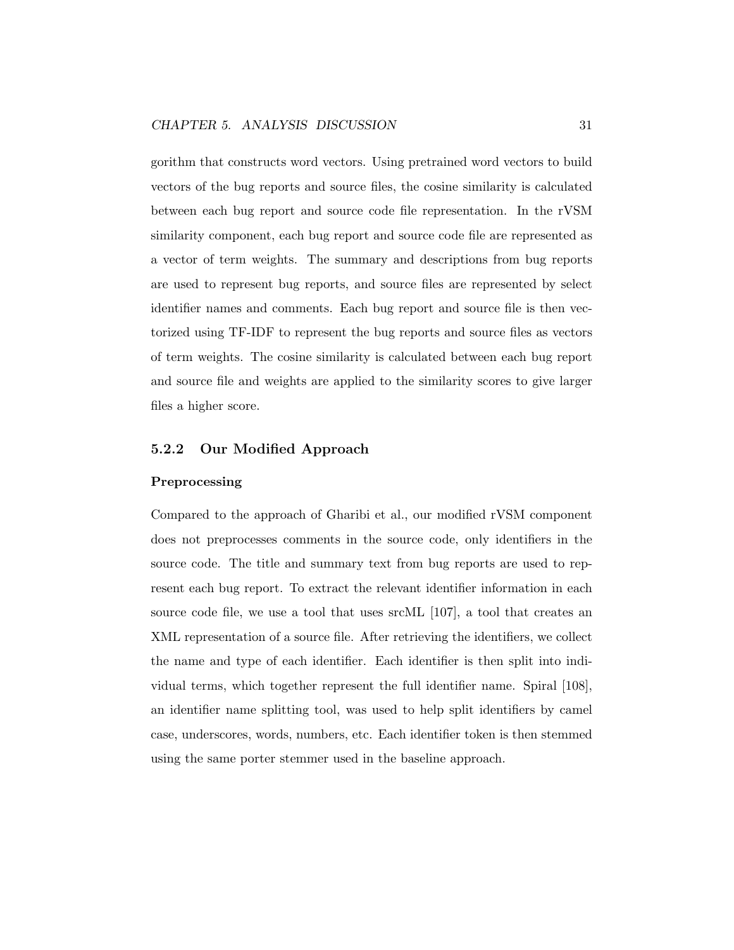gorithm that constructs word vectors. Using pretrained word vectors to build vectors of the bug reports and source files, the cosine similarity is calculated between each bug report and source code file representation. In the rVSM similarity component, each bug report and source code file are represented as a vector of term weights. The summary and descriptions from bug reports are used to represent bug reports, and source files are represented by select identifier names and comments. Each bug report and source file is then vectorized using TF-IDF to represent the bug reports and source files as vectors of term weights. The cosine similarity is calculated between each bug report and source file and weights are applied to the similarity scores to give larger files a higher score.

#### 5.2.2 Our Modified Approach

#### Preprocessing

Compared to the approach of Gharibi et al., our modified rVSM component does not preprocesses comments in the source code, only identifiers in the source code. The title and summary text from bug reports are used to represent each bug report. To extract the relevant identifier information in each source code file, we use a tool that uses srcML [107], a tool that creates an XML representation of a source file. After retrieving the identifiers, we collect the name and type of each identifier. Each identifier is then split into individual terms, which together represent the full identifier name. Spiral [108], an identifier name splitting tool, was used to help split identifiers by camel case, underscores, words, numbers, etc. Each identifier token is then stemmed using the same porter stemmer used in the baseline approach.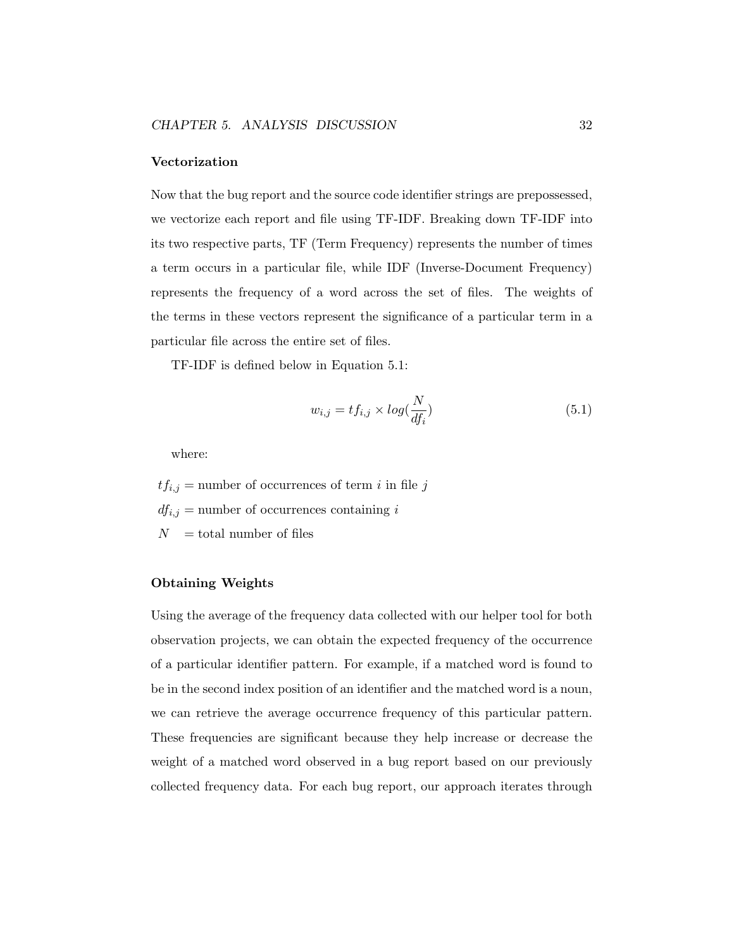#### Vectorization

Now that the bug report and the source code identifier strings are prepossessed, we vectorize each report and file using TF-IDF. Breaking down TF-IDF into its two respective parts, TF (Term Frequency) represents the number of times a term occurs in a particular file, while IDF (Inverse-Document Frequency) represents the frequency of a word across the set of files. The weights of the terms in these vectors represent the significance of a particular term in a particular file across the entire set of files.

TF-IDF is defined below in Equation 5.1:

$$
w_{i,j} = tf_{i,j} \times \log(\frac{N}{df_i})
$$
\n(5.1)

where:

 $tf_{i,j}$  = number of occurrences of term *i* in file *j* 

 $df_{i,j}$  = number of occurrences containing *i* 

 $N =$  total number of files

#### Obtaining Weights

Using the average of the frequency data collected with our helper tool for both observation projects, we can obtain the expected frequency of the occurrence of a particular identifier pattern. For example, if a matched word is found to be in the second index position of an identifier and the matched word is a noun, we can retrieve the average occurrence frequency of this particular pattern. These frequencies are significant because they help increase or decrease the weight of a matched word observed in a bug report based on our previously collected frequency data. For each bug report, our approach iterates through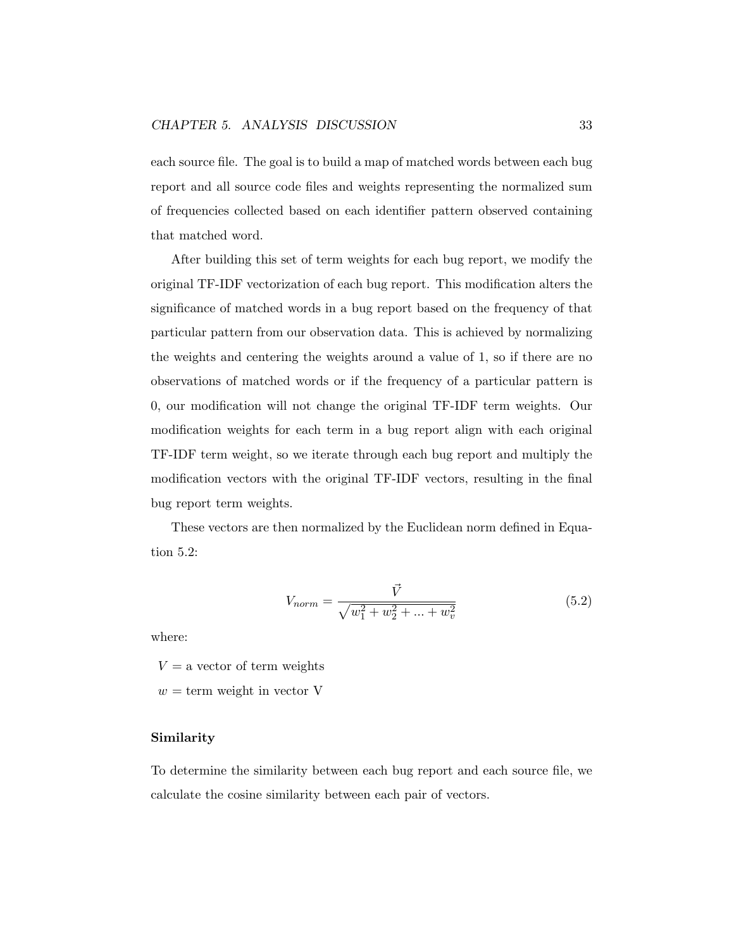each source file. The goal is to build a map of matched words between each bug report and all source code files and weights representing the normalized sum of frequencies collected based on each identifier pattern observed containing that matched word.

After building this set of term weights for each bug report, we modify the original TF-IDF vectorization of each bug report. This modification alters the significance of matched words in a bug report based on the frequency of that particular pattern from our observation data. This is achieved by normalizing the weights and centering the weights around a value of 1, so if there are no observations of matched words or if the frequency of a particular pattern is 0, our modification will not change the original TF-IDF term weights. Our modification weights for each term in a bug report align with each original TF-IDF term weight, so we iterate through each bug report and multiply the modification vectors with the original TF-IDF vectors, resulting in the final bug report term weights.

These vectors are then normalized by the Euclidean norm defined in Equation 5.2:

$$
V_{norm} = \frac{\vec{V}}{\sqrt{w_1^2 + w_2^2 + \dots + w_v^2}}
$$
(5.2)

where:

 $V = a$  vector of term weights

 $w = \text{term weight}$  in vector V

#### Similarity

To determine the similarity between each bug report and each source file, we calculate the cosine similarity between each pair of vectors.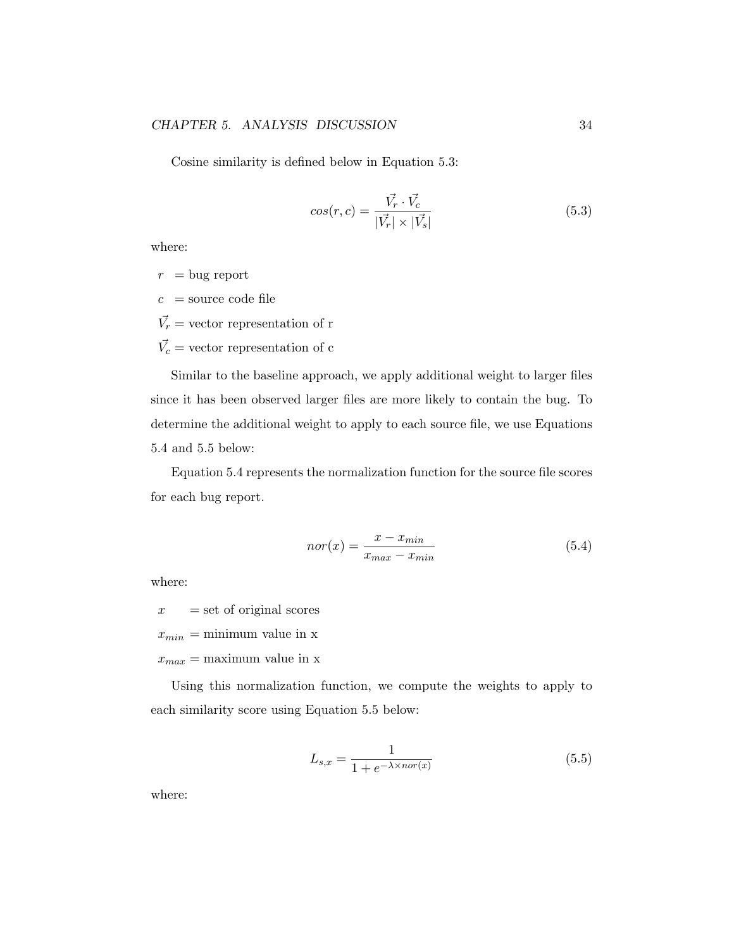Cosine similarity is defined below in Equation 5.3:

$$
cos(r, c) = \frac{\vec{V_r} \cdot \vec{V_c}}{|\vec{V_r}| \times |\vec{V_s}|}
$$
\n(5.3)

where:

- $r = \text{bug report}$
- $c =$ source code file

 $\vec{V_r}$  = vector representation of r

 $\vec{V_c}$  = vector representation of c

Similar to the baseline approach, we apply additional weight to larger files since it has been observed larger files are more likely to contain the bug. To determine the additional weight to apply to each source file, we use Equations 5.4 and 5.5 below:

Equation 5.4 represents the normalization function for the source file scores for each bug report.

$$
nor(x) = \frac{x - x_{min}}{x_{max} - x_{min}}\tag{5.4}
$$

where:

 $x = set of original scores$ 

 $x_{min} = \text{minimum value in } x$ 

 $x_{max} =$  maximum value in x

Using this normalization function, we compute the weights to apply to each similarity score using Equation 5.5 below:

$$
L_{s,x} = \frac{1}{1 + e^{-\lambda \times nor(x)}}\tag{5.5}
$$

where: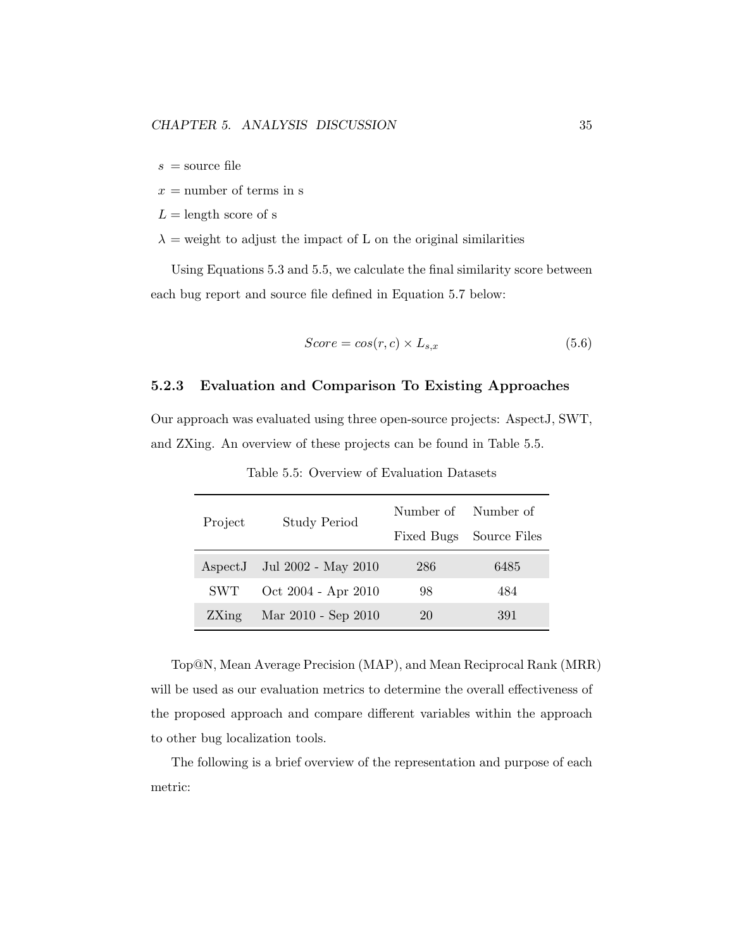$s =$ source file

$$
x =
$$
number of terms in s

 $L =$ length score of s

 $\lambda$  = weight to adjust the impact of L on the original similarities

Using Equations 5.3 and 5.5, we calculate the final similarity score between each bug report and source file defined in Equation 5.7 below:

$$
Score = cos(r, c) \times L_{s,x} \tag{5.6}
$$

#### 5.2.3 Evaluation and Comparison To Existing Approaches

Our approach was evaluated using three open-source projects: AspectJ, SWT, and ZXing. An overview of these projects can be found in Table 5.5.

| Project          | <b>Study Period</b> | Number of Number of |              |  |
|------------------|---------------------|---------------------|--------------|--|
|                  |                     | Fixed Bugs          | Source Files |  |
| $\text{AspectJ}$ | Jul 2002 - May 2010 | 286                 | 6485         |  |
| <b>SWT</b>       | Oct 2004 - Apr 2010 | 98                  | 484          |  |
| 2Xing            | Mar 2010 - Sep 2010 | 20                  | 391          |  |

Table 5.5: Overview of Evaluation Datasets

Top@N, Mean Average Precision (MAP), and Mean Reciprocal Rank (MRR) will be used as our evaluation metrics to determine the overall effectiveness of the proposed approach and compare different variables within the approach to other bug localization tools.

The following is a brief overview of the representation and purpose of each metric: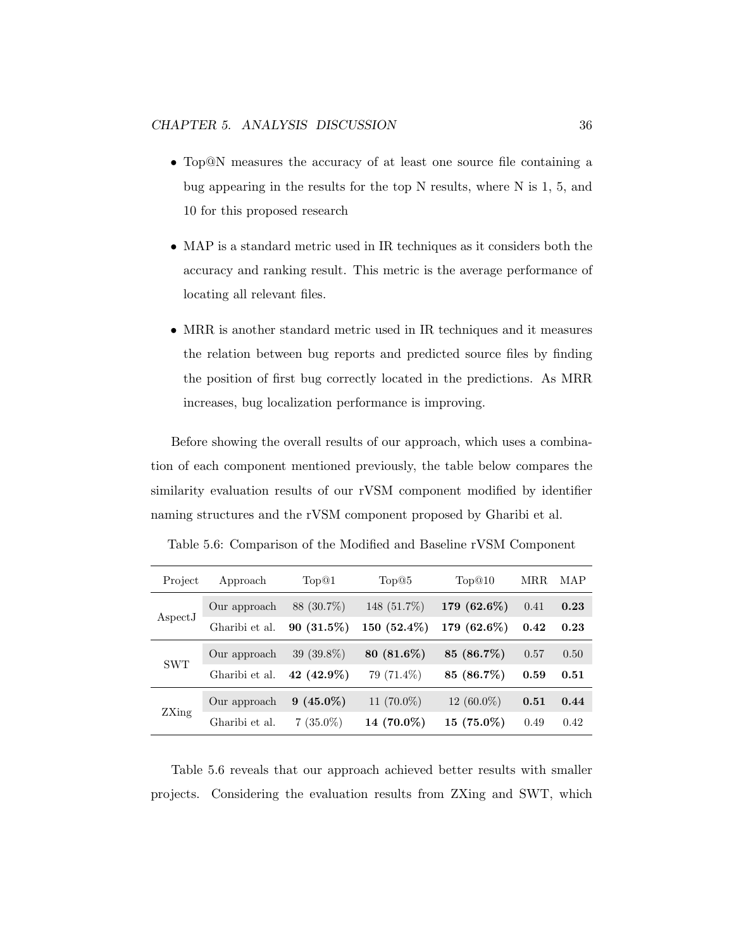- Top@N measures the accuracy of at least one source file containing a bug appearing in the results for the top N results, where N is 1, 5, and 10 for this proposed research
- MAP is a standard metric used in IR techniques as it considers both the accuracy and ranking result. This metric is the average performance of locating all relevant files.
- MRR is another standard metric used in IR techniques and it measures the relation between bug reports and predicted source files by finding the position of first bug correctly located in the predictions. As MRR increases, bug localization performance is improving.

Before showing the overall results of our approach, which uses a combination of each component mentioned previously, the table below compares the similarity evaluation results of our rVSM component modified by identifier naming structures and the rVSM component proposed by Gharibi et al.

| Project    | Approach       | Top@1        | Top@5         | Top@10        | MRR  | MAP  |
|------------|----------------|--------------|---------------|---------------|------|------|
| AspectJ    | Our approach   | 88 (30.7%)   | 148 (51.7%)   | $179(62.6\%)$ | 0.41 | 0.23 |
|            | Gharibi et al. | $90(31.5\%)$ | $150(52.4\%)$ | $179(62.6\%)$ | 0.42 | 0.23 |
| <b>SWT</b> | Our approach   | $39(39.8\%)$ | $80(81.6\%)$  | 85 (86.7%)    | 0.57 | 0.50 |
|            | Gharibi et al. | 42 (42.9%)   | 79 (71.4%)    | 85 (86.7%)    | 0.59 | 0.51 |
| ZXing      | Our approach   | $9(45.0\%)$  | 11 $(70.0\%)$ | $12(60.0\%)$  | 0.51 | 0.44 |
|            | Gharibi et al. | $7(35.0\%)$  | 14 $(70.0\%)$ | $15(75.0\%)$  | 0.49 | 0.42 |

Table 5.6: Comparison of the Modified and Baseline rVSM Component

Table 5.6 reveals that our approach achieved better results with smaller projects. Considering the evaluation results from ZXing and SWT, which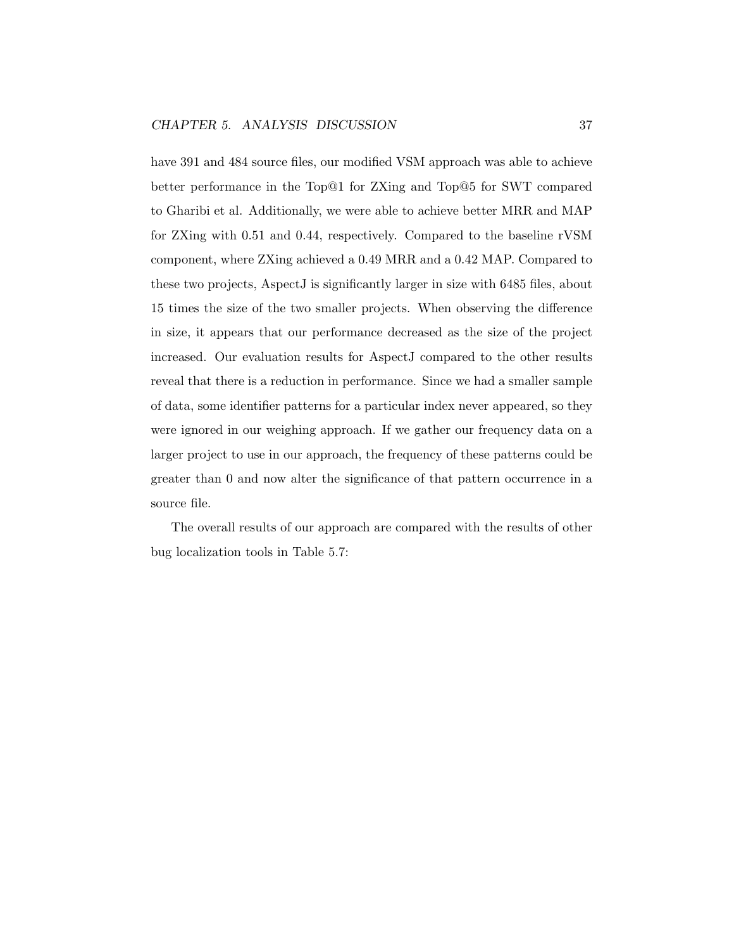have 391 and 484 source files, our modified VSM approach was able to achieve better performance in the Top@1 for ZXing and Top@5 for SWT compared to Gharibi et al. Additionally, we were able to achieve better MRR and MAP for ZXing with 0.51 and 0.44, respectively. Compared to the baseline rVSM component, where ZXing achieved a 0.49 MRR and a 0.42 MAP. Compared to these two projects, AspectJ is significantly larger in size with 6485 files, about 15 times the size of the two smaller projects. When observing the difference in size, it appears that our performance decreased as the size of the project increased. Our evaluation results for AspectJ compared to the other results reveal that there is a reduction in performance. Since we had a smaller sample of data, some identifier patterns for a particular index never appeared, so they were ignored in our weighing approach. If we gather our frequency data on a larger project to use in our approach, the frequency of these patterns could be greater than 0 and now alter the significance of that pattern occurrence in a source file.

The overall results of our approach are compared with the results of other bug localization tools in Table 5.7: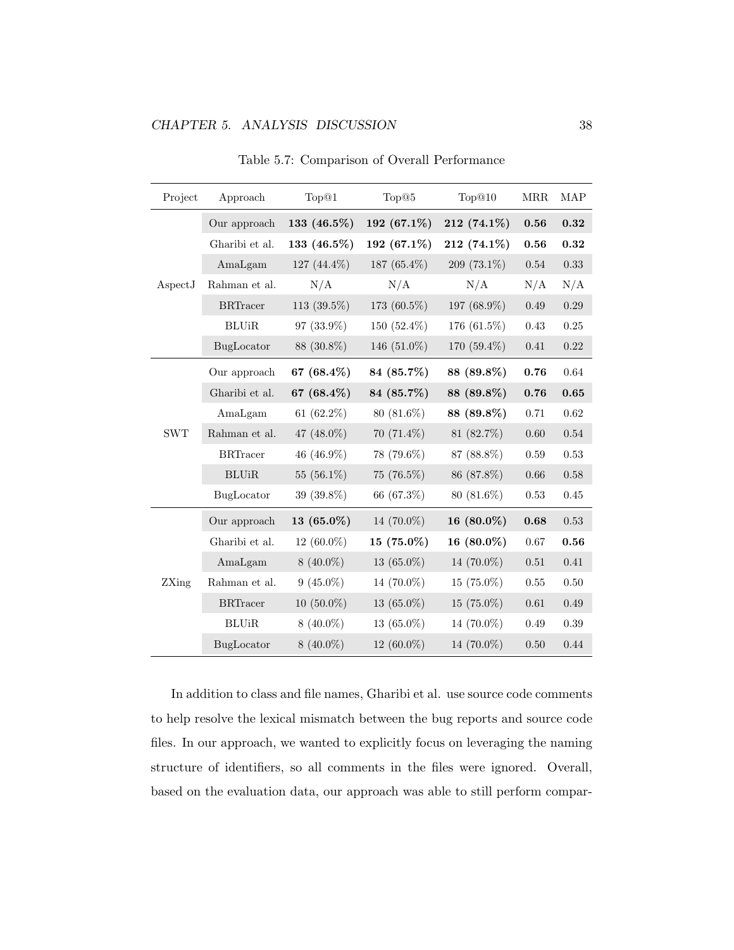| Project    | Approach                  | Top <sup>@1</sup> | Top@5         | Top@10        | <b>MRR</b> | <b>MAP</b> |
|------------|---------------------------|-------------------|---------------|---------------|------------|------------|
| AspectJ    | Our approach              | 133 (46.5%)       | 192 (67.1%)   | 212 (74.1%)   | 0.56       | 0.32       |
|            | Gharibi et al.            | 133 (46.5%)       | 192 (67.1%)   | 212 (74.1%)   | $\bf 0.56$ | 0.32       |
|            | AmaLgam                   | 127 (44.4%)       | 187 (65.4%)   | 209 (73.1%)   | $0.54\,$   | 0.33       |
|            | Rahman et al.             | N/A               | N/A           | N/A           | N/A        | N/A        |
|            | $\operatorname{BRTracer}$ | 113 (39.5%)       | 173 (60.5%)   | 197 (68.9%)   | 0.49       | $0.29\,$   |
|            | BLUiR                     | 97 (33.9%)        | 150 (52.4%)   | 176 (61.5%)   | $0.43\,$   | 0.25       |
|            | BugLocator                | 88 (30.8%)        | 146 (51.0%)   | 170 (59.4%)   | 0.41       | 0.22       |
| <b>SWT</b> | Our approach              | 67 $(68.4\%)$     | 84 (85.7%)    | 88 (89.8%)    | 0.76       | 0.64       |
|            | Gharibi et al.            | 67 $(68.4\%)$     | 84 (85.7%)    | 88 (89.8%)    | 0.76       | 0.65       |
|            | AmaLgam                   | 61 $(62.2\%)$     | 80 (81.6%)    | 88 (89.8%)    | 0.71       | 0.62       |
|            | Rahman et al.             | 47 (48.0%)        | $70(71.4\%)$  | 81 (82.7%)    | 0.60       | 0.54       |
|            | <b>BRTracer</b>           | 46 (46.9%)        | 78 (79.6%)    | 87 (88.8%)    | 0.59       | 0.53       |
|            | <b>BLUiR</b>              | 55 $(56.1\%)$     | 75 (76.5%)    | 86 (87.8%)    | 0.66       | 0.58       |
|            | BugLocator                | 39 (39.8%)        | 66 (67.3%)    | $80(81.6\%)$  | 0.53       | 0.45       |
| ZXing      | Our approach              | 13 $(65.0\%)$     | 14 (70.0%)    | 16 $(80.0\%)$ | 0.68       | 0.53       |
|            | Gharibi et al.            | 12 $(60.0\%)$     | $15(75.0\%)$  | 16 $(80.0\%)$ | 0.67       | 0.56       |
|            | AmaLgam                   | $8(40.0\%)$       | 13 $(65.0\%)$ | 14 (70.0%)    | 0.51       | 0.41       |
|            | Rahman et al.             | $9(45.0\%)$       | 14 (70.0%)    | $15(75.0\%)$  | 0.55       | 0.50       |
|            | <b>BRTracer</b>           | $10(50.0\%)$      | 13 $(65.0\%)$ | $15(75.0\%)$  | 0.61       | 0.49       |
|            | <b>BLUiR</b>              | $8(40.0\%)$       | 13 $(65.0\%)$ | 14 (70.0%)    | 0.49       | 0.39       |
|            | BugLocator                | $8(40.0\%)$       | 12 (60.0%)    | 14 (70.0%)    | $0.50\,$   | 0.44       |

Table 5.7: Comparison of Overall Performance

In addition to class and file names, Gharibi et al. use source code comments to help resolve the lexical mismatch between the bug reports and source code files. In our approach, we wanted to explicitly focus on leveraging the naming structure of identifiers, so all comments in the files were ignored. Overall, based on the evaluation data, our approach was able to still perform compar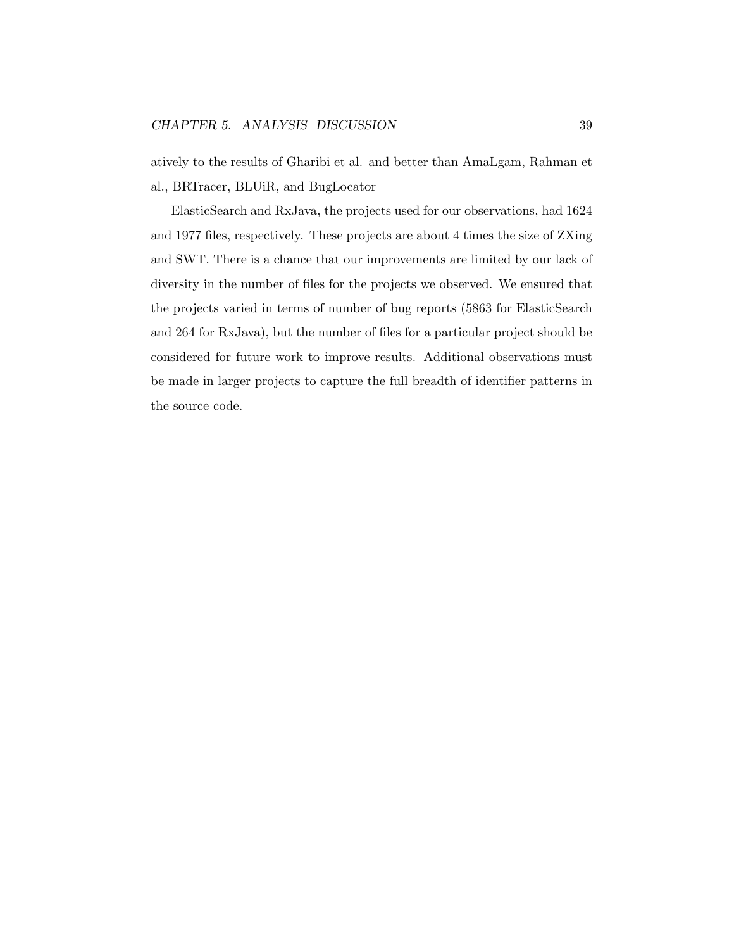atively to the results of Gharibi et al. and better than AmaLgam, Rahman et al., BRTracer, BLUiR, and BugLocator

ElasticSearch and RxJava, the projects used for our observations, had 1624 and 1977 files, respectively. These projects are about 4 times the size of ZXing and SWT. There is a chance that our improvements are limited by our lack of diversity in the number of files for the projects we observed. We ensured that the projects varied in terms of number of bug reports (5863 for ElasticSearch and 264 for RxJava), but the number of files for a particular project should be considered for future work to improve results. Additional observations must be made in larger projects to capture the full breadth of identifier patterns in the source code.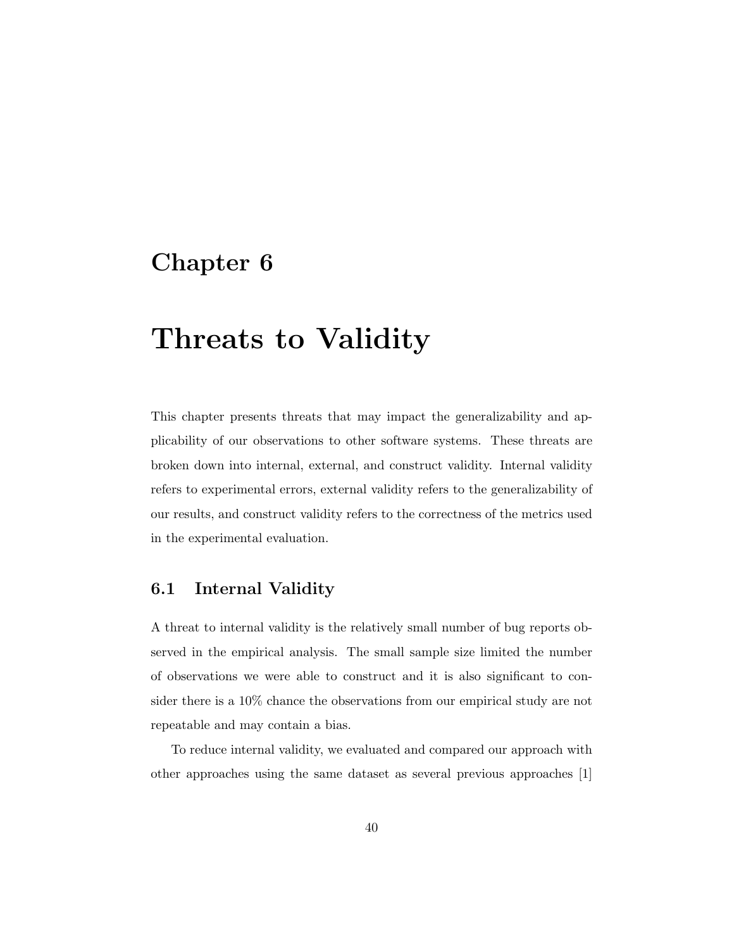## Chapter 6

# Threats to Validity

This chapter presents threats that may impact the generalizability and applicability of our observations to other software systems. These threats are broken down into internal, external, and construct validity. Internal validity refers to experimental errors, external validity refers to the generalizability of our results, and construct validity refers to the correctness of the metrics used in the experimental evaluation.

### 6.1 Internal Validity

A threat to internal validity is the relatively small number of bug reports observed in the empirical analysis. The small sample size limited the number of observations we were able to construct and it is also significant to consider there is a 10% chance the observations from our empirical study are not repeatable and may contain a bias.

To reduce internal validity, we evaluated and compared our approach with other approaches using the same dataset as several previous approaches [1]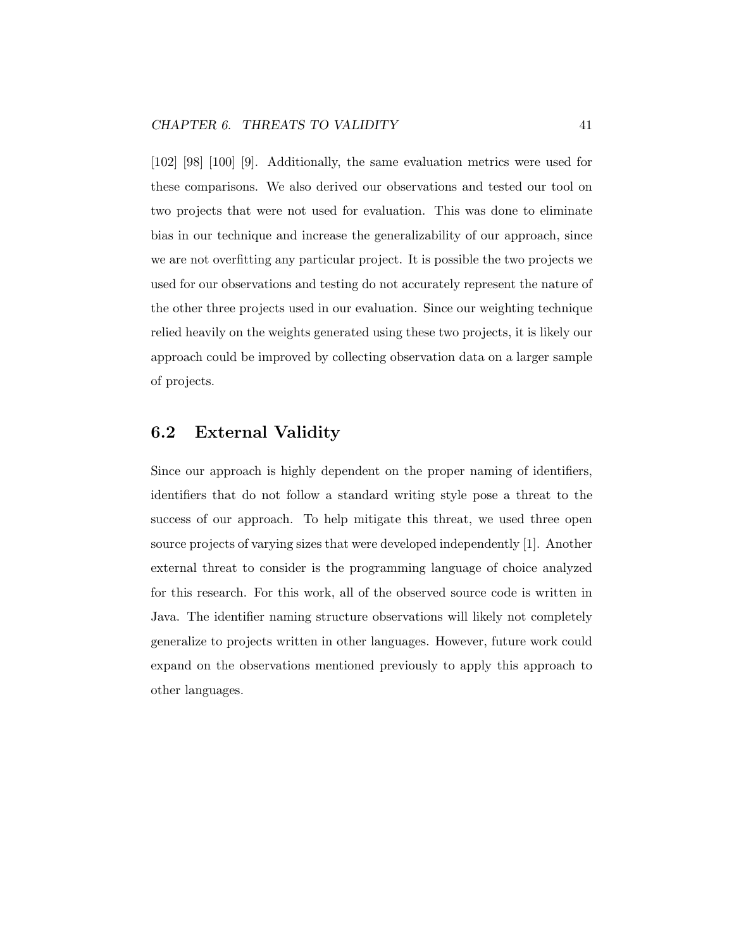[102] [98] [100] [9]. Additionally, the same evaluation metrics were used for these comparisons. We also derived our observations and tested our tool on two projects that were not used for evaluation. This was done to eliminate bias in our technique and increase the generalizability of our approach, since we are not overfitting any particular project. It is possible the two projects we used for our observations and testing do not accurately represent the nature of the other three projects used in our evaluation. Since our weighting technique relied heavily on the weights generated using these two projects, it is likely our approach could be improved by collecting observation data on a larger sample of projects.

### 6.2 External Validity

Since our approach is highly dependent on the proper naming of identifiers, identifiers that do not follow a standard writing style pose a threat to the success of our approach. To help mitigate this threat, we used three open source projects of varying sizes that were developed independently [1]. Another external threat to consider is the programming language of choice analyzed for this research. For this work, all of the observed source code is written in Java. The identifier naming structure observations will likely not completely generalize to projects written in other languages. However, future work could expand on the observations mentioned previously to apply this approach to other languages.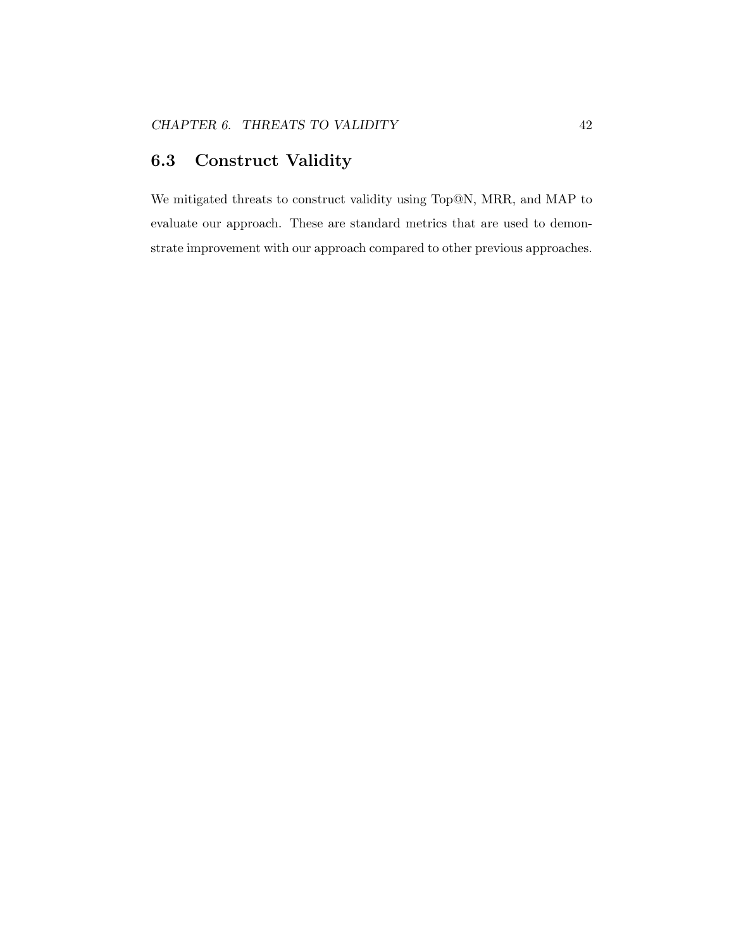### 6.3 Construct Validity

We mitigated threats to construct validity using Top@N, MRR, and MAP to evaluate our approach. These are standard metrics that are used to demonstrate improvement with our approach compared to other previous approaches.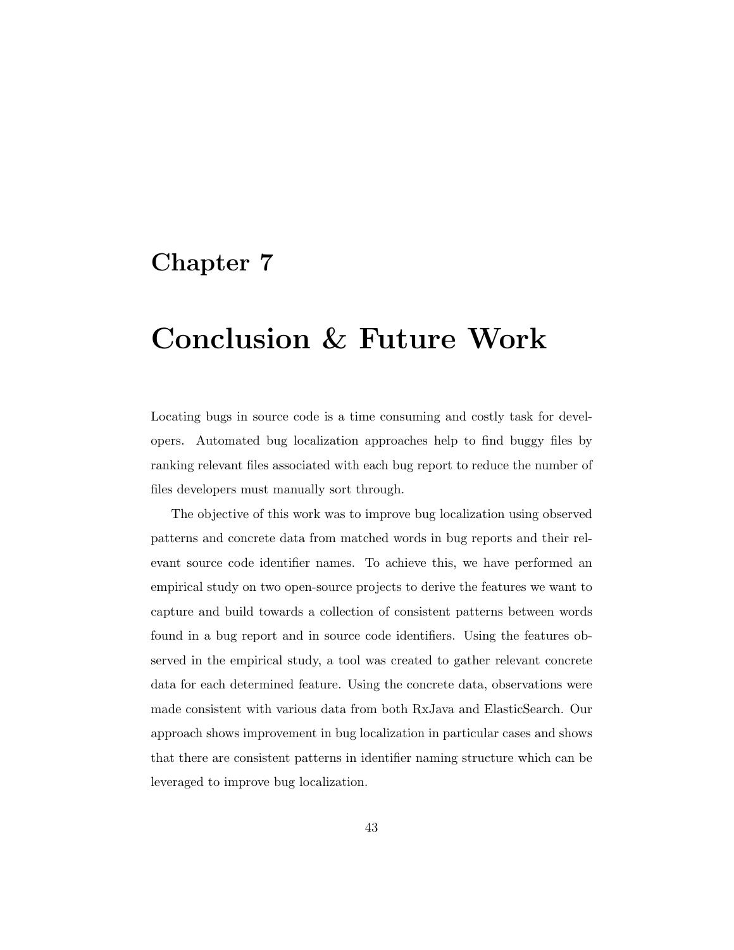## Chapter 7

# Conclusion & Future Work

Locating bugs in source code is a time consuming and costly task for developers. Automated bug localization approaches help to find buggy files by ranking relevant files associated with each bug report to reduce the number of files developers must manually sort through.

The objective of this work was to improve bug localization using observed patterns and concrete data from matched words in bug reports and their relevant source code identifier names. To achieve this, we have performed an empirical study on two open-source projects to derive the features we want to capture and build towards a collection of consistent patterns between words found in a bug report and in source code identifiers. Using the features observed in the empirical study, a tool was created to gather relevant concrete data for each determined feature. Using the concrete data, observations were made consistent with various data from both RxJava and ElasticSearch. Our approach shows improvement in bug localization in particular cases and shows that there are consistent patterns in identifier naming structure which can be leveraged to improve bug localization.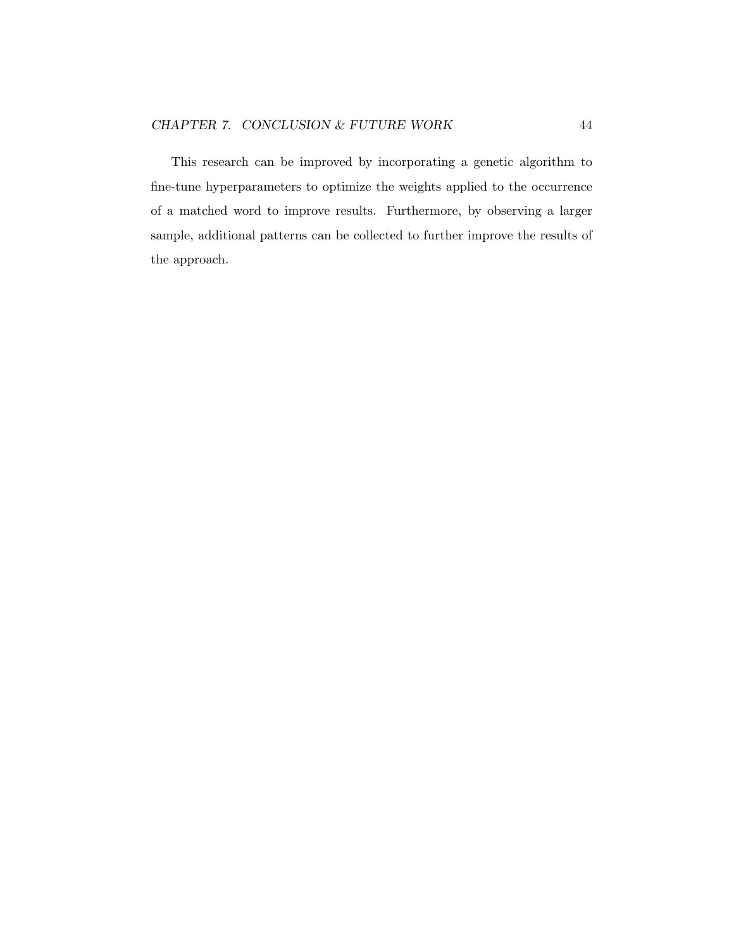This research can be improved by incorporating a genetic algorithm to fine-tune hyperparameters to optimize the weights applied to the occurrence of a matched word to improve results. Furthermore, by observing a larger sample, additional patterns can be collected to further improve the results of the approach.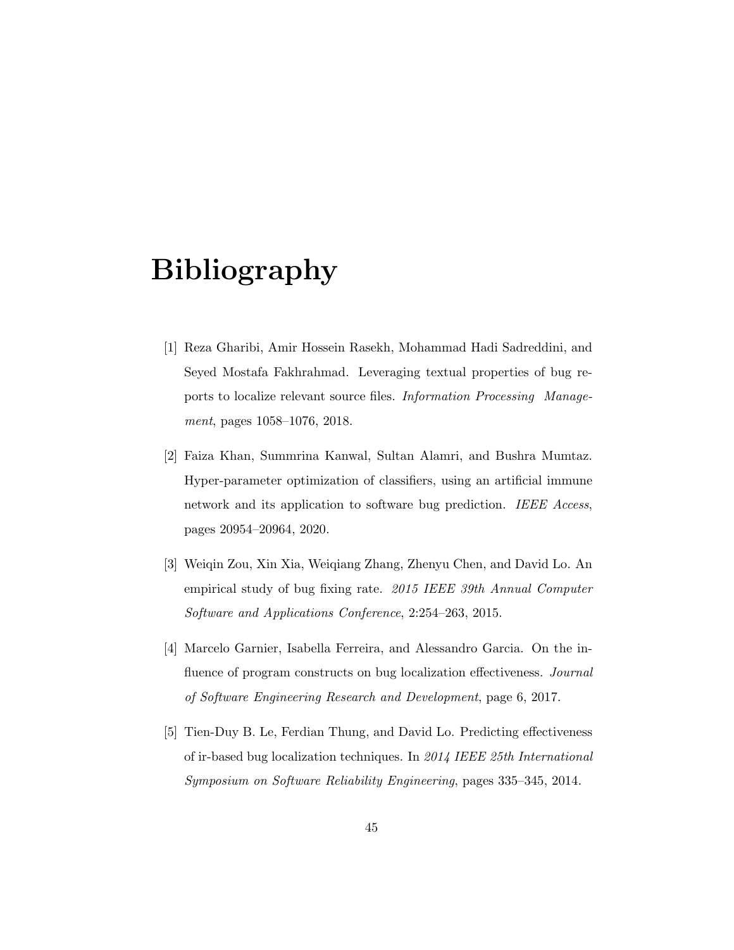# Bibliography

- [1] Reza Gharibi, Amir Hossein Rasekh, Mohammad Hadi Sadreddini, and Seyed Mostafa Fakhrahmad. Leveraging textual properties of bug reports to localize relevant source files. Information Processing Management, pages 1058–1076, 2018.
- [2] Faiza Khan, Summrina Kanwal, Sultan Alamri, and Bushra Mumtaz. Hyper-parameter optimization of classifiers, using an artificial immune network and its application to software bug prediction. IEEE Access, pages 20954–20964, 2020.
- [3] Weiqin Zou, Xin Xia, Weiqiang Zhang, Zhenyu Chen, and David Lo. An empirical study of bug fixing rate. 2015 IEEE 39th Annual Computer Software and Applications Conference, 2:254–263, 2015.
- [4] Marcelo Garnier, Isabella Ferreira, and Alessandro Garcia. On the influence of program constructs on bug localization effectiveness. Journal of Software Engineering Research and Development, page 6, 2017.
- [5] Tien-Duy B. Le, Ferdian Thung, and David Lo. Predicting effectiveness of ir-based bug localization techniques. In 2014 IEEE 25th International Symposium on Software Reliability Engineering, pages 335–345, 2014.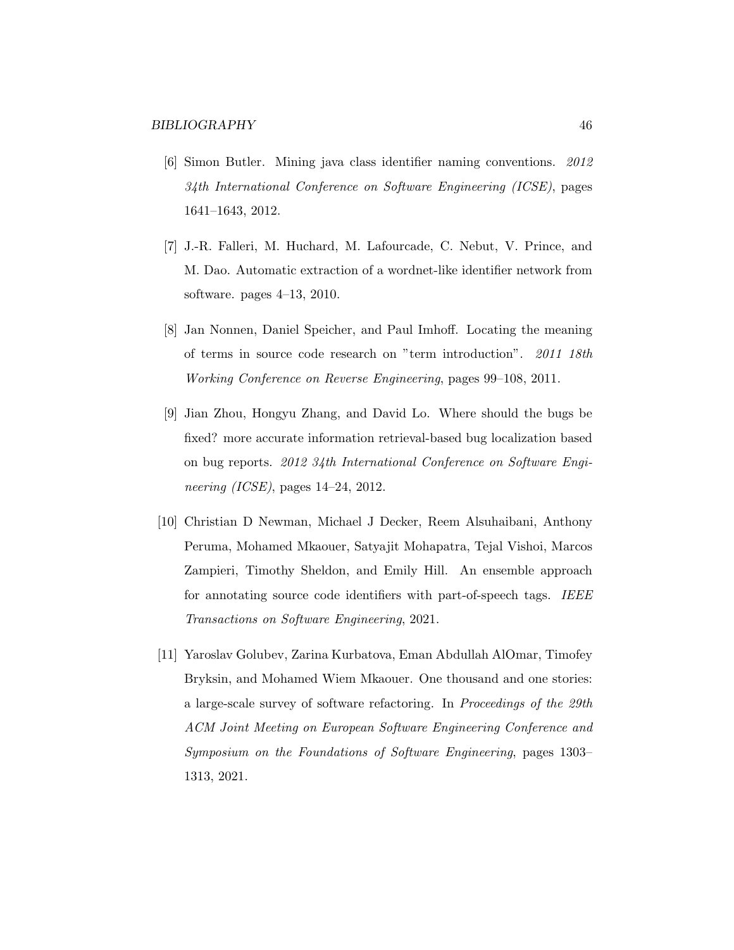- [6] Simon Butler. Mining java class identifier naming conventions. 2012 34th International Conference on Software Engineering (ICSE), pages 1641–1643, 2012.
- [7] J.-R. Falleri, M. Huchard, M. Lafourcade, C. Nebut, V. Prince, and M. Dao. Automatic extraction of a wordnet-like identifier network from software. pages 4–13, 2010.
- [8] Jan Nonnen, Daniel Speicher, and Paul Imhoff. Locating the meaning of terms in source code research on "term introduction". 2011 18th Working Conference on Reverse Engineering, pages 99–108, 2011.
- [9] Jian Zhou, Hongyu Zhang, and David Lo. Where should the bugs be fixed? more accurate information retrieval-based bug localization based on bug reports. 2012 34th International Conference on Software Engineering (ICSE), pages 14–24, 2012.
- [10] Christian D Newman, Michael J Decker, Reem Alsuhaibani, Anthony Peruma, Mohamed Mkaouer, Satyajit Mohapatra, Tejal Vishoi, Marcos Zampieri, Timothy Sheldon, and Emily Hill. An ensemble approach for annotating source code identifiers with part-of-speech tags. IEEE Transactions on Software Engineering, 2021.
- [11] Yaroslav Golubev, Zarina Kurbatova, Eman Abdullah AlOmar, Timofey Bryksin, and Mohamed Wiem Mkaouer. One thousand and one stories: a large-scale survey of software refactoring. In Proceedings of the 29th ACM Joint Meeting on European Software Engineering Conference and Symposium on the Foundations of Software Engineering, pages 1303– 1313, 2021.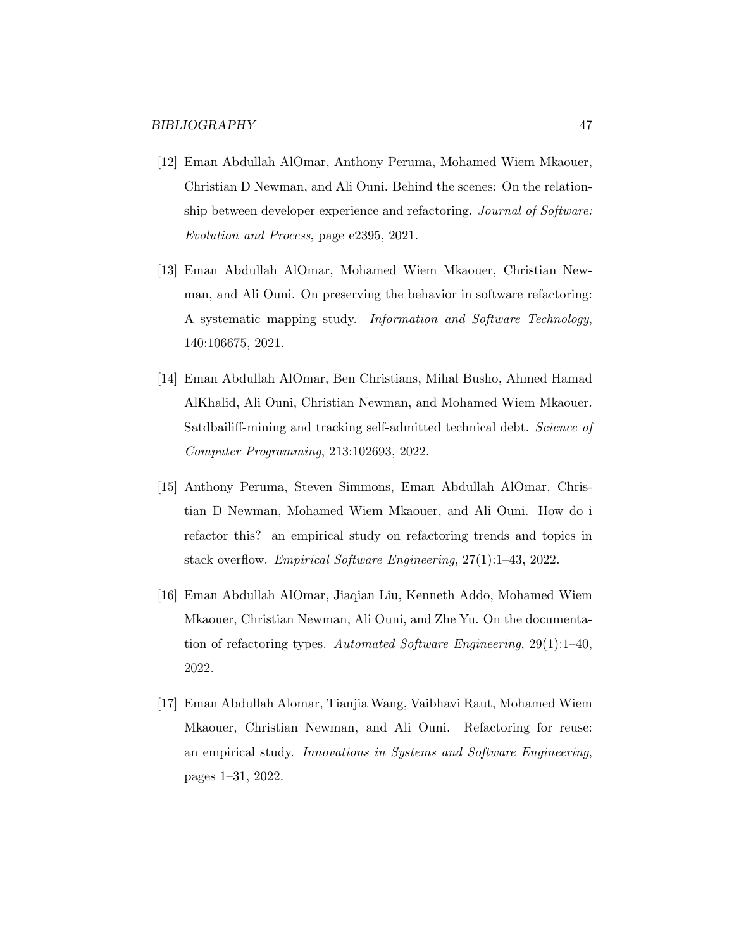- [12] Eman Abdullah AlOmar, Anthony Peruma, Mohamed Wiem Mkaouer, Christian D Newman, and Ali Ouni. Behind the scenes: On the relationship between developer experience and refactoring. Journal of Software: Evolution and Process, page e2395, 2021.
- [13] Eman Abdullah AlOmar, Mohamed Wiem Mkaouer, Christian Newman, and Ali Ouni. On preserving the behavior in software refactoring: A systematic mapping study. Information and Software Technology, 140:106675, 2021.
- [14] Eman Abdullah AlOmar, Ben Christians, Mihal Busho, Ahmed Hamad AlKhalid, Ali Ouni, Christian Newman, and Mohamed Wiem Mkaouer. Satdbailiff-mining and tracking self-admitted technical debt. Science of Computer Programming, 213:102693, 2022.
- [15] Anthony Peruma, Steven Simmons, Eman Abdullah AlOmar, Christian D Newman, Mohamed Wiem Mkaouer, and Ali Ouni. How do i refactor this? an empirical study on refactoring trends and topics in stack overflow. Empirical Software Engineering, 27(1):1–43, 2022.
- [16] Eman Abdullah AlOmar, Jiaqian Liu, Kenneth Addo, Mohamed Wiem Mkaouer, Christian Newman, Ali Ouni, and Zhe Yu. On the documentation of refactoring types. Automated Software Engineering, 29(1):1–40, 2022.
- [17] Eman Abdullah Alomar, Tianjia Wang, Vaibhavi Raut, Mohamed Wiem Mkaouer, Christian Newman, and Ali Ouni. Refactoring for reuse: an empirical study. Innovations in Systems and Software Engineering, pages 1–31, 2022.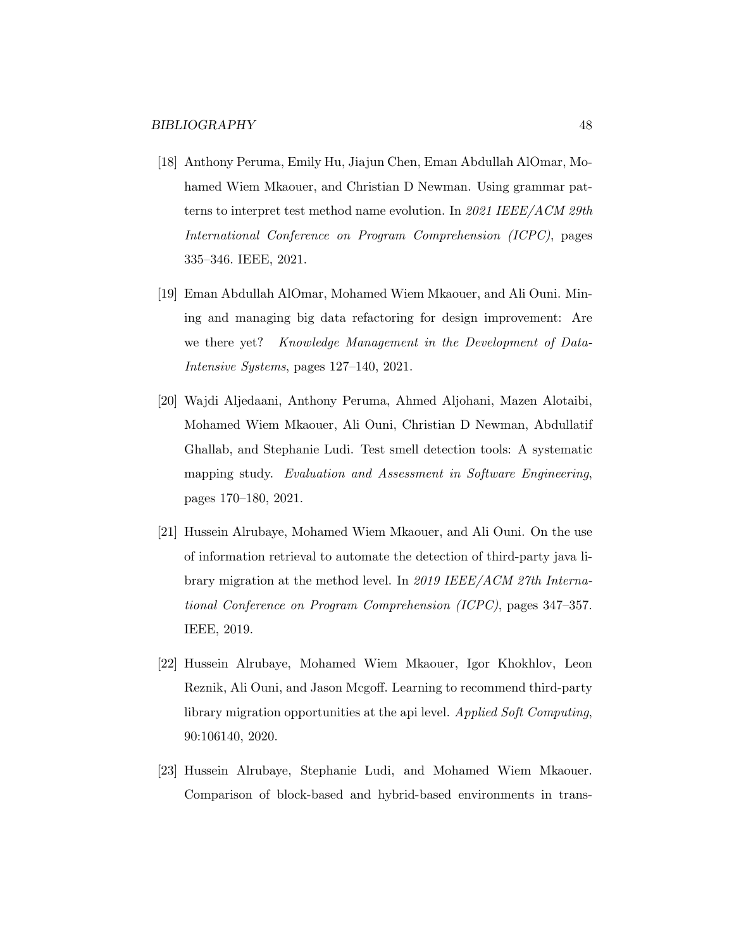- [18] Anthony Peruma, Emily Hu, Jiajun Chen, Eman Abdullah AlOmar, Mohamed Wiem Mkaouer, and Christian D Newman. Using grammar patterns to interpret test method name evolution. In 2021 IEEE/ACM 29th International Conference on Program Comprehension (ICPC), pages 335–346. IEEE, 2021.
- [19] Eman Abdullah AlOmar, Mohamed Wiem Mkaouer, and Ali Ouni. Mining and managing big data refactoring for design improvement: Are we there yet? Knowledge Management in the Development of Data-Intensive Systems, pages 127–140, 2021.
- [20] Wajdi Aljedaani, Anthony Peruma, Ahmed Aljohani, Mazen Alotaibi, Mohamed Wiem Mkaouer, Ali Ouni, Christian D Newman, Abdullatif Ghallab, and Stephanie Ludi. Test smell detection tools: A systematic mapping study. Evaluation and Assessment in Software Engineering, pages 170–180, 2021.
- [21] Hussein Alrubaye, Mohamed Wiem Mkaouer, and Ali Ouni. On the use of information retrieval to automate the detection of third-party java library migration at the method level. In 2019 IEEE/ACM 27th International Conference on Program Comprehension (ICPC), pages 347–357. IEEE, 2019.
- [22] Hussein Alrubaye, Mohamed Wiem Mkaouer, Igor Khokhlov, Leon Reznik, Ali Ouni, and Jason Mcgoff. Learning to recommend third-party library migration opportunities at the api level. Applied Soft Computing, 90:106140, 2020.
- [23] Hussein Alrubaye, Stephanie Ludi, and Mohamed Wiem Mkaouer. Comparison of block-based and hybrid-based environments in trans-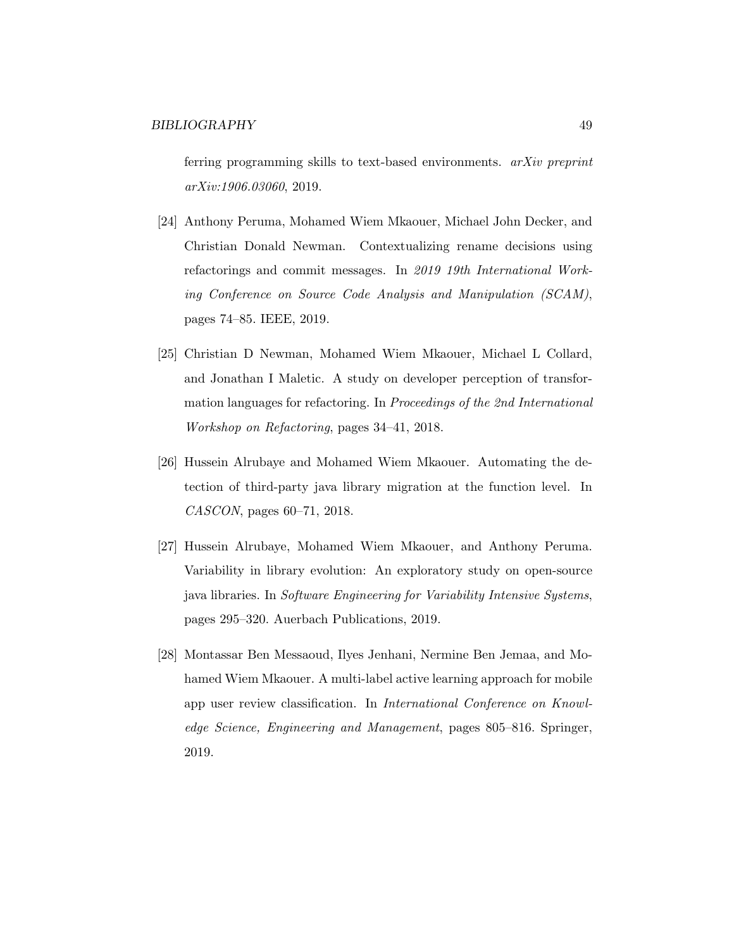ferring programming skills to text-based environments. arXiv preprint arXiv:1906.03060, 2019.

- [24] Anthony Peruma, Mohamed Wiem Mkaouer, Michael John Decker, and Christian Donald Newman. Contextualizing rename decisions using refactorings and commit messages. In 2019 19th International Working Conference on Source Code Analysis and Manipulation (SCAM), pages 74–85. IEEE, 2019.
- [25] Christian D Newman, Mohamed Wiem Mkaouer, Michael L Collard, and Jonathan I Maletic. A study on developer perception of transformation languages for refactoring. In Proceedings of the 2nd International Workshop on Refactoring, pages 34–41, 2018.
- [26] Hussein Alrubaye and Mohamed Wiem Mkaouer. Automating the detection of third-party java library migration at the function level. In CASCON, pages 60–71, 2018.
- [27] Hussein Alrubaye, Mohamed Wiem Mkaouer, and Anthony Peruma. Variability in library evolution: An exploratory study on open-source java libraries. In Software Engineering for Variability Intensive Systems, pages 295–320. Auerbach Publications, 2019.
- [28] Montassar Ben Messaoud, Ilyes Jenhani, Nermine Ben Jemaa, and Mohamed Wiem Mkaouer. A multi-label active learning approach for mobile app user review classification. In International Conference on Knowledge Science, Engineering and Management, pages 805–816. Springer, 2019.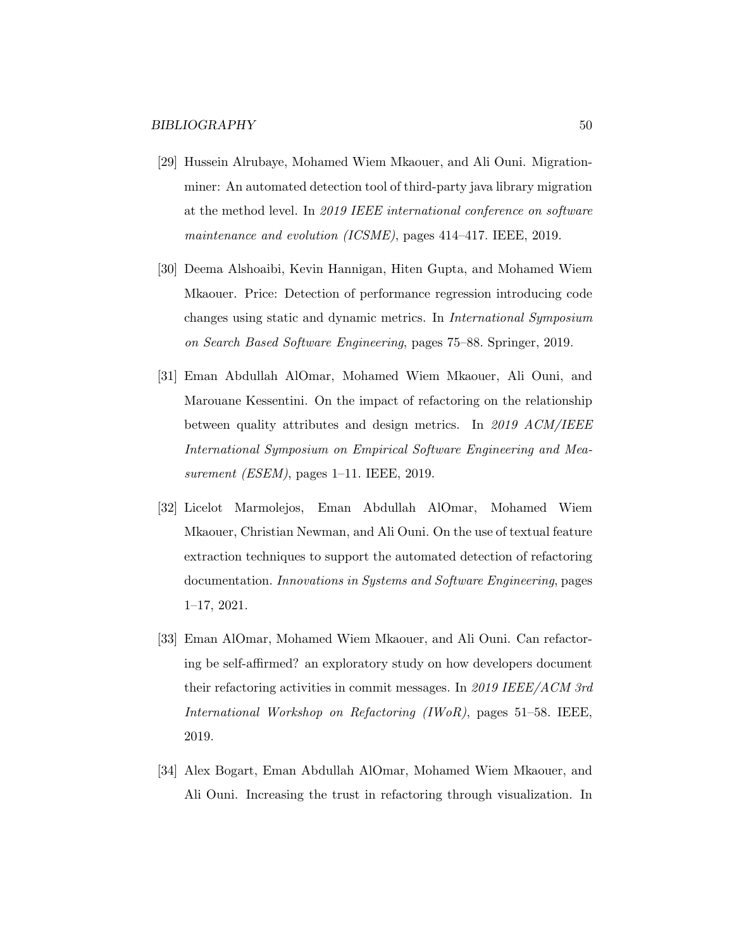- [29] Hussein Alrubaye, Mohamed Wiem Mkaouer, and Ali Ouni. Migrationminer: An automated detection tool of third-party java library migration at the method level. In 2019 IEEE international conference on software maintenance and evolution (ICSME), pages 414–417. IEEE, 2019.
- [30] Deema Alshoaibi, Kevin Hannigan, Hiten Gupta, and Mohamed Wiem Mkaouer. Price: Detection of performance regression introducing code changes using static and dynamic metrics. In International Symposium on Search Based Software Engineering, pages 75–88. Springer, 2019.
- [31] Eman Abdullah AlOmar, Mohamed Wiem Mkaouer, Ali Ouni, and Marouane Kessentini. On the impact of refactoring on the relationship between quality attributes and design metrics. In 2019 ACM/IEEE International Symposium on Empirical Software Engineering and Measurement (ESEM), pages 1–11. IEEE, 2019.
- [32] Licelot Marmolejos, Eman Abdullah AlOmar, Mohamed Wiem Mkaouer, Christian Newman, and Ali Ouni. On the use of textual feature extraction techniques to support the automated detection of refactoring documentation. Innovations in Systems and Software Engineering, pages 1–17, 2021.
- [33] Eman AlOmar, Mohamed Wiem Mkaouer, and Ali Ouni. Can refactoring be self-affirmed? an exploratory study on how developers document their refactoring activities in commit messages. In 2019 IEEE/ACM 3rd International Workshop on Refactoring (IWoR), pages 51–58. IEEE, 2019.
- [34] Alex Bogart, Eman Abdullah AlOmar, Mohamed Wiem Mkaouer, and Ali Ouni. Increasing the trust in refactoring through visualization. In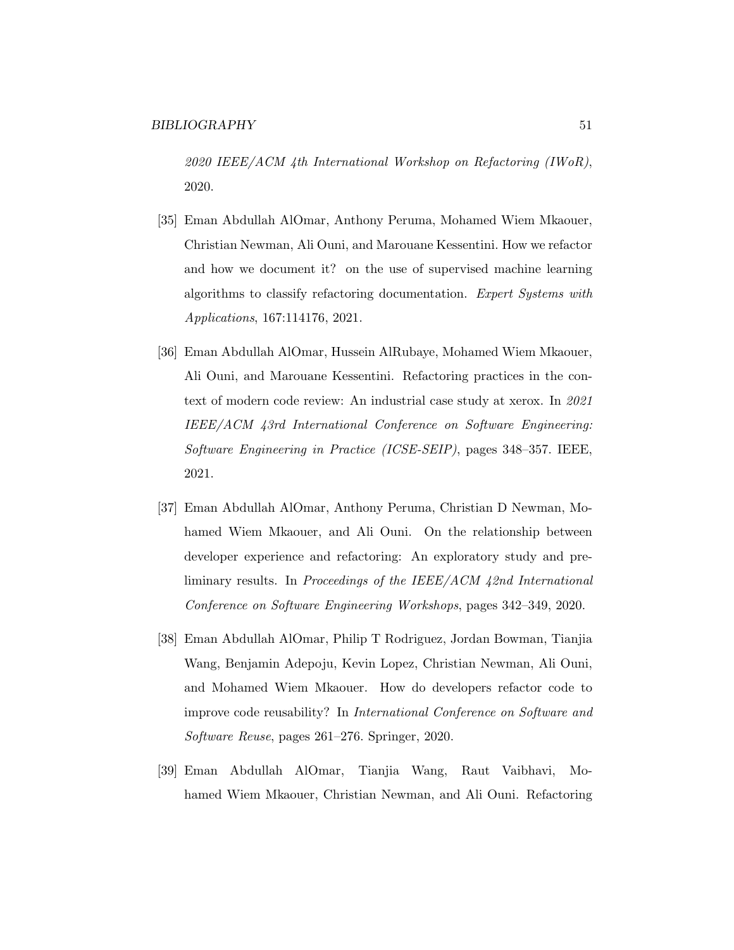2020 IEEE/ACM 4th International Workshop on Refactoring (IWoR), 2020.

- [35] Eman Abdullah AlOmar, Anthony Peruma, Mohamed Wiem Mkaouer, Christian Newman, Ali Ouni, and Marouane Kessentini. How we refactor and how we document it? on the use of supervised machine learning algorithms to classify refactoring documentation. Expert Systems with Applications, 167:114176, 2021.
- [36] Eman Abdullah AlOmar, Hussein AlRubaye, Mohamed Wiem Mkaouer, Ali Ouni, and Marouane Kessentini. Refactoring practices in the context of modern code review: An industrial case study at xerox. In 2021 IEEE/ACM 43rd International Conference on Software Engineering: Software Engineering in Practice (ICSE-SEIP), pages 348–357. IEEE, 2021.
- [37] Eman Abdullah AlOmar, Anthony Peruma, Christian D Newman, Mohamed Wiem Mkaouer, and Ali Ouni. On the relationship between developer experience and refactoring: An exploratory study and preliminary results. In Proceedings of the IEEE/ACM 42nd International Conference on Software Engineering Workshops, pages 342–349, 2020.
- [38] Eman Abdullah AlOmar, Philip T Rodriguez, Jordan Bowman, Tianjia Wang, Benjamin Adepoju, Kevin Lopez, Christian Newman, Ali Ouni, and Mohamed Wiem Mkaouer. How do developers refactor code to improve code reusability? In International Conference on Software and Software Reuse, pages 261–276. Springer, 2020.
- [39] Eman Abdullah AlOmar, Tianjia Wang, Raut Vaibhavi, Mohamed Wiem Mkaouer, Christian Newman, and Ali Ouni. Refactoring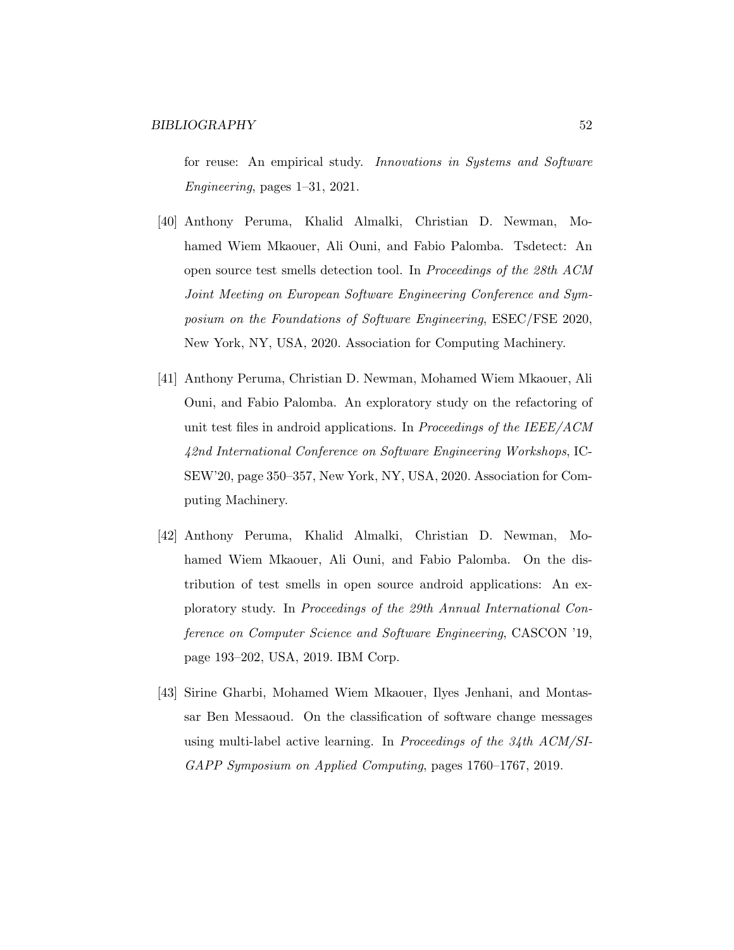for reuse: An empirical study. Innovations in Systems and Software Engineering, pages 1–31, 2021.

- [40] Anthony Peruma, Khalid Almalki, Christian D. Newman, Mohamed Wiem Mkaouer, Ali Ouni, and Fabio Palomba. Tsdetect: An open source test smells detection tool. In Proceedings of the 28th ACM Joint Meeting on European Software Engineering Conference and Symposium on the Foundations of Software Engineering, ESEC/FSE 2020, New York, NY, USA, 2020. Association for Computing Machinery.
- [41] Anthony Peruma, Christian D. Newman, Mohamed Wiem Mkaouer, Ali Ouni, and Fabio Palomba. An exploratory study on the refactoring of unit test files in android applications. In Proceedings of the IEEE/ACM 42nd International Conference on Software Engineering Workshops, IC-SEW'20, page 350–357, New York, NY, USA, 2020. Association for Computing Machinery.
- [42] Anthony Peruma, Khalid Almalki, Christian D. Newman, Mohamed Wiem Mkaouer, Ali Ouni, and Fabio Palomba. On the distribution of test smells in open source android applications: An exploratory study. In Proceedings of the 29th Annual International Conference on Computer Science and Software Engineering, CASCON '19, page 193–202, USA, 2019. IBM Corp.
- [43] Sirine Gharbi, Mohamed Wiem Mkaouer, Ilyes Jenhani, and Montassar Ben Messaoud. On the classification of software change messages using multi-label active learning. In Proceedings of the 34th ACM/SI-GAPP Symposium on Applied Computing, pages 1760–1767, 2019.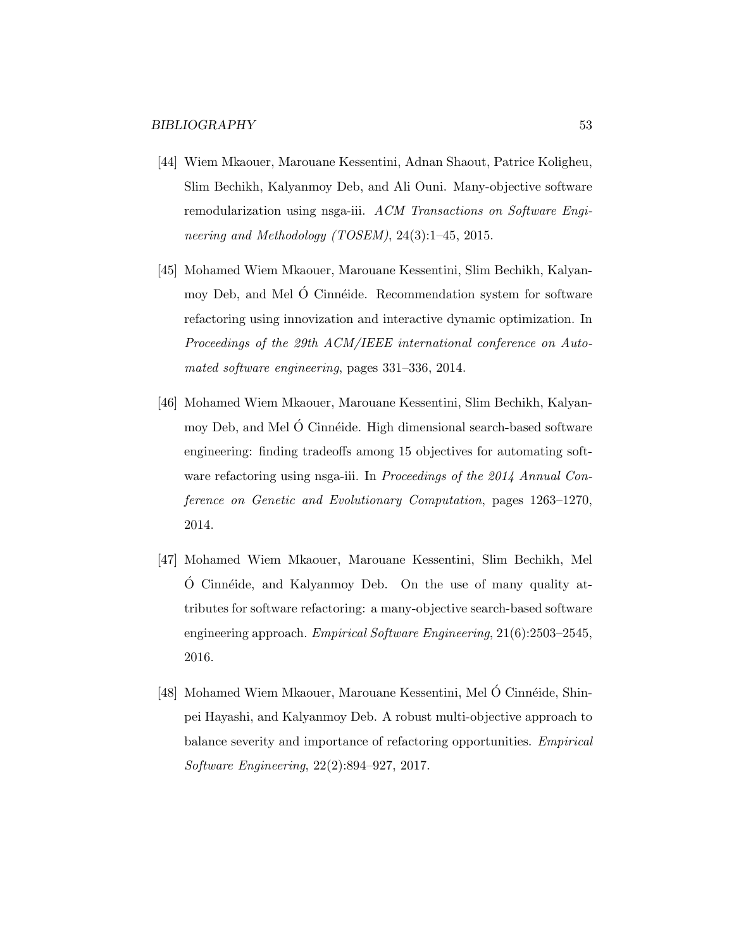- [44] Wiem Mkaouer, Marouane Kessentini, Adnan Shaout, Patrice Koligheu, Slim Bechikh, Kalyanmoy Deb, and Ali Ouni. Many-objective software remodularization using nsga-iii. ACM Transactions on Software Engineering and Methodology (TOSEM), 24(3):1–45, 2015.
- [45] Mohamed Wiem Mkaouer, Marouane Kessentini, Slim Bechikh, Kalyanmoy Deb, and Mel O Cinnéide. Recommendation system for software refactoring using innovization and interactive dynamic optimization. In Proceedings of the 29th ACM/IEEE international conference on Automated software engineering, pages 331–336, 2014.
- [46] Mohamed Wiem Mkaouer, Marouane Kessentini, Slim Bechikh, Kalyanmoy Deb, and Mel O Cinnéide. High dimensional search-based software engineering: finding tradeoffs among 15 objectives for automating software refactoring using nsga-iii. In *Proceedings of the 2014 Annual Con*ference on Genetic and Evolutionary Computation, pages 1263–1270, 2014.
- [47] Mohamed Wiem Mkaouer, Marouane Kessentini, Slim Bechikh, Mel  $\acute{o}$  Cinnéide, and Kalyanmoy Deb. On the use of many quality attributes for software refactoring: a many-objective search-based software engineering approach. Empirical Software Engineering, 21(6):2503–2545, 2016.
- [48] Mohamed Wiem Mkaouer, Marouane Kessentini, Mel Ó Cinnéide, Shinpei Hayashi, and Kalyanmoy Deb. A robust multi-objective approach to balance severity and importance of refactoring opportunities. Empirical Software Engineering, 22(2):894–927, 2017.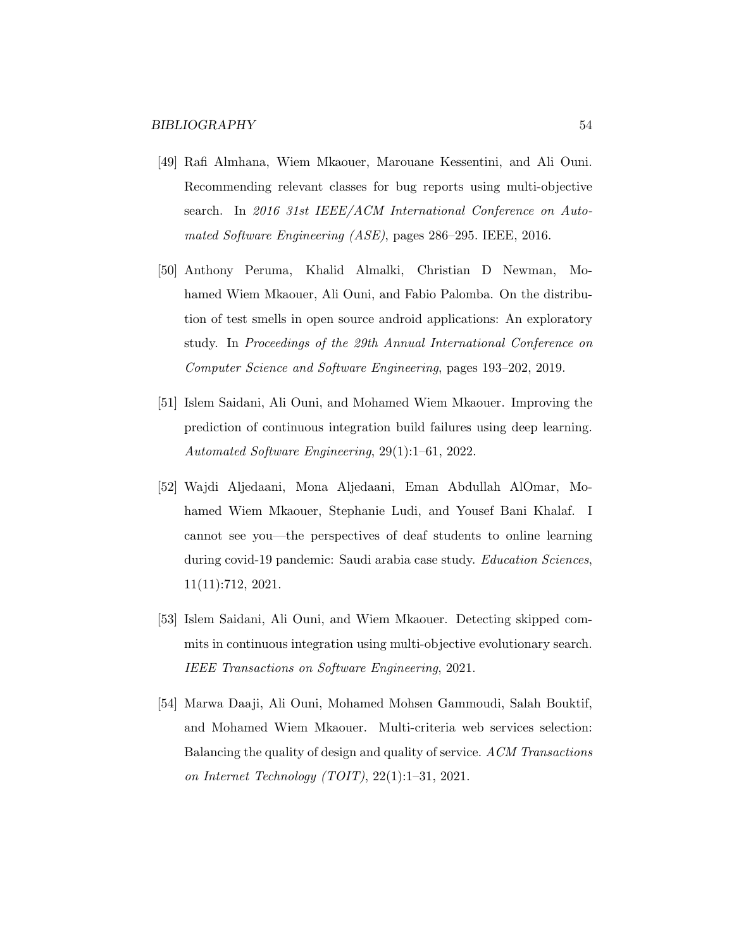- [49] Rafi Almhana, Wiem Mkaouer, Marouane Kessentini, and Ali Ouni. Recommending relevant classes for bug reports using multi-objective search. In 2016 31st IEEE/ACM International Conference on Automated Software Engineering (ASE), pages 286–295. IEEE, 2016.
- [50] Anthony Peruma, Khalid Almalki, Christian D Newman, Mohamed Wiem Mkaouer, Ali Ouni, and Fabio Palomba. On the distribution of test smells in open source android applications: An exploratory study. In Proceedings of the 29th Annual International Conference on Computer Science and Software Engineering, pages 193–202, 2019.
- [51] Islem Saidani, Ali Ouni, and Mohamed Wiem Mkaouer. Improving the prediction of continuous integration build failures using deep learning. Automated Software Engineering, 29(1):1–61, 2022.
- [52] Wajdi Aljedaani, Mona Aljedaani, Eman Abdullah AlOmar, Mohamed Wiem Mkaouer, Stephanie Ludi, and Yousef Bani Khalaf. I cannot see you—the perspectives of deaf students to online learning during covid-19 pandemic: Saudi arabia case study. Education Sciences, 11(11):712, 2021.
- [53] Islem Saidani, Ali Ouni, and Wiem Mkaouer. Detecting skipped commits in continuous integration using multi-objective evolutionary search. IEEE Transactions on Software Engineering, 2021.
- [54] Marwa Daaji, Ali Ouni, Mohamed Mohsen Gammoudi, Salah Bouktif, and Mohamed Wiem Mkaouer. Multi-criteria web services selection: Balancing the quality of design and quality of service. ACM Transactions on Internet Technology (TOIT), 22(1):1–31, 2021.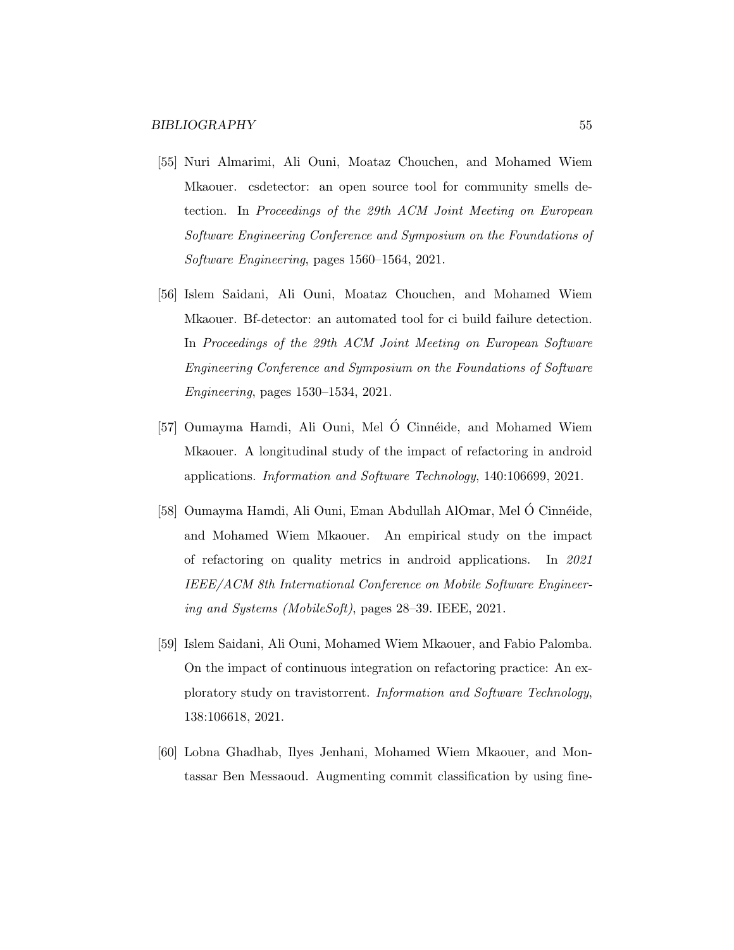- [55] Nuri Almarimi, Ali Ouni, Moataz Chouchen, and Mohamed Wiem Mkaouer. csdetector: an open source tool for community smells detection. In Proceedings of the 29th ACM Joint Meeting on European Software Engineering Conference and Symposium on the Foundations of Software Engineering, pages 1560–1564, 2021.
- [56] Islem Saidani, Ali Ouni, Moataz Chouchen, and Mohamed Wiem Mkaouer. Bf-detector: an automated tool for ci build failure detection. In Proceedings of the 29th ACM Joint Meeting on European Software Engineering Conference and Symposium on the Foundations of Software Engineering, pages 1530–1534, 2021.
- [57] Oumayma Hamdi, Ali Ouni, Mel O Cinnéide, and Mohamed Wiem Mkaouer. A longitudinal study of the impact of refactoring in android applications. Information and Software Technology, 140:106699, 2021.
- [58] Oumayma Hamdi, Ali Ouni, Eman Abdullah AlOmar, Mel Ó Cinnéide, and Mohamed Wiem Mkaouer. An empirical study on the impact of refactoring on quality metrics in android applications. In 2021 IEEE/ACM 8th International Conference on Mobile Software Engineering and Systems (MobileSoft), pages 28–39. IEEE, 2021.
- [59] Islem Saidani, Ali Ouni, Mohamed Wiem Mkaouer, and Fabio Palomba. On the impact of continuous integration on refactoring practice: An exploratory study on travistorrent. Information and Software Technology, 138:106618, 2021.
- [60] Lobna Ghadhab, Ilyes Jenhani, Mohamed Wiem Mkaouer, and Montassar Ben Messaoud. Augmenting commit classification by using fine-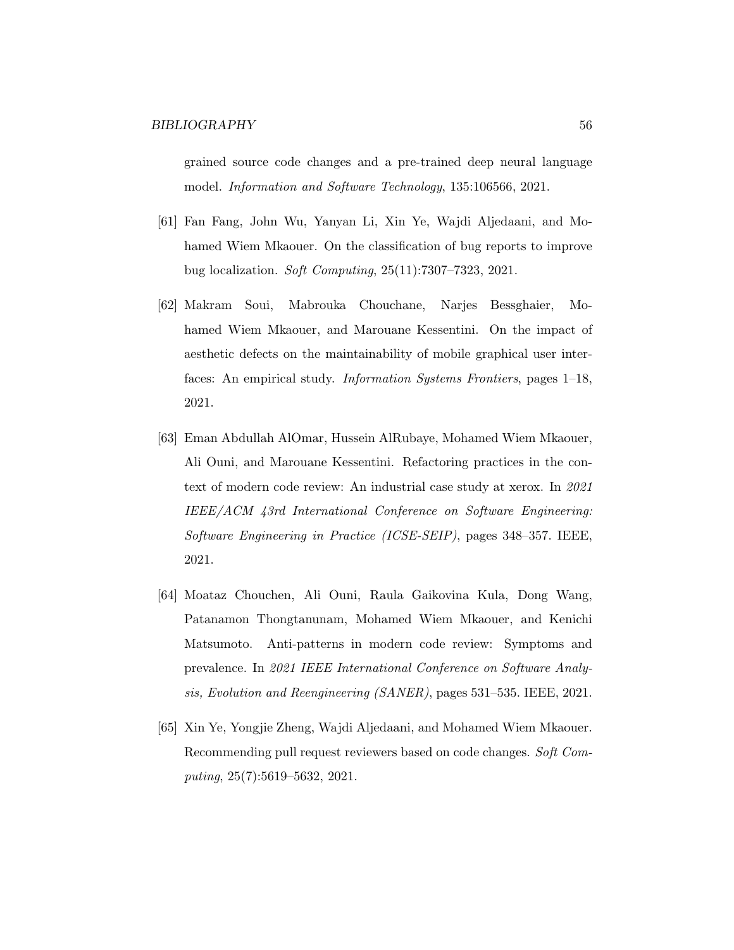grained source code changes and a pre-trained deep neural language model. Information and Software Technology, 135:106566, 2021.

- [61] Fan Fang, John Wu, Yanyan Li, Xin Ye, Wajdi Aljedaani, and Mohamed Wiem Mkaouer. On the classification of bug reports to improve bug localization. Soft Computing, 25(11):7307–7323, 2021.
- [62] Makram Soui, Mabrouka Chouchane, Narjes Bessghaier, Mohamed Wiem Mkaouer, and Marouane Kessentini. On the impact of aesthetic defects on the maintainability of mobile graphical user interfaces: An empirical study. Information Systems Frontiers, pages 1–18, 2021.
- [63] Eman Abdullah AlOmar, Hussein AlRubaye, Mohamed Wiem Mkaouer, Ali Ouni, and Marouane Kessentini. Refactoring practices in the context of modern code review: An industrial case study at xerox. In 2021 IEEE/ACM 43rd International Conference on Software Engineering: Software Engineering in Practice (ICSE-SEIP), pages 348–357. IEEE, 2021.
- [64] Moataz Chouchen, Ali Ouni, Raula Gaikovina Kula, Dong Wang, Patanamon Thongtanunam, Mohamed Wiem Mkaouer, and Kenichi Matsumoto. Anti-patterns in modern code review: Symptoms and prevalence. In 2021 IEEE International Conference on Software Analysis, Evolution and Reengineering (SANER), pages 531–535. IEEE, 2021.
- [65] Xin Ye, Yongjie Zheng, Wajdi Aljedaani, and Mohamed Wiem Mkaouer. Recommending pull request reviewers based on code changes. Soft Computing, 25(7):5619–5632, 2021.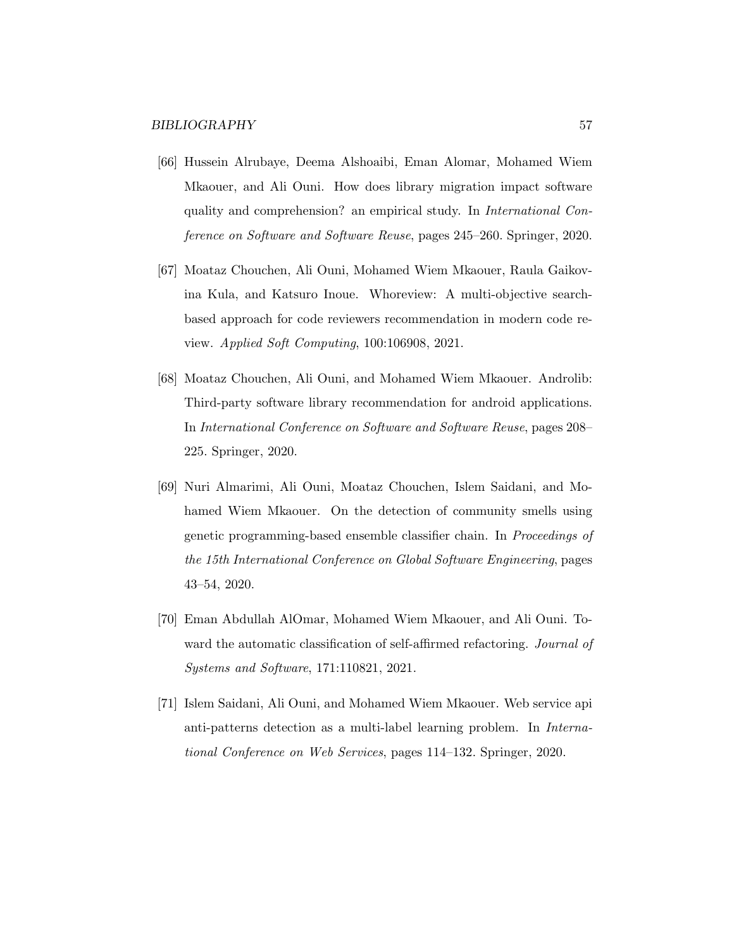- [66] Hussein Alrubaye, Deema Alshoaibi, Eman Alomar, Mohamed Wiem Mkaouer, and Ali Ouni. How does library migration impact software quality and comprehension? an empirical study. In International Conference on Software and Software Reuse, pages 245–260. Springer, 2020.
- [67] Moataz Chouchen, Ali Ouni, Mohamed Wiem Mkaouer, Raula Gaikovina Kula, and Katsuro Inoue. Whoreview: A multi-objective searchbased approach for code reviewers recommendation in modern code review. Applied Soft Computing, 100:106908, 2021.
- [68] Moataz Chouchen, Ali Ouni, and Mohamed Wiem Mkaouer. Androlib: Third-party software library recommendation for android applications. In International Conference on Software and Software Reuse, pages 208– 225. Springer, 2020.
- [69] Nuri Almarimi, Ali Ouni, Moataz Chouchen, Islem Saidani, and Mohamed Wiem Mkaouer. On the detection of community smells using genetic programming-based ensemble classifier chain. In Proceedings of the 15th International Conference on Global Software Engineering, pages 43–54, 2020.
- [70] Eman Abdullah AlOmar, Mohamed Wiem Mkaouer, and Ali Ouni. Toward the automatic classification of self-affirmed refactoring. *Journal of* Systems and Software, 171:110821, 2021.
- [71] Islem Saidani, Ali Ouni, and Mohamed Wiem Mkaouer. Web service api anti-patterns detection as a multi-label learning problem. In International Conference on Web Services, pages 114–132. Springer, 2020.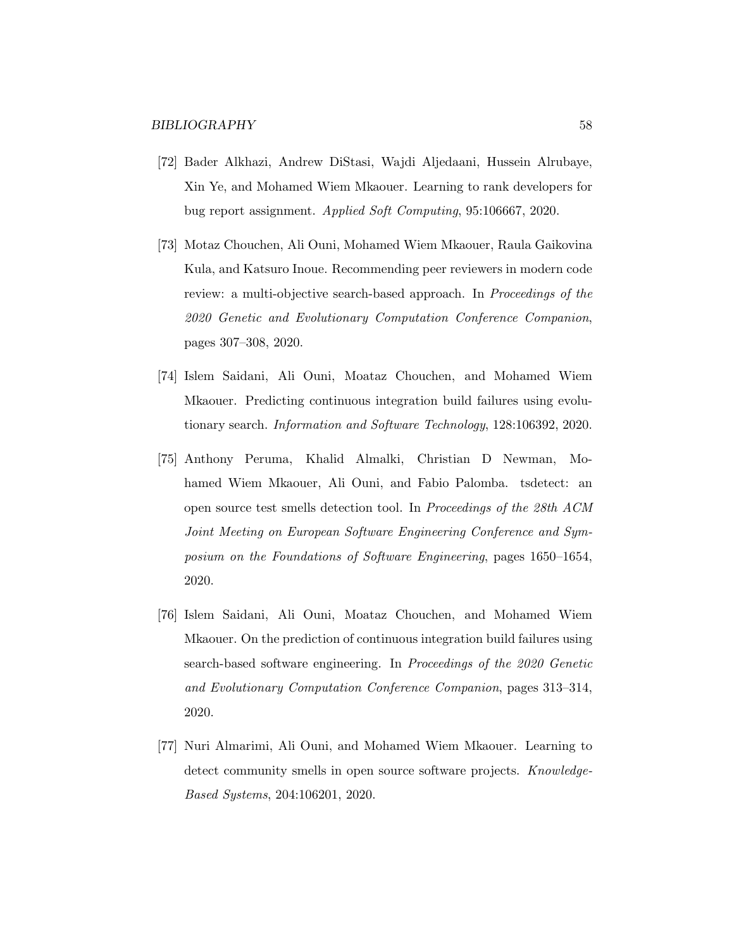- [72] Bader Alkhazi, Andrew DiStasi, Wajdi Aljedaani, Hussein Alrubaye, Xin Ye, and Mohamed Wiem Mkaouer. Learning to rank developers for bug report assignment. Applied Soft Computing, 95:106667, 2020.
- [73] Motaz Chouchen, Ali Ouni, Mohamed Wiem Mkaouer, Raula Gaikovina Kula, and Katsuro Inoue. Recommending peer reviewers in modern code review: a multi-objective search-based approach. In *Proceedings of the* 2020 Genetic and Evolutionary Computation Conference Companion, pages 307–308, 2020.
- [74] Islem Saidani, Ali Ouni, Moataz Chouchen, and Mohamed Wiem Mkaouer. Predicting continuous integration build failures using evolutionary search. Information and Software Technology, 128:106392, 2020.
- [75] Anthony Peruma, Khalid Almalki, Christian D Newman, Mohamed Wiem Mkaouer, Ali Ouni, and Fabio Palomba. tsdetect: an open source test smells detection tool. In Proceedings of the 28th ACM Joint Meeting on European Software Engineering Conference and Symposium on the Foundations of Software Engineering, pages 1650–1654, 2020.
- [76] Islem Saidani, Ali Ouni, Moataz Chouchen, and Mohamed Wiem Mkaouer. On the prediction of continuous integration build failures using search-based software engineering. In Proceedings of the 2020 Genetic and Evolutionary Computation Conference Companion, pages 313–314, 2020.
- [77] Nuri Almarimi, Ali Ouni, and Mohamed Wiem Mkaouer. Learning to detect community smells in open source software projects. Knowledge-Based Systems, 204:106201, 2020.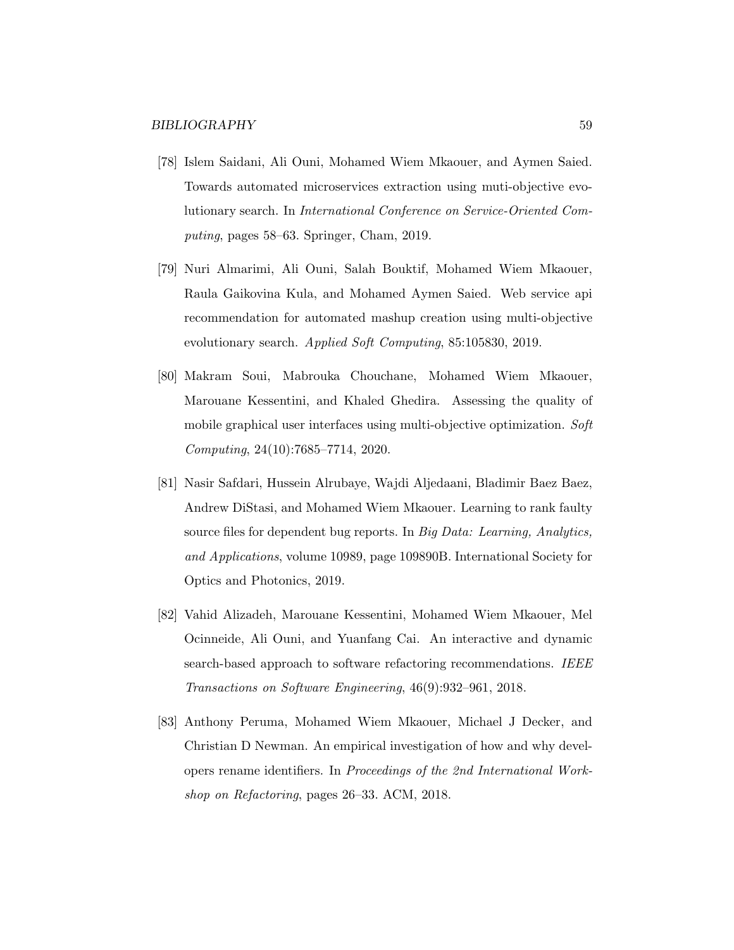- [78] Islem Saidani, Ali Ouni, Mohamed Wiem Mkaouer, and Aymen Saied. Towards automated microservices extraction using muti-objective evolutionary search. In International Conference on Service-Oriented Computing, pages 58–63. Springer, Cham, 2019.
- [79] Nuri Almarimi, Ali Ouni, Salah Bouktif, Mohamed Wiem Mkaouer, Raula Gaikovina Kula, and Mohamed Aymen Saied. Web service api recommendation for automated mashup creation using multi-objective evolutionary search. Applied Soft Computing, 85:105830, 2019.
- [80] Makram Soui, Mabrouka Chouchane, Mohamed Wiem Mkaouer, Marouane Kessentini, and Khaled Ghedira. Assessing the quality of mobile graphical user interfaces using multi-objective optimization. Soft Computing, 24(10):7685–7714, 2020.
- [81] Nasir Safdari, Hussein Alrubaye, Wajdi Aljedaani, Bladimir Baez Baez, Andrew DiStasi, and Mohamed Wiem Mkaouer. Learning to rank faulty source files for dependent bug reports. In Big Data: Learning, Analytics, and Applications, volume 10989, page 109890B. International Society for Optics and Photonics, 2019.
- [82] Vahid Alizadeh, Marouane Kessentini, Mohamed Wiem Mkaouer, Mel Ocinneide, Ali Ouni, and Yuanfang Cai. An interactive and dynamic search-based approach to software refactoring recommendations. IEEE Transactions on Software Engineering, 46(9):932–961, 2018.
- [83] Anthony Peruma, Mohamed Wiem Mkaouer, Michael J Decker, and Christian D Newman. An empirical investigation of how and why developers rename identifiers. In Proceedings of the 2nd International Workshop on Refactoring, pages 26–33. ACM, 2018.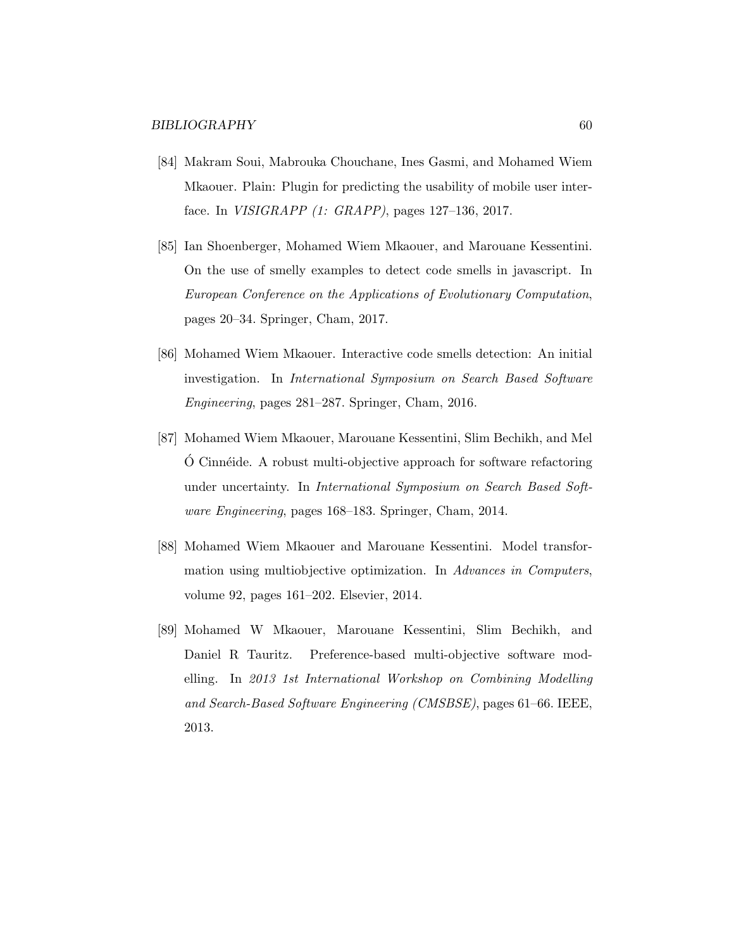- [84] Makram Soui, Mabrouka Chouchane, Ines Gasmi, and Mohamed Wiem Mkaouer. Plain: Plugin for predicting the usability of mobile user interface. In VISIGRAPP (1: GRAPP), pages 127–136, 2017.
- [85] Ian Shoenberger, Mohamed Wiem Mkaouer, and Marouane Kessentini. On the use of smelly examples to detect code smells in javascript. In European Conference on the Applications of Evolutionary Computation, pages 20–34. Springer, Cham, 2017.
- [86] Mohamed Wiem Mkaouer. Interactive code smells detection: An initial investigation. In International Symposium on Search Based Software Engineering, pages 281–287. Springer, Cham, 2016.
- [87] Mohamed Wiem Mkaouer, Marouane Kessentini, Slim Bechikh, and Mel  $\overline{O}$  Cinnéide. A robust multi-objective approach for software refactoring under uncertainty. In International Symposium on Search Based Software Engineering, pages 168–183. Springer, Cham, 2014.
- [88] Mohamed Wiem Mkaouer and Marouane Kessentini. Model transformation using multiobjective optimization. In Advances in Computers, volume 92, pages 161–202. Elsevier, 2014.
- [89] Mohamed W Mkaouer, Marouane Kessentini, Slim Bechikh, and Daniel R Tauritz. Preference-based multi-objective software modelling. In 2013 1st International Workshop on Combining Modelling and Search-Based Software Engineering (CMSBSE), pages 61–66. IEEE, 2013.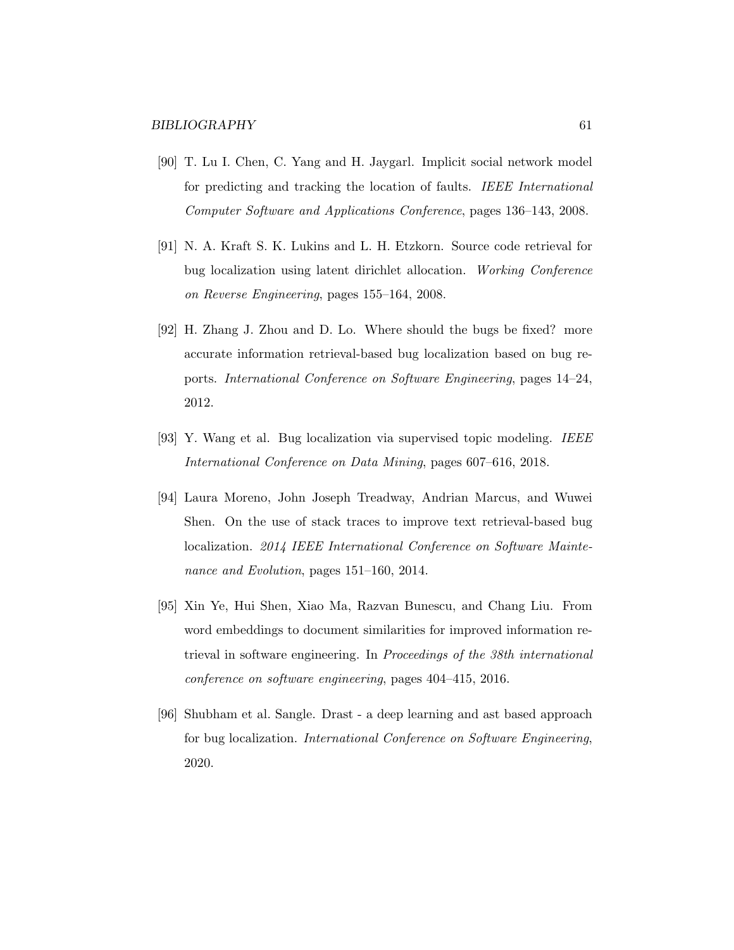- [90] T. Lu I. Chen, C. Yang and H. Jaygarl. Implicit social network model for predicting and tracking the location of faults. IEEE International Computer Software and Applications Conference, pages 136–143, 2008.
- [91] N. A. Kraft S. K. Lukins and L. H. Etzkorn. Source code retrieval for bug localization using latent dirichlet allocation. Working Conference on Reverse Engineering, pages 155–164, 2008.
- [92] H. Zhang J. Zhou and D. Lo. Where should the bugs be fixed? more accurate information retrieval-based bug localization based on bug reports. International Conference on Software Engineering, pages 14–24, 2012.
- [93] Y. Wang et al. Bug localization via supervised topic modeling. IEEE International Conference on Data Mining, pages 607–616, 2018.
- [94] Laura Moreno, John Joseph Treadway, Andrian Marcus, and Wuwei Shen. On the use of stack traces to improve text retrieval-based bug localization. 2014 IEEE International Conference on Software Maintenance and Evolution, pages 151–160, 2014.
- [95] Xin Ye, Hui Shen, Xiao Ma, Razvan Bunescu, and Chang Liu. From word embeddings to document similarities for improved information retrieval in software engineering. In Proceedings of the 38th international conference on software engineering, pages 404–415, 2016.
- [96] Shubham et al. Sangle. Drast a deep learning and ast based approach for bug localization. International Conference on Software Engineering, 2020.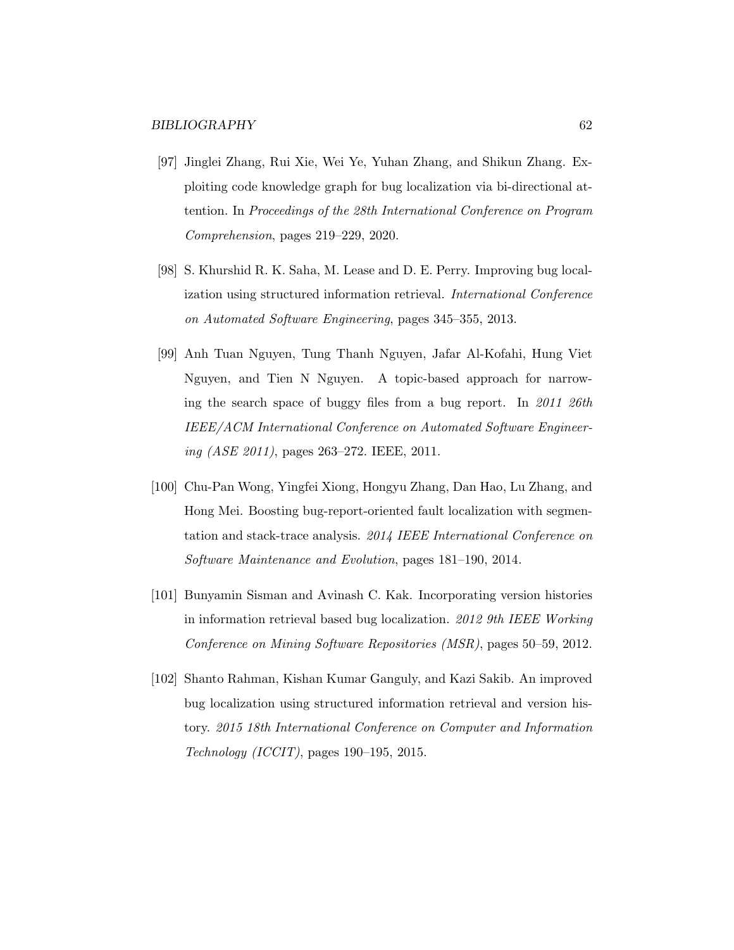- [97] Jinglei Zhang, Rui Xie, Wei Ye, Yuhan Zhang, and Shikun Zhang. Exploiting code knowledge graph for bug localization via bi-directional attention. In Proceedings of the 28th International Conference on Program Comprehension, pages 219–229, 2020.
- [98] S. Khurshid R. K. Saha, M. Lease and D. E. Perry. Improving bug localization using structured information retrieval. International Conference on Automated Software Engineering, pages 345–355, 2013.
- [99] Anh Tuan Nguyen, Tung Thanh Nguyen, Jafar Al-Kofahi, Hung Viet Nguyen, and Tien N Nguyen. A topic-based approach for narrowing the search space of buggy files from a bug report. In 2011 26th IEEE/ACM International Conference on Automated Software Engineering  $(ASE 2011)$ , pages 263–272. IEEE, 2011.
- [100] Chu-Pan Wong, Yingfei Xiong, Hongyu Zhang, Dan Hao, Lu Zhang, and Hong Mei. Boosting bug-report-oriented fault localization with segmentation and stack-trace analysis. 2014 IEEE International Conference on Software Maintenance and Evolution, pages 181–190, 2014.
- [101] Bunyamin Sisman and Avinash C. Kak. Incorporating version histories in information retrieval based bug localization. 2012 9th IEEE Working Conference on Mining Software Repositories (MSR), pages 50–59, 2012.
- [102] Shanto Rahman, Kishan Kumar Ganguly, and Kazi Sakib. An improved bug localization using structured information retrieval and version history. 2015 18th International Conference on Computer and Information Technology (ICCIT), pages 190–195, 2015.